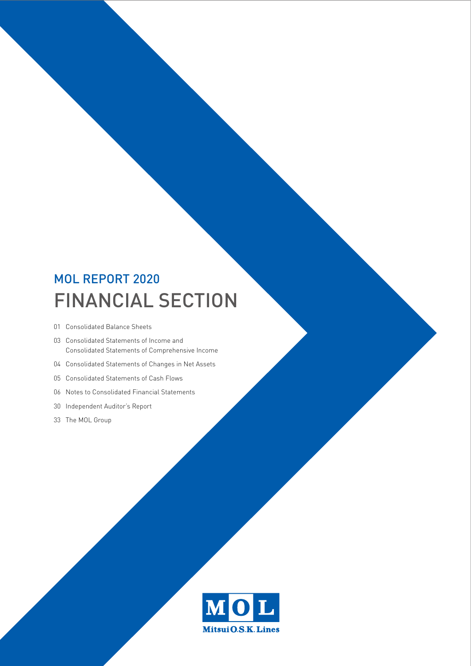# FINANCIAL SECTION MOL REPORT 2020

- 01 Consolidated Balance Sheets
- 03 Consolidated Statements of Income and Consolidated Statements of Comprehensive Income
- 04 Consolidated Statements of Changes in Net Assets
- 05 Consolidated Statements of Cash Flows
- 06 Notes to Consolidated Financial Statements
- 30 Independent Auditor's Report
- 33 The MOL Group

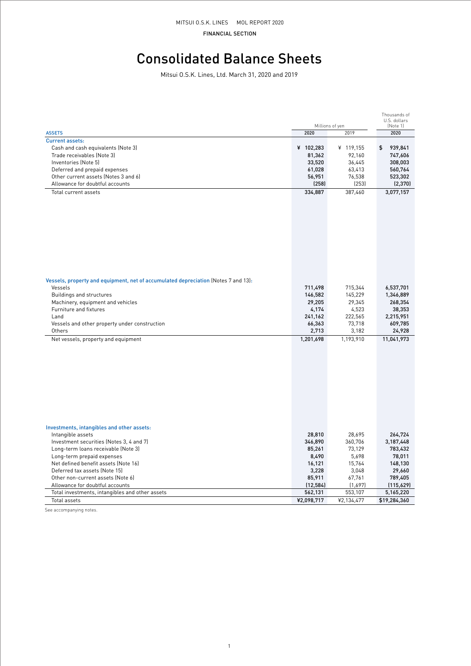## Consolidated Balance Sheets

Mitsui O.S.K. Lines, Ltd. March 31, 2020 and 2019

|                                                                                    |                 |                          | Thousands of  |
|------------------------------------------------------------------------------------|-----------------|--------------------------|---------------|
|                                                                                    | Millions of yen | U.S. dollars<br>(Note 1) |               |
| <b>ASSETS</b>                                                                      | 2020            | 2019                     | 2020          |
| <b>Current assets:</b>                                                             |                 |                          |               |
| Cash and cash equivalents (Note 3)                                                 | ¥ 102,283       | ¥ 119,155                | \$<br>939,841 |
| Trade receivables (Note 3)                                                         | 81,362          | 92,160                   | 747,606       |
| Inventories (Note 5)                                                               | 33,520          | 36,445                   | 308,003       |
| Deferred and prepaid expenses                                                      | 61,028          | 63,413                   | 560,764       |
| Other current assets (Notes 3 and 6)                                               | 56,951          | 76,538                   | 523,302       |
| Allowance for doubtful accounts                                                    | (258)           | (253)                    | (2, 370)      |
| Total current assets                                                               | 334,887         | 387,460                  | 3,077,157     |
|                                                                                    |                 |                          |               |
|                                                                                    |                 |                          |               |
|                                                                                    |                 |                          |               |
|                                                                                    |                 |                          |               |
|                                                                                    |                 |                          |               |
|                                                                                    |                 |                          |               |
|                                                                                    |                 |                          |               |
|                                                                                    |                 |                          |               |
|                                                                                    |                 |                          |               |
|                                                                                    |                 |                          |               |
|                                                                                    |                 |                          |               |
| Vessels, property and equipment, net of accumulated depreciation (Notes 7 and 13): |                 |                          |               |
| Vessels                                                                            | 711,498         | 715,344                  | 6,537,701     |
| Buildings and structures                                                           | 146,582         | 145,229                  | 1,346,889     |
| Machinery, equipment and vehicles                                                  | 29,205          | 29,345                   | 268,354       |
| Furniture and fixtures                                                             | 4,174           | 4,523                    | 38,353        |
| Land                                                                               | 241,162         | 222,565                  | 2,215,951     |
| Vessels and other property under construction                                      | 66,363          | 73,718                   | 609,785       |
| Others                                                                             | 2,713           | 3,182                    | 24,928        |
| Net vessels, property and equipment                                                | 1,201,698       | 1,193,910                | 11,041,973    |
|                                                                                    |                 |                          |               |
|                                                                                    |                 |                          |               |
|                                                                                    |                 |                          |               |
|                                                                                    |                 |                          |               |
|                                                                                    |                 |                          |               |
|                                                                                    |                 |                          |               |
|                                                                                    |                 |                          |               |
|                                                                                    |                 |                          |               |
|                                                                                    |                 |                          |               |
|                                                                                    |                 |                          |               |
| Investments, intangibles and other assets:                                         |                 |                          |               |
| Intangible assets                                                                  | 28,810          | 28,695                   | 264,724       |
| Investment securities (Notes 3, 4 and 7)                                           | 346,890         | 360,706                  | 3,187,448     |
| Long-term loans receivable (Note 3)                                                | 85,261          | 73,129                   | 783,432       |
| Long-term prepaid expenses                                                         | 8,490           | 5,698                    | 78,011        |
| Net defined benefit assets (Note 16)                                               | 16,121          | 15,764                   | 148,130       |
| Deferred tax assets (Note 15)                                                      | 3,228           | 3,048                    | 29,660        |
| Other non-current assets (Note 6)                                                  | 85,911          | 67,761                   | 789,405       |
| Allowance for doubtful accounts                                                    | (12, 584)       | (1,697)                  | (115,629)     |
| Total investments, intangibles and other assets                                    | 562,131         | 553,107                  | 5,165,220     |
| Total assets                                                                       | ¥2,098,717      | ¥2,134,477               | \$19,284,360  |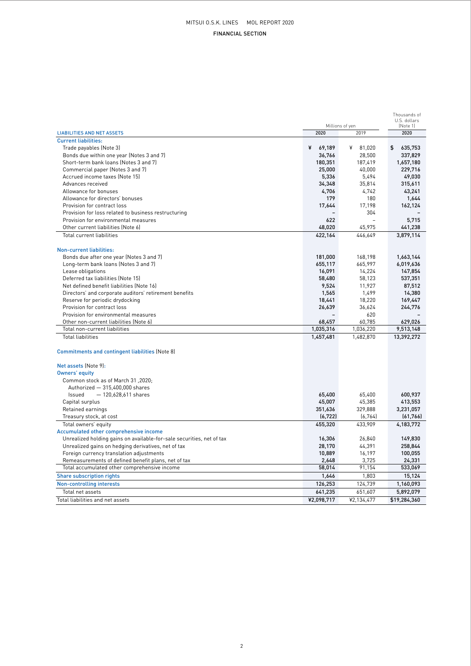## MITSUI O.S.K. LINES MOL REPORT 2020

#### FINANCIAL SECTION

|                                                                       |             |                          | Thousands of             |
|-----------------------------------------------------------------------|-------------|--------------------------|--------------------------|
|                                                                       |             | Millions of yen          | U.S. dollars<br>(Note 1) |
| <b>LIABILITIES AND NET ASSETS</b>                                     | 2020        | 2019                     | 2020                     |
| <b>Current liabilities:</b>                                           |             |                          |                          |
| Trade payables (Note 3)                                               | ¥<br>69,189 | ¥<br>81,020              | \$<br>635,753            |
| Bonds due within one year (Notes 3 and 7)                             | 36,766      | 28,500                   | 337,829                  |
| Short-term bank loans (Notes 3 and 7)                                 | 180,351     | 187,419                  | 1,657,180                |
| Commercial paper (Notes 3 and 7)                                      | 25.000      | 40,000                   | 229,716                  |
| Accrued income taxes (Note 15)                                        | 5,336       | 5,494                    | 49,030                   |
| Advances received                                                     | 34,348      | 35,814                   | 315,611                  |
| Allowance for bonuses                                                 | 4,706       | 4,742                    | 43,241                   |
| Allowance for directors' bonuses                                      | 179         | 180                      | 1,644                    |
| Provision for contract loss                                           | 17,644      | 17,198                   | 162,124                  |
| Provision for loss related to business restructuring                  |             | 304                      |                          |
| Provision for environmental measures                                  | 622         | $\overline{\phantom{a}}$ | 5,715                    |
| Other current liabilities (Note 6)                                    | 48,020      | 45,975                   | 441,238                  |
| <b>Total current liabilities</b>                                      | 422,164     | 446,649                  | 3,879,114                |
|                                                                       |             |                          |                          |
| <b>Non-current liabilities:</b>                                       |             |                          |                          |
| Bonds due after one year (Notes 3 and 7)                              | 181,000     | 168,198                  | 1,663,144                |
| Long-term bank loans (Notes 3 and 7)                                  | 655,117     | 665,997                  | 6,019,636                |
| Lease obligations                                                     | 16,091      | 14,224                   | 147,854                  |
| Deferred tax liabilities (Note 15)                                    | 58,480      | 58,123                   | 537,351                  |
| Net defined benefit liabilities (Note 16)                             | 9,524       | 11,927                   | 87,512                   |
| Directors' and corporate auditors' retirement benefits                | 1,565       | 1,499                    | 14,380                   |
| Reserve for periodic drydocking                                       | 18,441      | 18,220                   | 169,447                  |
| Provision for contract loss                                           | 26,639      | 36,624                   | 244,776                  |
| Provision for environmental measures                                  |             | 620                      |                          |
| Other non-current liabilities (Note 6)                                | 68,457      | 60,785                   | 629,026                  |
| Total non-current liabilities                                         | 1,035,316   | 1,036,220                | 9,513,148                |
| <b>Total liabilities</b>                                              | 1,457,481   | 1,482,870                | 13,392,272               |
|                                                                       |             |                          |                          |
| Commitments and contingent liabilities (Note 8)                       |             |                          |                          |
|                                                                       |             |                          |                          |
| Net assets (Note 9):                                                  |             |                          |                          |
| <b>Owners' equity</b>                                                 |             |                          |                          |
| Common stock as of March 31, 2020;                                    |             |                          |                          |
| Authorized - 315,400,000 shares                                       |             |                          |                          |
| Issued<br>$-120,628,611$ shares                                       | 65,400      | 65,400                   | 600,937                  |
| Capital surplus                                                       | 45,007      | 45,385                   | 413,553                  |
| Retained earnings                                                     | 351,636     | 329,888                  | 3,231,057                |
| Treasury stock, at cost                                               | (6, 722)    | [6, 764]                 | (61, 766)                |
| Total owners' equity                                                  | 455,320     | 433,909                  | 4,183,772                |
| Accumulated other comprehensive income                                |             |                          |                          |
| Unrealized holding gains on available-for-sale securities, net of tax | 16,306      | 26,840                   | 149,830                  |
| Unrealized gains on hedging derivatives, net of tax                   | 28,170      | 44,391                   | 258,844                  |
| Foreign currency translation adjustments                              | 10,889      | 16,197                   | 100,055                  |
| Remeasurements of defined benefit plans, net of tax                   | 2,648       | 3,725                    | 24,331                   |
| Total accumulated other comprehensive income                          | 58,014      | 91,154                   | 533,069                  |
| <b>Share subscription rights</b>                                      | 1,646       | 1,803                    | 15,124                   |
| <b>Non-controlling interests</b>                                      | 126,253     | 124,739                  | 1,160,093                |
| Total net assets                                                      | 641,235     | 651,607                  | 5,892,079                |
| Total liabilities and net assets                                      | ¥2,098,717  | ¥2,134,477               | \$19,284,360             |
|                                                                       |             |                          |                          |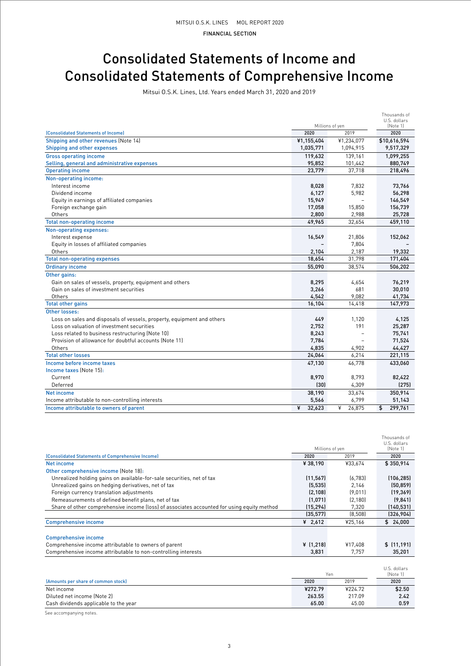## Consolidated Statements of Income and Consolidated Statements of Comprehensive Income

Mitsui O.S.K. Lines, Ltd. Years ended March 31, 2020 and 2019

|                                                                        |             |                 | Thousands of<br>U.S. dollars |
|------------------------------------------------------------------------|-------------|-----------------|------------------------------|
|                                                                        |             | Millions of yen | [Note 1]                     |
| <b>Consolidated Statements of Incomel</b>                              | 2020        | 2019            | 2020                         |
| Shipping and other revenues (Note 14)                                  | ¥1,155,404  | ¥1,234,077      | \$10,616,594                 |
| Shipping and other expenses                                            | 1,035,771   | 1,094,915       | 9,517,329                    |
| <b>Gross operating income</b>                                          | 119,632     | 139,161         | 1,099,255                    |
| Selling, general and administrative expenses                           | 95.852      | 101,442         | 880.749                      |
| <b>Operating income</b>                                                | 23,779      | 37,718          | 218,496                      |
| Non-operating income:                                                  |             |                 |                              |
| Interest income                                                        | 8,028       | 7.832           | 73.766                       |
| Dividend income                                                        | 6,127       | 5,982           | 56,298                       |
| Equity in earnings of affiliated companies                             | 15,949      |                 | 146,549                      |
| Foreign exchange gain                                                  | 17,058      | 15,850          | 156,739                      |
| Others                                                                 | 2,800       | 2,988           | 25,728                       |
| <b>Total non-operating income</b>                                      | 49,965      | 32,654          | 459,110                      |
| Non-operating expenses:                                                |             |                 |                              |
| Interest expense                                                       | 16,549      | 21,806          | 152,062                      |
| Equity in losses of affiliated companies                               |             | 7,804           |                              |
| Others                                                                 | 2,104       | 2,187           | 19,332                       |
| <b>Total non-operating expenses</b>                                    | 18,654      | 31,798          | 171,404                      |
| <b>Ordinary income</b>                                                 | 55,090      | 38,574          | 506,202                      |
| Other gains:                                                           |             |                 |                              |
| Gain on sales of vessels, property, equipment and others               | 8,295       | 4,654           | 76,219                       |
| Gain on sales of investment securities                                 | 3,266       | 681             | 30,010                       |
| Others                                                                 | 4.542       | 9.082           | 41,734                       |
| <b>Total other gains</b>                                               | 16,104      | 14,418          | 147,973                      |
| Other losses:                                                          |             |                 |                              |
| Loss on sales and disposals of vessels, property, equipment and others | 449         | 1.120           | 4.125                        |
| Loss on valuation of investment securities                             | 2,752       | 191             | 25,287                       |
| Loss related to business restructuring (Note 10)                       | 8,243       |                 | 75,741                       |
| Provision of allowance for doubtful accounts (Note 11)                 | 7,784       |                 | 71,524                       |
| Others                                                                 | 4,835       | 4,902           | 44,427                       |
| <b>Total other losses</b>                                              | 24,064      | 6,214           | 221,115                      |
| Income before income taxes                                             | 47,130      | 46,778          | 433,060                      |
| Income taxes (Note 15):                                                |             |                 |                              |
| Current                                                                | 8,970       | 8,793           | 82,422                       |
| Deferred                                                               | (30)        | 4,309           | (275)                        |
| Net income                                                             | 38,190      | 33,674          | 350,914                      |
| Income attributable to non-controlling interests                       | 5,566       | 6,799           | 51,143                       |
| Income attributable to owners of parent                                | ¥<br>32,623 | ¥<br>26,875     | \$<br>299,761                |

|                                                                                            | Millions of yen |         | Thousands of<br>U.S. dollars<br>[Note 1] |
|--------------------------------------------------------------------------------------------|-----------------|---------|------------------------------------------|
| (Consolidated Statements of Comprehensive Income)                                          | 2020            | 2019    | 2020                                     |
| Net income                                                                                 | ¥38,190         | ¥33.674 | \$350,914                                |
| Other comprehensive income (Note 18):                                                      |                 |         |                                          |
| Unrealized holding gains on available-for-sale securities, net of tax                      | (11, 567)       | [6.783] | (106, 285)                               |
| Unrealized gains on hedging derivatives, net of tax                                        | (5, 535)        | 2,146   | (50, 859)                                |
| Foreign currency translation adjustments                                                   | (2, 108)        | (9.011) | (19, 369)                                |
| Remeasurements of defined benefit plans, net of tax                                        | (1,071)         | (2.180) | (9.841)                                  |
| Share of other comprehensive income (loss) of associates accounted for using equity method | (15, 294)       | 7,320   | (140, 531)                               |
|                                                                                            | (35, 577)       | [8.508] | (326, 904)                               |
| <b>Comprehensive income</b>                                                                | ¥ 2,612         | ¥25,166 | 24,000<br>\$.                            |
| Comprehensive income                                                                       |                 |         |                                          |
| Comprehensive income attributable to owners of parent                                      | ¥ $(1.218)$     | ¥17.408 | \$ [11.191]                              |
| Comprehensive income attributable to non-controlling interests                             | 3,831           | 7.757   | 35,201                                   |
|                                                                                            |                 |         |                                          |
|                                                                                            |                 |         | U.S. dollars                             |

|                                       | Yen     | [Note 1] |        |
|---------------------------------------|---------|----------|--------|
| (Amounts per share of common stock)   | 2020    | 2019     | 2020   |
| Net income                            | ¥272.79 | ¥224.72  | \$2.50 |
| Diluted net income (Note 2)           | 263.55  | 217.09   | 2.42   |
| Cash dividends applicable to the year | 65.00   | 45.00    | 0.59   |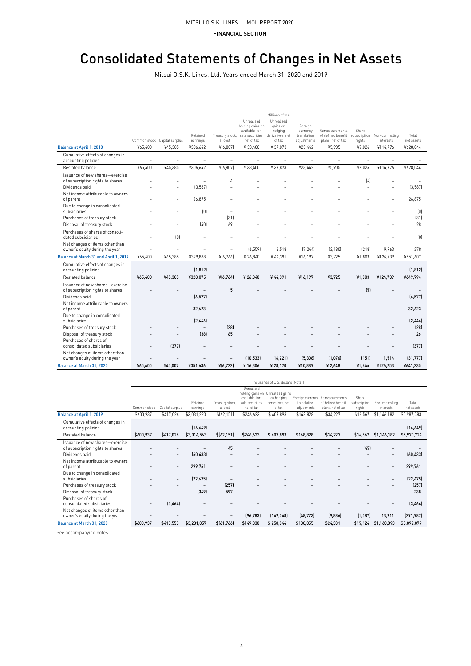## Consolidated Statements of Changes in Net Assets

Mitsui O.S.K. Lines, Ltd. Years ended March 31, 2020 and 2019

|                                                                     |                          |                              |                      |           |                                                                                                    | Millions of yen                                                 |                                                   |                                                           |                 |                                           |                     |
|---------------------------------------------------------------------|--------------------------|------------------------------|----------------------|-----------|----------------------------------------------------------------------------------------------------|-----------------------------------------------------------------|---------------------------------------------------|-----------------------------------------------------------|-----------------|-------------------------------------------|---------------------|
|                                                                     |                          | Common stock Capital surplus | Retained<br>earnings | at cost   | Unrealized<br>holding gains on<br>available-for-<br>Treasury stock, sale securities,<br>net of tax | Unrealized<br>gains on<br>hedging<br>derivatives, net<br>of tax | Foreign<br>currencv<br>translation<br>adjustments | Remeasurements<br>of defined benefit<br>plans, net of tax | Share<br>rights | subscription Non-controlling<br>interests | Total<br>net assets |
| <b>Balance at April 1, 2018</b>                                     | ¥65,400                  | ¥45,385                      | ¥306,642             | ¥[6,807]  | ¥33,400                                                                                            | ¥37,873                                                         | ¥23,442                                           | ¥5,905                                                    | ¥2,026          | ¥114,776                                  | ¥628,044            |
| Cumulative effects of changes in<br>accounting policies             |                          |                              |                      |           |                                                                                                    |                                                                 |                                                   |                                                           |                 |                                           |                     |
| Restated balance                                                    | ¥65.400                  | ¥45.385                      | ¥306.642             | ¥[6,807]  | ¥33.400                                                                                            | ¥37.873                                                         | ¥23.442                                           | ¥5.905                                                    | ¥2.026          | ¥114,776                                  | ¥628,044            |
| Issuance of new shares-exercise<br>of subscription rights to shares |                          |                              |                      | 4         |                                                                                                    |                                                                 |                                                   |                                                           | (4)             |                                           |                     |
| Dividends paid                                                      |                          | ۰                            | (3,587)              |           |                                                                                                    |                                                                 |                                                   |                                                           |                 |                                           | (3,587)             |
| Net income attributable to owners<br>of parent                      |                          | $\overline{\phantom{0}}$     | 26.875               |           |                                                                                                    |                                                                 |                                                   |                                                           |                 | $\overline{\phantom{a}}$                  | 26,875              |
| Due to change in consolidated<br>subsidiaries                       |                          | L.                           | [0]                  | $\bar{a}$ |                                                                                                    |                                                                 |                                                   |                                                           |                 |                                           | [0]                 |
| Purchases of treasury stock                                         |                          |                              | $\equiv$             | (31)      |                                                                                                    |                                                                 |                                                   |                                                           |                 |                                           | (31)                |
| Disposal of treasury stock                                          |                          |                              | [40]                 | 69        |                                                                                                    |                                                                 |                                                   |                                                           |                 |                                           | 28                  |
| Purchases of shares of consoli-<br>dated subsidiaries               |                          | [0]                          |                      |           |                                                                                                    |                                                                 |                                                   |                                                           |                 |                                           | [0]                 |
| Net changes of items other than<br>owner's equity during the year   |                          |                              |                      |           | (6, 559)                                                                                           | 6,518                                                           | (7, 244)                                          | [2, 180]                                                  | (218)           | 9,963                                     | 278                 |
| Balance at March 31 and April 1, 2019                               | ¥65,400                  | ¥45,385                      | ¥329,888             | 4[6, 764] | ¥26,840                                                                                            | ¥44,391                                                         | ¥16,197                                           | ¥3,725                                                    | ¥1,803          | ¥124,739                                  | ¥651,607            |
| Cumulative effects of changes in<br>accounting policies             |                          | $\overline{\phantom{a}}$     | (1, 812)             |           |                                                                                                    |                                                                 |                                                   |                                                           |                 |                                           | (1, 812)            |
| Restated balance                                                    | ¥65.400                  | ¥45.385                      | ¥328,075             | ¥[6.764]  | ¥26.840                                                                                            | ¥44,391                                                         | ¥16.197                                           | ¥3,725                                                    | ¥1.803          | ¥124,739                                  | ¥649,794            |
| Issuance of new shares-exercise<br>of subscription rights to shares |                          |                              |                      | 5         |                                                                                                    |                                                                 |                                                   |                                                           | (5)             |                                           |                     |
| Dividends paid                                                      |                          | $\qquad \qquad -$            | (6, 577)             |           |                                                                                                    |                                                                 |                                                   |                                                           |                 |                                           | (6, 577)            |
| Net income attributable to owners<br>of parent                      |                          | $\overline{\phantom{a}}$     | 32,623               |           |                                                                                                    | -                                                               |                                                   |                                                           |                 | $\overline{\phantom{0}}$                  | 32,623              |
| Due to change in consolidated<br>subsidiaries                       |                          | $\qquad \qquad -$            | (2,446)              |           |                                                                                                    |                                                                 |                                                   |                                                           |                 |                                           | (2,446)             |
| Purchases of treasury stock                                         |                          |                              |                      | [28]      |                                                                                                    |                                                                 |                                                   |                                                           |                 |                                           | [28]                |
| Disposal of treasury stock                                          |                          | $\overline{a}$               | (38)                 | 65        |                                                                                                    |                                                                 |                                                   |                                                           |                 |                                           | 26                  |
| Purchases of shares of<br>consolidated subsidiaries                 | $\overline{\phantom{a}}$ | (377)                        |                      |           |                                                                                                    |                                                                 |                                                   |                                                           |                 |                                           | [377]               |
| Net changes of items other than<br>owner's equity during the year   |                          | $\overline{a}$               |                      |           | (10, 533)                                                                                          | (16, 221)                                                       | (5, 308)                                          | (1,076)                                                   | (151)           | 1,514                                     | (31, 777)           |
| Balance at March 31, 2020                                           | ¥65.400                  | ¥45.007                      | ¥351.636             | ¥(6.722)  | ¥16.306                                                                                            | ¥ 28.170                                                        | ¥10.889                                           | ¥2.648                                                    | ¥1.646          | ¥126.253                                  | ¥641,235            |

|                                   |                          | Thousands of U.S. dollars (Note 1) |             |                 |                                    |                                |             |                                 |              |                          |             |
|-----------------------------------|--------------------------|------------------------------------|-------------|-----------------|------------------------------------|--------------------------------|-------------|---------------------------------|--------------|--------------------------|-------------|
|                                   |                          |                                    |             |                 | Unrealized                         |                                |             |                                 |              |                          |             |
|                                   |                          |                                    |             |                 | holding gains on<br>available-for- | Unrealized gains<br>on hedging |             | Foreign currency Remeasurements | Share        |                          |             |
|                                   |                          |                                    | Retained    | Treasury stock. | sale securities.                   | derivatives, net               | translation | of defined benefit              | subscription | Non-controlling          | Total       |
|                                   | Common stock             | Capital surplus                    | earnings    | at cost         | net of tax                         | of tax                         | adjustments | plans, net of tax               | rights       | interests                | net assets  |
| <b>Balance at April 1, 2019</b>   | \$600,937                | \$417,026                          | \$3,031,223 | \$162, 151]     | \$246,623                          | \$407,893                      | \$148,828   | \$34,227                        | \$16,567     | \$1,146,182              | \$5,987,383 |
| Cumulative effects of changes in  |                          |                                    |             |                 |                                    |                                |             |                                 |              |                          |             |
| accounting policies               |                          | $\overline{\phantom{0}}$           | (16, 649)   |                 |                                    |                                |             |                                 |              |                          | (16,649)    |
| Restated balance                  | \$600,937                | \$417,026                          | \$3,014,563 | \$162, 151]     | \$246,623                          | \$407,893                      | \$148,828   | \$34,227                        | \$16,567     | \$1,146,182              | \$5,970,724 |
| Issuance of new shares-exercise   |                          |                                    |             |                 |                                    |                                |             |                                 |              |                          |             |
| of subscription rights to shares  |                          |                                    |             | 45              |                                    |                                |             |                                 | (45)         |                          |             |
| Dividends paid                    |                          | $\overline{\phantom{0}}$           | (60, 433)   |                 |                                    |                                |             |                                 |              | $\overline{\phantom{0}}$ | (60, 433)   |
| Net income attributable to owners |                          |                                    |             |                 |                                    |                                |             |                                 |              |                          |             |
| of parent                         |                          | $\overline{\phantom{0}}$           | 299,761     |                 |                                    |                                |             |                                 |              |                          | 299,761     |
| Due to change in consolidated     |                          |                                    |             |                 |                                    |                                |             |                                 |              |                          |             |
| subsidiaries                      |                          | $\overline{\phantom{0}}$           | (22, 475)   |                 |                                    |                                |             |                                 |              | $\overline{\phantom{a}}$ | (22, 475)   |
| Purchases of treasury stock       |                          |                                    |             | (257)           |                                    |                                |             |                                 |              | $\overline{\phantom{0}}$ | (257)       |
| Disposal of treasury stock        |                          | $\overline{\phantom{a}}$           | (349)       | 597             |                                    |                                |             |                                 |              | $\overline{\phantom{0}}$ | 238         |
| Purchases of shares of            |                          |                                    |             |                 |                                    |                                |             |                                 |              |                          |             |
| consolidated subsidiaries         | $\overline{\phantom{0}}$ | (3,464)                            |             |                 |                                    |                                |             |                                 |              |                          | (3,464)     |
| Net changes of items other than   |                          |                                    |             |                 |                                    |                                |             |                                 |              |                          |             |
| owner's equity during the year    |                          |                                    |             |                 | (96, 783)                          | (149, 048)                     | (48, 773)   | (9,886)                         | (1, 387)     | 13,911                   | (291, 987)  |
| Balance at March 31, 2020         | \$600,937                | \$413,553                          | \$3,231,057 | \$[61,766]      | \$149,830                          | \$258,844                      | \$100,055   | \$24,331                        | \$15,124     | \$1,160,093              | \$5,892,079 |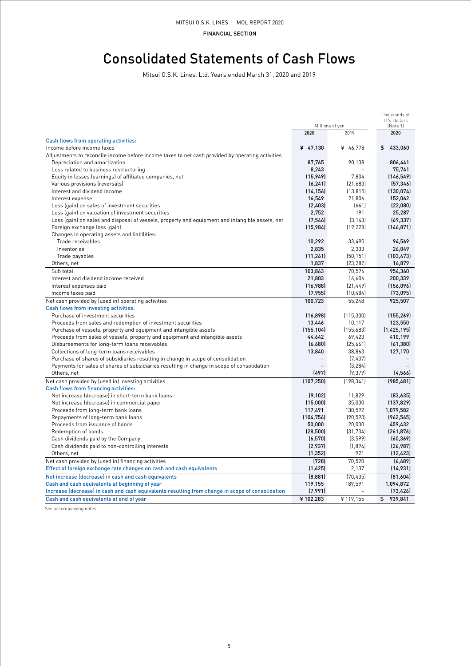## Consolidated Statements of Cash Flows

Mitsui O.S.K. Lines, Ltd. Years ended March 31, 2020 and 2019

| (Note 1)<br>Millions of yen<br>2020<br>2020<br>2019<br>Cash flows from operating activities:<br>\$<br>Income before income taxes<br>¥ 47,130<br>¥ 46.778<br>433.060<br>Adjustments to reconcile income before income taxes to net cash provided by operating activities<br>90,138<br>Depreciation and amortization<br>87,765<br>806,441<br>75,741<br>Loss related to business restructuring<br>8,243<br>[15.949]<br>7,804<br>(146, 549)<br>Equity in losses (earnings) of affiliated companies, net<br>Various provisions (reversals)<br>(6, 241)<br>[21,683]<br>(57, 346)<br>(130, 074)<br>Interest and dividend income<br>(14, 156)<br>(13, 815)<br>16,549<br>152,062<br>Interest expense<br>21,806<br>(22,080)<br>Loss (gain) on sales of investment securities<br>(2,403)<br>[661]<br>Loss (gain) on valuation of investment securities<br>2,752<br>191<br>25,287<br>(69, 337)<br>Loss (gain) on sales and disposal of vessels, property and equipment and intangible assets, net<br>(7, 546)<br>(3, 143)<br>(15, 984)<br>(19, 228)<br>(146, 871)<br>Foreign exchange loss (gain)<br>Changes in operating assets and liabilities:<br>Trade receivables<br>10,292<br>33,490<br>94,569<br>Inventories<br>2.835<br>2,333<br>26,049<br>(11, 261)<br>(50, 151)<br>(103, 473)<br>Trade payables<br>1,837<br>[23, 282]<br>16,879<br>Others, net<br>Sub total<br>70.576<br>954,360<br>103,863<br>Interest and dividend income received<br>21,803<br>16,606<br>200,339<br>Interest expenses paid<br>(16,988)<br>[21, 449]<br>(156, 096)<br>(7, 955)<br>(10, 484)<br>(73,095)<br>Income taxes paid<br>Net cash provided by (used in) operating activities<br>100,723<br>55,248<br>925,507<br>Cash flows from investing activities:<br>Purchase of investment securities<br>(16, 898)<br>(115, 300)<br>(155, 269)<br>Proceeds from sales and redemption of investment securities<br>13,446<br>10,117<br>123,550<br>(155, 104)<br>(155,683)<br>(1,425,195)<br>Purchase of vessels, property and equipment and intangible assets<br>Proceeds from sales of vessels, property and equipment and intangible assets<br>44,642<br>69,423<br>410,199<br>(25,661)<br>(61, 380)<br>Disbursements for long-term loans receivables<br>(6,680)<br>Collections of long-term loans receivables<br>13,840<br>38,863<br>127,170<br>Purchase of shares of subsidiaries resulting in change in scope of consolidation<br>(7,437)<br>Payments for sales of shares of subsidiaries resulting in change in scope of consolidation<br>(3, 284)<br>(497)<br>(9, 379)<br>(4, 566)<br>Others, net<br>(107, 250)<br>(198, 341)<br>(985, 481)<br>Net cash provided by (used in) investing activities<br>Cash flows from financing activities:<br>Net increase (decrease) in short-term bank loans<br>(9.102)<br>11.829<br>[83.635]<br>Net increase (decrease) in commercial paper<br>(15,000)<br>35,000<br>(137, 829)<br>117,491<br>1,079,582<br>Proceeds from long-term bank loans<br>130,592<br>Repayments of long-term bank loans<br>(90, 593)<br>(962, 565)<br>(104, 756)<br>Proceeds from issuance of bonds<br>459,432<br>50,000<br>20,000<br>Redemption of bonds<br>(28, 500)<br>(31, 734)<br>(261, 876)<br>(3,599)<br>(60, 369)<br>Cash dividends paid by the Company<br>(6, 570)<br>(2,937)<br>(1,894)<br>(26, 987)<br>Cash dividends paid to non-controlling interests<br>(1, 352)<br>921<br>(12, 423)<br>Others, net<br>Net cash provided by (used in) financing activities<br>(728)<br>70.520<br>[6.689]<br>Effect of foreign exchange rate changes on cash and cash equivalents<br>(1,625)<br>2,137<br>(14, 931)<br>Net increase (decrease) in cash and cash equivalents<br>(8,881)<br>(70, 435)<br>(81,604)<br>Cash and cash equivalents at beginning of year<br>119,155<br>189,591<br>1,094,872<br>Increase (decrease) in cash and cash equivalents resulting from change in scope of consolidation<br>(7,991)<br>(73, 426)<br>939.841<br>Cash and cash equivalents at end of year<br>¥102,283<br>¥119,155<br>\$ |  | Thousands of<br>U.S. dollars |
|----------------------------------------------------------------------------------------------------------------------------------------------------------------------------------------------------------------------------------------------------------------------------------------------------------------------------------------------------------------------------------------------------------------------------------------------------------------------------------------------------------------------------------------------------------------------------------------------------------------------------------------------------------------------------------------------------------------------------------------------------------------------------------------------------------------------------------------------------------------------------------------------------------------------------------------------------------------------------------------------------------------------------------------------------------------------------------------------------------------------------------------------------------------------------------------------------------------------------------------------------------------------------------------------------------------------------------------------------------------------------------------------------------------------------------------------------------------------------------------------------------------------------------------------------------------------------------------------------------------------------------------------------------------------------------------------------------------------------------------------------------------------------------------------------------------------------------------------------------------------------------------------------------------------------------------------------------------------------------------------------------------------------------------------------------------------------------------------------------------------------------------------------------------------------------------------------------------------------------------------------------------------------------------------------------------------------------------------------------------------------------------------------------------------------------------------------------------------------------------------------------------------------------------------------------------------------------------------------------------------------------------------------------------------------------------------------------------------------------------------------------------------------------------------------------------------------------------------------------------------------------------------------------------------------------------------------------------------------------------------------------------------------------------------------------------------------------------------------------------------------------------------------------------------------------------------------------------------------------------------------------------------------------------------------------------------------------------------------------------------------------------------------------------------------------------------------------------------------------------------------------------------------------------------------------------------------------------------------------------------------------------------------------------------------------------------------------------------------------------------------------------------------------------------------------------------------------------------------------------------------------------------------------------------------------------------------------------------------------------------|--|------------------------------|
|                                                                                                                                                                                                                                                                                                                                                                                                                                                                                                                                                                                                                                                                                                                                                                                                                                                                                                                                                                                                                                                                                                                                                                                                                                                                                                                                                                                                                                                                                                                                                                                                                                                                                                                                                                                                                                                                                                                                                                                                                                                                                                                                                                                                                                                                                                                                                                                                                                                                                                                                                                                                                                                                                                                                                                                                                                                                                                                                                                                                                                                                                                                                                                                                                                                                                                                                                                                                                                                                                                                                                                                                                                                                                                                                                                                                                                                                                                                                                                                              |  |                              |
|                                                                                                                                                                                                                                                                                                                                                                                                                                                                                                                                                                                                                                                                                                                                                                                                                                                                                                                                                                                                                                                                                                                                                                                                                                                                                                                                                                                                                                                                                                                                                                                                                                                                                                                                                                                                                                                                                                                                                                                                                                                                                                                                                                                                                                                                                                                                                                                                                                                                                                                                                                                                                                                                                                                                                                                                                                                                                                                                                                                                                                                                                                                                                                                                                                                                                                                                                                                                                                                                                                                                                                                                                                                                                                                                                                                                                                                                                                                                                                                              |  |                              |
|                                                                                                                                                                                                                                                                                                                                                                                                                                                                                                                                                                                                                                                                                                                                                                                                                                                                                                                                                                                                                                                                                                                                                                                                                                                                                                                                                                                                                                                                                                                                                                                                                                                                                                                                                                                                                                                                                                                                                                                                                                                                                                                                                                                                                                                                                                                                                                                                                                                                                                                                                                                                                                                                                                                                                                                                                                                                                                                                                                                                                                                                                                                                                                                                                                                                                                                                                                                                                                                                                                                                                                                                                                                                                                                                                                                                                                                                                                                                                                                              |  |                              |
|                                                                                                                                                                                                                                                                                                                                                                                                                                                                                                                                                                                                                                                                                                                                                                                                                                                                                                                                                                                                                                                                                                                                                                                                                                                                                                                                                                                                                                                                                                                                                                                                                                                                                                                                                                                                                                                                                                                                                                                                                                                                                                                                                                                                                                                                                                                                                                                                                                                                                                                                                                                                                                                                                                                                                                                                                                                                                                                                                                                                                                                                                                                                                                                                                                                                                                                                                                                                                                                                                                                                                                                                                                                                                                                                                                                                                                                                                                                                                                                              |  |                              |
|                                                                                                                                                                                                                                                                                                                                                                                                                                                                                                                                                                                                                                                                                                                                                                                                                                                                                                                                                                                                                                                                                                                                                                                                                                                                                                                                                                                                                                                                                                                                                                                                                                                                                                                                                                                                                                                                                                                                                                                                                                                                                                                                                                                                                                                                                                                                                                                                                                                                                                                                                                                                                                                                                                                                                                                                                                                                                                                                                                                                                                                                                                                                                                                                                                                                                                                                                                                                                                                                                                                                                                                                                                                                                                                                                                                                                                                                                                                                                                                              |  |                              |
|                                                                                                                                                                                                                                                                                                                                                                                                                                                                                                                                                                                                                                                                                                                                                                                                                                                                                                                                                                                                                                                                                                                                                                                                                                                                                                                                                                                                                                                                                                                                                                                                                                                                                                                                                                                                                                                                                                                                                                                                                                                                                                                                                                                                                                                                                                                                                                                                                                                                                                                                                                                                                                                                                                                                                                                                                                                                                                                                                                                                                                                                                                                                                                                                                                                                                                                                                                                                                                                                                                                                                                                                                                                                                                                                                                                                                                                                                                                                                                                              |  |                              |
|                                                                                                                                                                                                                                                                                                                                                                                                                                                                                                                                                                                                                                                                                                                                                                                                                                                                                                                                                                                                                                                                                                                                                                                                                                                                                                                                                                                                                                                                                                                                                                                                                                                                                                                                                                                                                                                                                                                                                                                                                                                                                                                                                                                                                                                                                                                                                                                                                                                                                                                                                                                                                                                                                                                                                                                                                                                                                                                                                                                                                                                                                                                                                                                                                                                                                                                                                                                                                                                                                                                                                                                                                                                                                                                                                                                                                                                                                                                                                                                              |  |                              |
|                                                                                                                                                                                                                                                                                                                                                                                                                                                                                                                                                                                                                                                                                                                                                                                                                                                                                                                                                                                                                                                                                                                                                                                                                                                                                                                                                                                                                                                                                                                                                                                                                                                                                                                                                                                                                                                                                                                                                                                                                                                                                                                                                                                                                                                                                                                                                                                                                                                                                                                                                                                                                                                                                                                                                                                                                                                                                                                                                                                                                                                                                                                                                                                                                                                                                                                                                                                                                                                                                                                                                                                                                                                                                                                                                                                                                                                                                                                                                                                              |  |                              |
|                                                                                                                                                                                                                                                                                                                                                                                                                                                                                                                                                                                                                                                                                                                                                                                                                                                                                                                                                                                                                                                                                                                                                                                                                                                                                                                                                                                                                                                                                                                                                                                                                                                                                                                                                                                                                                                                                                                                                                                                                                                                                                                                                                                                                                                                                                                                                                                                                                                                                                                                                                                                                                                                                                                                                                                                                                                                                                                                                                                                                                                                                                                                                                                                                                                                                                                                                                                                                                                                                                                                                                                                                                                                                                                                                                                                                                                                                                                                                                                              |  |                              |
|                                                                                                                                                                                                                                                                                                                                                                                                                                                                                                                                                                                                                                                                                                                                                                                                                                                                                                                                                                                                                                                                                                                                                                                                                                                                                                                                                                                                                                                                                                                                                                                                                                                                                                                                                                                                                                                                                                                                                                                                                                                                                                                                                                                                                                                                                                                                                                                                                                                                                                                                                                                                                                                                                                                                                                                                                                                                                                                                                                                                                                                                                                                                                                                                                                                                                                                                                                                                                                                                                                                                                                                                                                                                                                                                                                                                                                                                                                                                                                                              |  |                              |
|                                                                                                                                                                                                                                                                                                                                                                                                                                                                                                                                                                                                                                                                                                                                                                                                                                                                                                                                                                                                                                                                                                                                                                                                                                                                                                                                                                                                                                                                                                                                                                                                                                                                                                                                                                                                                                                                                                                                                                                                                                                                                                                                                                                                                                                                                                                                                                                                                                                                                                                                                                                                                                                                                                                                                                                                                                                                                                                                                                                                                                                                                                                                                                                                                                                                                                                                                                                                                                                                                                                                                                                                                                                                                                                                                                                                                                                                                                                                                                                              |  |                              |
|                                                                                                                                                                                                                                                                                                                                                                                                                                                                                                                                                                                                                                                                                                                                                                                                                                                                                                                                                                                                                                                                                                                                                                                                                                                                                                                                                                                                                                                                                                                                                                                                                                                                                                                                                                                                                                                                                                                                                                                                                                                                                                                                                                                                                                                                                                                                                                                                                                                                                                                                                                                                                                                                                                                                                                                                                                                                                                                                                                                                                                                                                                                                                                                                                                                                                                                                                                                                                                                                                                                                                                                                                                                                                                                                                                                                                                                                                                                                                                                              |  |                              |
|                                                                                                                                                                                                                                                                                                                                                                                                                                                                                                                                                                                                                                                                                                                                                                                                                                                                                                                                                                                                                                                                                                                                                                                                                                                                                                                                                                                                                                                                                                                                                                                                                                                                                                                                                                                                                                                                                                                                                                                                                                                                                                                                                                                                                                                                                                                                                                                                                                                                                                                                                                                                                                                                                                                                                                                                                                                                                                                                                                                                                                                                                                                                                                                                                                                                                                                                                                                                                                                                                                                                                                                                                                                                                                                                                                                                                                                                                                                                                                                              |  |                              |
|                                                                                                                                                                                                                                                                                                                                                                                                                                                                                                                                                                                                                                                                                                                                                                                                                                                                                                                                                                                                                                                                                                                                                                                                                                                                                                                                                                                                                                                                                                                                                                                                                                                                                                                                                                                                                                                                                                                                                                                                                                                                                                                                                                                                                                                                                                                                                                                                                                                                                                                                                                                                                                                                                                                                                                                                                                                                                                                                                                                                                                                                                                                                                                                                                                                                                                                                                                                                                                                                                                                                                                                                                                                                                                                                                                                                                                                                                                                                                                                              |  |                              |
|                                                                                                                                                                                                                                                                                                                                                                                                                                                                                                                                                                                                                                                                                                                                                                                                                                                                                                                                                                                                                                                                                                                                                                                                                                                                                                                                                                                                                                                                                                                                                                                                                                                                                                                                                                                                                                                                                                                                                                                                                                                                                                                                                                                                                                                                                                                                                                                                                                                                                                                                                                                                                                                                                                                                                                                                                                                                                                                                                                                                                                                                                                                                                                                                                                                                                                                                                                                                                                                                                                                                                                                                                                                                                                                                                                                                                                                                                                                                                                                              |  |                              |
|                                                                                                                                                                                                                                                                                                                                                                                                                                                                                                                                                                                                                                                                                                                                                                                                                                                                                                                                                                                                                                                                                                                                                                                                                                                                                                                                                                                                                                                                                                                                                                                                                                                                                                                                                                                                                                                                                                                                                                                                                                                                                                                                                                                                                                                                                                                                                                                                                                                                                                                                                                                                                                                                                                                                                                                                                                                                                                                                                                                                                                                                                                                                                                                                                                                                                                                                                                                                                                                                                                                                                                                                                                                                                                                                                                                                                                                                                                                                                                                              |  |                              |
|                                                                                                                                                                                                                                                                                                                                                                                                                                                                                                                                                                                                                                                                                                                                                                                                                                                                                                                                                                                                                                                                                                                                                                                                                                                                                                                                                                                                                                                                                                                                                                                                                                                                                                                                                                                                                                                                                                                                                                                                                                                                                                                                                                                                                                                                                                                                                                                                                                                                                                                                                                                                                                                                                                                                                                                                                                                                                                                                                                                                                                                                                                                                                                                                                                                                                                                                                                                                                                                                                                                                                                                                                                                                                                                                                                                                                                                                                                                                                                                              |  |                              |
|                                                                                                                                                                                                                                                                                                                                                                                                                                                                                                                                                                                                                                                                                                                                                                                                                                                                                                                                                                                                                                                                                                                                                                                                                                                                                                                                                                                                                                                                                                                                                                                                                                                                                                                                                                                                                                                                                                                                                                                                                                                                                                                                                                                                                                                                                                                                                                                                                                                                                                                                                                                                                                                                                                                                                                                                                                                                                                                                                                                                                                                                                                                                                                                                                                                                                                                                                                                                                                                                                                                                                                                                                                                                                                                                                                                                                                                                                                                                                                                              |  |                              |
|                                                                                                                                                                                                                                                                                                                                                                                                                                                                                                                                                                                                                                                                                                                                                                                                                                                                                                                                                                                                                                                                                                                                                                                                                                                                                                                                                                                                                                                                                                                                                                                                                                                                                                                                                                                                                                                                                                                                                                                                                                                                                                                                                                                                                                                                                                                                                                                                                                                                                                                                                                                                                                                                                                                                                                                                                                                                                                                                                                                                                                                                                                                                                                                                                                                                                                                                                                                                                                                                                                                                                                                                                                                                                                                                                                                                                                                                                                                                                                                              |  |                              |
|                                                                                                                                                                                                                                                                                                                                                                                                                                                                                                                                                                                                                                                                                                                                                                                                                                                                                                                                                                                                                                                                                                                                                                                                                                                                                                                                                                                                                                                                                                                                                                                                                                                                                                                                                                                                                                                                                                                                                                                                                                                                                                                                                                                                                                                                                                                                                                                                                                                                                                                                                                                                                                                                                                                                                                                                                                                                                                                                                                                                                                                                                                                                                                                                                                                                                                                                                                                                                                                                                                                                                                                                                                                                                                                                                                                                                                                                                                                                                                                              |  |                              |
|                                                                                                                                                                                                                                                                                                                                                                                                                                                                                                                                                                                                                                                                                                                                                                                                                                                                                                                                                                                                                                                                                                                                                                                                                                                                                                                                                                                                                                                                                                                                                                                                                                                                                                                                                                                                                                                                                                                                                                                                                                                                                                                                                                                                                                                                                                                                                                                                                                                                                                                                                                                                                                                                                                                                                                                                                                                                                                                                                                                                                                                                                                                                                                                                                                                                                                                                                                                                                                                                                                                                                                                                                                                                                                                                                                                                                                                                                                                                                                                              |  |                              |
|                                                                                                                                                                                                                                                                                                                                                                                                                                                                                                                                                                                                                                                                                                                                                                                                                                                                                                                                                                                                                                                                                                                                                                                                                                                                                                                                                                                                                                                                                                                                                                                                                                                                                                                                                                                                                                                                                                                                                                                                                                                                                                                                                                                                                                                                                                                                                                                                                                                                                                                                                                                                                                                                                                                                                                                                                                                                                                                                                                                                                                                                                                                                                                                                                                                                                                                                                                                                                                                                                                                                                                                                                                                                                                                                                                                                                                                                                                                                                                                              |  |                              |
|                                                                                                                                                                                                                                                                                                                                                                                                                                                                                                                                                                                                                                                                                                                                                                                                                                                                                                                                                                                                                                                                                                                                                                                                                                                                                                                                                                                                                                                                                                                                                                                                                                                                                                                                                                                                                                                                                                                                                                                                                                                                                                                                                                                                                                                                                                                                                                                                                                                                                                                                                                                                                                                                                                                                                                                                                                                                                                                                                                                                                                                                                                                                                                                                                                                                                                                                                                                                                                                                                                                                                                                                                                                                                                                                                                                                                                                                                                                                                                                              |  |                              |
|                                                                                                                                                                                                                                                                                                                                                                                                                                                                                                                                                                                                                                                                                                                                                                                                                                                                                                                                                                                                                                                                                                                                                                                                                                                                                                                                                                                                                                                                                                                                                                                                                                                                                                                                                                                                                                                                                                                                                                                                                                                                                                                                                                                                                                                                                                                                                                                                                                                                                                                                                                                                                                                                                                                                                                                                                                                                                                                                                                                                                                                                                                                                                                                                                                                                                                                                                                                                                                                                                                                                                                                                                                                                                                                                                                                                                                                                                                                                                                                              |  |                              |
|                                                                                                                                                                                                                                                                                                                                                                                                                                                                                                                                                                                                                                                                                                                                                                                                                                                                                                                                                                                                                                                                                                                                                                                                                                                                                                                                                                                                                                                                                                                                                                                                                                                                                                                                                                                                                                                                                                                                                                                                                                                                                                                                                                                                                                                                                                                                                                                                                                                                                                                                                                                                                                                                                                                                                                                                                                                                                                                                                                                                                                                                                                                                                                                                                                                                                                                                                                                                                                                                                                                                                                                                                                                                                                                                                                                                                                                                                                                                                                                              |  |                              |
|                                                                                                                                                                                                                                                                                                                                                                                                                                                                                                                                                                                                                                                                                                                                                                                                                                                                                                                                                                                                                                                                                                                                                                                                                                                                                                                                                                                                                                                                                                                                                                                                                                                                                                                                                                                                                                                                                                                                                                                                                                                                                                                                                                                                                                                                                                                                                                                                                                                                                                                                                                                                                                                                                                                                                                                                                                                                                                                                                                                                                                                                                                                                                                                                                                                                                                                                                                                                                                                                                                                                                                                                                                                                                                                                                                                                                                                                                                                                                                                              |  |                              |
|                                                                                                                                                                                                                                                                                                                                                                                                                                                                                                                                                                                                                                                                                                                                                                                                                                                                                                                                                                                                                                                                                                                                                                                                                                                                                                                                                                                                                                                                                                                                                                                                                                                                                                                                                                                                                                                                                                                                                                                                                                                                                                                                                                                                                                                                                                                                                                                                                                                                                                                                                                                                                                                                                                                                                                                                                                                                                                                                                                                                                                                                                                                                                                                                                                                                                                                                                                                                                                                                                                                                                                                                                                                                                                                                                                                                                                                                                                                                                                                              |  |                              |
|                                                                                                                                                                                                                                                                                                                                                                                                                                                                                                                                                                                                                                                                                                                                                                                                                                                                                                                                                                                                                                                                                                                                                                                                                                                                                                                                                                                                                                                                                                                                                                                                                                                                                                                                                                                                                                                                                                                                                                                                                                                                                                                                                                                                                                                                                                                                                                                                                                                                                                                                                                                                                                                                                                                                                                                                                                                                                                                                                                                                                                                                                                                                                                                                                                                                                                                                                                                                                                                                                                                                                                                                                                                                                                                                                                                                                                                                                                                                                                                              |  |                              |
|                                                                                                                                                                                                                                                                                                                                                                                                                                                                                                                                                                                                                                                                                                                                                                                                                                                                                                                                                                                                                                                                                                                                                                                                                                                                                                                                                                                                                                                                                                                                                                                                                                                                                                                                                                                                                                                                                                                                                                                                                                                                                                                                                                                                                                                                                                                                                                                                                                                                                                                                                                                                                                                                                                                                                                                                                                                                                                                                                                                                                                                                                                                                                                                                                                                                                                                                                                                                                                                                                                                                                                                                                                                                                                                                                                                                                                                                                                                                                                                              |  |                              |
|                                                                                                                                                                                                                                                                                                                                                                                                                                                                                                                                                                                                                                                                                                                                                                                                                                                                                                                                                                                                                                                                                                                                                                                                                                                                                                                                                                                                                                                                                                                                                                                                                                                                                                                                                                                                                                                                                                                                                                                                                                                                                                                                                                                                                                                                                                                                                                                                                                                                                                                                                                                                                                                                                                                                                                                                                                                                                                                                                                                                                                                                                                                                                                                                                                                                                                                                                                                                                                                                                                                                                                                                                                                                                                                                                                                                                                                                                                                                                                                              |  |                              |
|                                                                                                                                                                                                                                                                                                                                                                                                                                                                                                                                                                                                                                                                                                                                                                                                                                                                                                                                                                                                                                                                                                                                                                                                                                                                                                                                                                                                                                                                                                                                                                                                                                                                                                                                                                                                                                                                                                                                                                                                                                                                                                                                                                                                                                                                                                                                                                                                                                                                                                                                                                                                                                                                                                                                                                                                                                                                                                                                                                                                                                                                                                                                                                                                                                                                                                                                                                                                                                                                                                                                                                                                                                                                                                                                                                                                                                                                                                                                                                                              |  |                              |
|                                                                                                                                                                                                                                                                                                                                                                                                                                                                                                                                                                                                                                                                                                                                                                                                                                                                                                                                                                                                                                                                                                                                                                                                                                                                                                                                                                                                                                                                                                                                                                                                                                                                                                                                                                                                                                                                                                                                                                                                                                                                                                                                                                                                                                                                                                                                                                                                                                                                                                                                                                                                                                                                                                                                                                                                                                                                                                                                                                                                                                                                                                                                                                                                                                                                                                                                                                                                                                                                                                                                                                                                                                                                                                                                                                                                                                                                                                                                                                                              |  |                              |
|                                                                                                                                                                                                                                                                                                                                                                                                                                                                                                                                                                                                                                                                                                                                                                                                                                                                                                                                                                                                                                                                                                                                                                                                                                                                                                                                                                                                                                                                                                                                                                                                                                                                                                                                                                                                                                                                                                                                                                                                                                                                                                                                                                                                                                                                                                                                                                                                                                                                                                                                                                                                                                                                                                                                                                                                                                                                                                                                                                                                                                                                                                                                                                                                                                                                                                                                                                                                                                                                                                                                                                                                                                                                                                                                                                                                                                                                                                                                                                                              |  |                              |
|                                                                                                                                                                                                                                                                                                                                                                                                                                                                                                                                                                                                                                                                                                                                                                                                                                                                                                                                                                                                                                                                                                                                                                                                                                                                                                                                                                                                                                                                                                                                                                                                                                                                                                                                                                                                                                                                                                                                                                                                                                                                                                                                                                                                                                                                                                                                                                                                                                                                                                                                                                                                                                                                                                                                                                                                                                                                                                                                                                                                                                                                                                                                                                                                                                                                                                                                                                                                                                                                                                                                                                                                                                                                                                                                                                                                                                                                                                                                                                                              |  |                              |
|                                                                                                                                                                                                                                                                                                                                                                                                                                                                                                                                                                                                                                                                                                                                                                                                                                                                                                                                                                                                                                                                                                                                                                                                                                                                                                                                                                                                                                                                                                                                                                                                                                                                                                                                                                                                                                                                                                                                                                                                                                                                                                                                                                                                                                                                                                                                                                                                                                                                                                                                                                                                                                                                                                                                                                                                                                                                                                                                                                                                                                                                                                                                                                                                                                                                                                                                                                                                                                                                                                                                                                                                                                                                                                                                                                                                                                                                                                                                                                                              |  |                              |
|                                                                                                                                                                                                                                                                                                                                                                                                                                                                                                                                                                                                                                                                                                                                                                                                                                                                                                                                                                                                                                                                                                                                                                                                                                                                                                                                                                                                                                                                                                                                                                                                                                                                                                                                                                                                                                                                                                                                                                                                                                                                                                                                                                                                                                                                                                                                                                                                                                                                                                                                                                                                                                                                                                                                                                                                                                                                                                                                                                                                                                                                                                                                                                                                                                                                                                                                                                                                                                                                                                                                                                                                                                                                                                                                                                                                                                                                                                                                                                                              |  |                              |
|                                                                                                                                                                                                                                                                                                                                                                                                                                                                                                                                                                                                                                                                                                                                                                                                                                                                                                                                                                                                                                                                                                                                                                                                                                                                                                                                                                                                                                                                                                                                                                                                                                                                                                                                                                                                                                                                                                                                                                                                                                                                                                                                                                                                                                                                                                                                                                                                                                                                                                                                                                                                                                                                                                                                                                                                                                                                                                                                                                                                                                                                                                                                                                                                                                                                                                                                                                                                                                                                                                                                                                                                                                                                                                                                                                                                                                                                                                                                                                                              |  |                              |
|                                                                                                                                                                                                                                                                                                                                                                                                                                                                                                                                                                                                                                                                                                                                                                                                                                                                                                                                                                                                                                                                                                                                                                                                                                                                                                                                                                                                                                                                                                                                                                                                                                                                                                                                                                                                                                                                                                                                                                                                                                                                                                                                                                                                                                                                                                                                                                                                                                                                                                                                                                                                                                                                                                                                                                                                                                                                                                                                                                                                                                                                                                                                                                                                                                                                                                                                                                                                                                                                                                                                                                                                                                                                                                                                                                                                                                                                                                                                                                                              |  |                              |
|                                                                                                                                                                                                                                                                                                                                                                                                                                                                                                                                                                                                                                                                                                                                                                                                                                                                                                                                                                                                                                                                                                                                                                                                                                                                                                                                                                                                                                                                                                                                                                                                                                                                                                                                                                                                                                                                                                                                                                                                                                                                                                                                                                                                                                                                                                                                                                                                                                                                                                                                                                                                                                                                                                                                                                                                                                                                                                                                                                                                                                                                                                                                                                                                                                                                                                                                                                                                                                                                                                                                                                                                                                                                                                                                                                                                                                                                                                                                                                                              |  |                              |
|                                                                                                                                                                                                                                                                                                                                                                                                                                                                                                                                                                                                                                                                                                                                                                                                                                                                                                                                                                                                                                                                                                                                                                                                                                                                                                                                                                                                                                                                                                                                                                                                                                                                                                                                                                                                                                                                                                                                                                                                                                                                                                                                                                                                                                                                                                                                                                                                                                                                                                                                                                                                                                                                                                                                                                                                                                                                                                                                                                                                                                                                                                                                                                                                                                                                                                                                                                                                                                                                                                                                                                                                                                                                                                                                                                                                                                                                                                                                                                                              |  |                              |
|                                                                                                                                                                                                                                                                                                                                                                                                                                                                                                                                                                                                                                                                                                                                                                                                                                                                                                                                                                                                                                                                                                                                                                                                                                                                                                                                                                                                                                                                                                                                                                                                                                                                                                                                                                                                                                                                                                                                                                                                                                                                                                                                                                                                                                                                                                                                                                                                                                                                                                                                                                                                                                                                                                                                                                                                                                                                                                                                                                                                                                                                                                                                                                                                                                                                                                                                                                                                                                                                                                                                                                                                                                                                                                                                                                                                                                                                                                                                                                                              |  |                              |
|                                                                                                                                                                                                                                                                                                                                                                                                                                                                                                                                                                                                                                                                                                                                                                                                                                                                                                                                                                                                                                                                                                                                                                                                                                                                                                                                                                                                                                                                                                                                                                                                                                                                                                                                                                                                                                                                                                                                                                                                                                                                                                                                                                                                                                                                                                                                                                                                                                                                                                                                                                                                                                                                                                                                                                                                                                                                                                                                                                                                                                                                                                                                                                                                                                                                                                                                                                                                                                                                                                                                                                                                                                                                                                                                                                                                                                                                                                                                                                                              |  |                              |
|                                                                                                                                                                                                                                                                                                                                                                                                                                                                                                                                                                                                                                                                                                                                                                                                                                                                                                                                                                                                                                                                                                                                                                                                                                                                                                                                                                                                                                                                                                                                                                                                                                                                                                                                                                                                                                                                                                                                                                                                                                                                                                                                                                                                                                                                                                                                                                                                                                                                                                                                                                                                                                                                                                                                                                                                                                                                                                                                                                                                                                                                                                                                                                                                                                                                                                                                                                                                                                                                                                                                                                                                                                                                                                                                                                                                                                                                                                                                                                                              |  |                              |
|                                                                                                                                                                                                                                                                                                                                                                                                                                                                                                                                                                                                                                                                                                                                                                                                                                                                                                                                                                                                                                                                                                                                                                                                                                                                                                                                                                                                                                                                                                                                                                                                                                                                                                                                                                                                                                                                                                                                                                                                                                                                                                                                                                                                                                                                                                                                                                                                                                                                                                                                                                                                                                                                                                                                                                                                                                                                                                                                                                                                                                                                                                                                                                                                                                                                                                                                                                                                                                                                                                                                                                                                                                                                                                                                                                                                                                                                                                                                                                                              |  |                              |
|                                                                                                                                                                                                                                                                                                                                                                                                                                                                                                                                                                                                                                                                                                                                                                                                                                                                                                                                                                                                                                                                                                                                                                                                                                                                                                                                                                                                                                                                                                                                                                                                                                                                                                                                                                                                                                                                                                                                                                                                                                                                                                                                                                                                                                                                                                                                                                                                                                                                                                                                                                                                                                                                                                                                                                                                                                                                                                                                                                                                                                                                                                                                                                                                                                                                                                                                                                                                                                                                                                                                                                                                                                                                                                                                                                                                                                                                                                                                                                                              |  |                              |
|                                                                                                                                                                                                                                                                                                                                                                                                                                                                                                                                                                                                                                                                                                                                                                                                                                                                                                                                                                                                                                                                                                                                                                                                                                                                                                                                                                                                                                                                                                                                                                                                                                                                                                                                                                                                                                                                                                                                                                                                                                                                                                                                                                                                                                                                                                                                                                                                                                                                                                                                                                                                                                                                                                                                                                                                                                                                                                                                                                                                                                                                                                                                                                                                                                                                                                                                                                                                                                                                                                                                                                                                                                                                                                                                                                                                                                                                                                                                                                                              |  |                              |
|                                                                                                                                                                                                                                                                                                                                                                                                                                                                                                                                                                                                                                                                                                                                                                                                                                                                                                                                                                                                                                                                                                                                                                                                                                                                                                                                                                                                                                                                                                                                                                                                                                                                                                                                                                                                                                                                                                                                                                                                                                                                                                                                                                                                                                                                                                                                                                                                                                                                                                                                                                                                                                                                                                                                                                                                                                                                                                                                                                                                                                                                                                                                                                                                                                                                                                                                                                                                                                                                                                                                                                                                                                                                                                                                                                                                                                                                                                                                                                                              |  |                              |
|                                                                                                                                                                                                                                                                                                                                                                                                                                                                                                                                                                                                                                                                                                                                                                                                                                                                                                                                                                                                                                                                                                                                                                                                                                                                                                                                                                                                                                                                                                                                                                                                                                                                                                                                                                                                                                                                                                                                                                                                                                                                                                                                                                                                                                                                                                                                                                                                                                                                                                                                                                                                                                                                                                                                                                                                                                                                                                                                                                                                                                                                                                                                                                                                                                                                                                                                                                                                                                                                                                                                                                                                                                                                                                                                                                                                                                                                                                                                                                                              |  |                              |
|                                                                                                                                                                                                                                                                                                                                                                                                                                                                                                                                                                                                                                                                                                                                                                                                                                                                                                                                                                                                                                                                                                                                                                                                                                                                                                                                                                                                                                                                                                                                                                                                                                                                                                                                                                                                                                                                                                                                                                                                                                                                                                                                                                                                                                                                                                                                                                                                                                                                                                                                                                                                                                                                                                                                                                                                                                                                                                                                                                                                                                                                                                                                                                                                                                                                                                                                                                                                                                                                                                                                                                                                                                                                                                                                                                                                                                                                                                                                                                                              |  |                              |
|                                                                                                                                                                                                                                                                                                                                                                                                                                                                                                                                                                                                                                                                                                                                                                                                                                                                                                                                                                                                                                                                                                                                                                                                                                                                                                                                                                                                                                                                                                                                                                                                                                                                                                                                                                                                                                                                                                                                                                                                                                                                                                                                                                                                                                                                                                                                                                                                                                                                                                                                                                                                                                                                                                                                                                                                                                                                                                                                                                                                                                                                                                                                                                                                                                                                                                                                                                                                                                                                                                                                                                                                                                                                                                                                                                                                                                                                                                                                                                                              |  |                              |
|                                                                                                                                                                                                                                                                                                                                                                                                                                                                                                                                                                                                                                                                                                                                                                                                                                                                                                                                                                                                                                                                                                                                                                                                                                                                                                                                                                                                                                                                                                                                                                                                                                                                                                                                                                                                                                                                                                                                                                                                                                                                                                                                                                                                                                                                                                                                                                                                                                                                                                                                                                                                                                                                                                                                                                                                                                                                                                                                                                                                                                                                                                                                                                                                                                                                                                                                                                                                                                                                                                                                                                                                                                                                                                                                                                                                                                                                                                                                                                                              |  |                              |
|                                                                                                                                                                                                                                                                                                                                                                                                                                                                                                                                                                                                                                                                                                                                                                                                                                                                                                                                                                                                                                                                                                                                                                                                                                                                                                                                                                                                                                                                                                                                                                                                                                                                                                                                                                                                                                                                                                                                                                                                                                                                                                                                                                                                                                                                                                                                                                                                                                                                                                                                                                                                                                                                                                                                                                                                                                                                                                                                                                                                                                                                                                                                                                                                                                                                                                                                                                                                                                                                                                                                                                                                                                                                                                                                                                                                                                                                                                                                                                                              |  |                              |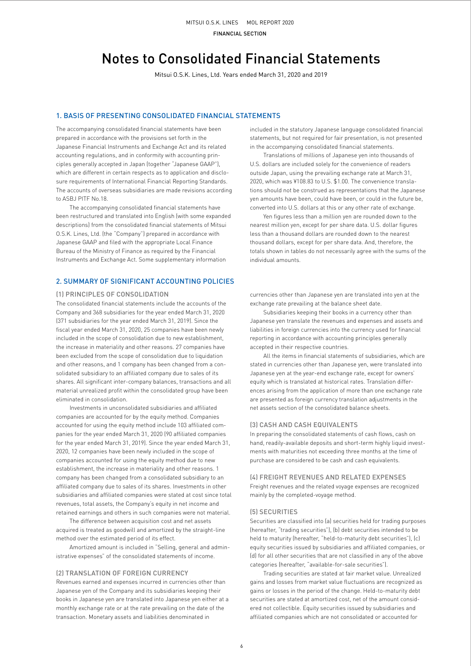## Notes to Consolidated Financial Statements

Mitsui O.S.K. Lines, Ltd. Years ended March 31, 2020 and 2019

## 1. BASIS OF PRESENTING CONSOLIDATED FINANCIAL STATEMENTS

The accompanying consolidated financial statements have been prepared in accordance with the provisions set forth in the Japanese Financial Instruments and Exchange Act and its related accounting regulations, and in conformity with accounting principles generally accepted in Japan (together "Japanese GAAP"), which are different in certain respects as to application and disclosure requirements of International Financial Reporting Standards. The accounts of overseas subsidiaries are made revisions according to ASB I PITE No. 18

The accompanying consolidated financial statements have been restructured and translated into English (with some expanded descriptions) from the consolidated financial statements of Mitsui O.S.K. Lines, Ltd. (the "Company") prepared in accordance with Japanese GAAP and filed with the appropriate Local Finance Bureau of the Ministry of Finance as required by the Financial Instruments and Exchange Act. Some supplementary information

## 2. SUMMARY OF SIGNIFICANT ACCOUNTING POLICIES

#### (1) PRINCIPLES OF CONSOLIDATION

The consolidated financial statements include the accounts of the Company and 368 subsidiaries for the year ended March 31, 2020 (371 subsidiaries for the year ended March 31, 2019). Since the fiscal year ended March 31, 2020, 25 companies have been newly included in the scope of consolidation due to new establishment, the increase in materiality and other reasons. 27 companies have been excluded from the scope of consolidation due to liquidation and other reasons, and 1 company has been changed from a consolidated subsidiary to an affiliated company due to sales of its shares. All significant inter-company balances, transactions and all material unrealized profit within the consolidated group have been eliminated in consolidation.

Investments in unconsolidated subsidiaries and affiliated companies are accounted for by the equity method. Companies accounted for using the equity method include 103 affiliated companies for the year ended March 31, 2020 (90 affiliated companies for the year ended March 31, 2019). Since the year ended March 31, 2020, 12 companies have been newly included in the scope of companies accounted for using the equity method due to new establishment, the increase in materiality and other reasons. 1 company has been changed from a consolidated subsidiary to an affiliated company due to sales of its shares. Investments in other subsidiaries and affiliated companies were stated at cost since total revenues, total assets, the Company's equity in net income and retained earnings and others in such companies were not material.

The difference between acquisition cost and net assets acquired is treated as goodwill and amortized by the straight-line method over the estimated period of its effect.

Amortized amount is included in "Selling, general and administrative expenses" of the consolidated statements of income.

#### (2) TRANSLATION OF FOREIGN CURRENCY

Revenues earned and expenses incurred in currencies other than Japanese yen of the Company and its subsidiaries keeping their books in Japanese yen are translated into Japanese yen either at a monthly exchange rate or at the rate prevailing on the date of the transaction. Monetary assets and liabilities denominated in

included in the statutory Japanese language consolidated financial statements, but not required for fair presentation, is not presented in the accompanying consolidated financial statements.

Translations of millions of Japanese yen into thousands of U.S. dollars are included solely for the convenience of readers outside Japan, using the prevailing exchange rate at March 31, 2020, which was ¥108.83 to U.S. \$1.00. The convenience translations should not be construed as representations that the Japanese yen amounts have been, could have been, or could in the future be, converted into U.S. dollars at this or any other rate of exchange.

Yen figures less than a million yen are rounded down to the nearest million yen, except for per share data. U.S. dollar figures less than a thousand dollars are rounded down to the nearest thousand dollars, except for per share data. And, therefore, the totals shown in tables do not necessarily agree with the sums of the individual amounts.

currencies other than Japanese yen are translated into yen at the exchange rate prevailing at the balance sheet date.

Subsidiaries keeping their books in a currency other than Japanese yen translate the revenues and expenses and assets and liabilities in foreign currencies into the currency used for financial reporting in accordance with accounting principles generally accepted in their respective countries.

All the items in financial statements of subsidiaries, which are stated in currencies other than Japanese yen, were translated into Japanese yen at the year-end exchange rate, except for owners' equity which is translated at historical rates. Translation differences arising from the application of more than one exchange rate are presented as foreign currency translation adjustments in the net assets section of the consolidated balance sheets.

#### (3) CASH AND CASH EQUIVALENTS

In preparing the consolidated statements of cash flows, cash on hand, readily-available deposits and short-term highly liquid investments with maturities not exceeding three months at the time of purchase are considered to be cash and cash equivalents.

(4) FREIGHT REVENUES AND RELATED EXPENSES Freight revenues and the related voyage expenses are recognized mainly by the completed-voyage method.

#### (5) SECURITIES

Securities are classified into (a) securities held for trading purposes (hereafter, "trading securities"), (b) debt securities intended to be held to maturity (hereafter, "held-to-maturity debt securities"), (c) equity securities issued by subsidiaries and affiliated companies, or (d) for all other securities that are not classified in any of the above categories (hereafter, "available-for-sale securities").

Trading securities are stated at fair market value. Unrealized gains and losses from market value fluctuations are recognized as gains or losses in the period of the change. Held-to-maturity debt securities are stated at amortized cost, net of the amount considered not collectible. Equity securities issued by subsidiaries and affiliated companies which are not consolidated or accounted for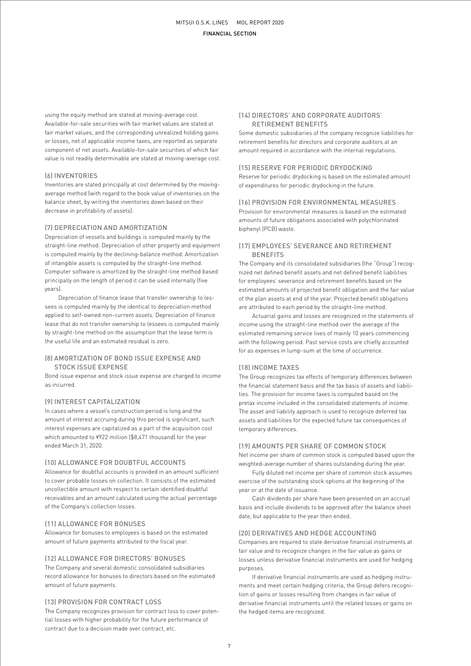## MITSUI O.S.K. LINES MOL REPORT 2020 FINANCIAL SECTION

using the equity method are stated at moving-average cost. Available-for-sale securities with fair market values are stated at fair market values, and the corresponding unrealized holding gains or losses, net of applicable income taxes, are reported as separate component of net assets. Available-for-sale securities of which fair value is not readily determinable are stated at moving-average cost.

#### (6) INVENTORIES

Inventories are stated principally at cost determined by the movingaverage method (with regard to the book value of inventories on the balance sheet, by writing the inventories down based on their decrease in profitability of assets).

#### (7) DEPRECIATION AND AMORTIZATION

Depreciation of vessels and buildings is computed mainly by the straight-line method. Depreciation of other property and equipment is computed mainly by the declining-balance method. Amortization of intangible assets is computed by the straight-line method. Computer software is amortized by the straight-line method based principally on the length of period it can be used internally (five years).

Depreciation of finance lease that transfer ownership to lessees is computed mainly by the identical to depreciation method applied to self-owned non-current assets. Depreciation of finance lease that do not transfer ownership to lessees is computed mainly by straight-line method on the assumption that the lease term is the useful life and an estimated residual is zero.

#### (8) AMORTIZATION OF BOND ISSUE EXPENSE AND STOCK ISSUE EXPENSE

Bond issue expense and stock issue expense are charged to income as incurred.

## (9) INTEREST CAPITALIZATION

In cases where a vessel's construction period is long and the amount of interest accruing during this period is significant, such interest expenses are capitalized as a part of the acquisition cost which amounted to ¥922 million (\$8,471 thousand) for the year ended March 31, 2020.

## (10) ALLOWANCE FOR DOUBTFUL ACCOUNTS

Allowance for doubtful accounts is provided in an amount sufficient to cover probable losses on collection. It consists of the estimated uncollectible amount with respect to certain identified doubtful receivables and an amount calculated using the actual percentage of the Company's collection losses.

#### (11) ALLOWANCE FOR BONUSES

Allowance for bonuses to employees is based on the estimated amount of future payments attributed to the fiscal year.

## (12) ALLOWANCE FOR DIRECTORS' BONUSES

The Company and several domestic consolidated subsidiaries record allowance for bonuses to directors based on the estimated amount of future payments.

## (13) PROVISION FOR CONTRACT LOSS

The Company recognizes provision for contract loss to cover potential losses with higher probability for the future performance of contract due to a decision made over contract, etc.

#### (14) DIRECTORS' AND CORPORATE AUDITORS' RETIREMENT BENEFITS

Some domestic subsidiaries of the company recognize liabilities for retirement benefits for directors and corporate auditors at an amount required in accordance with the internal regulations.

#### (15) RESERVE FOR PERIODIC DRYDOCKING

Reserve for periodic drydocking is based on the estimated amount of expenditures for periodic drydocking in the future.

#### (16) PROVISION FOR ENVIRONMENTAL MEASURES

Provision for environmental measures is based on the estimated amounts of future obligations associated with polychlorinated biphenyl (PCB) waste.

## (17) EMPLOYEES' SEVERANCE AND RETIREMENT BENEFITS

The Company and its consolidated subsidiaries (the "Group") recognized net defined benefit assets and net defined benefit liabilities for employees' severance and retirement benefits based on the estimated amounts of projected benefit obligation and the fair value of the plan assets at end of the year. Projected benefit obligations are attributed to each period by the straight-line method.

Actuarial gains and losses are recognized in the statements of income using the straight-line method over the average of the estimated remaining service lives of mainly 10 years commencing with the following period. Past service costs are chiefly accounted for as expenses in lump-sum at the time of occurrence.

#### (18) INCOME TAXES

The Group recognizes tax effects of temporary differences between the financial statement basis and the tax basis of assets and liabilities. The provision for income taxes is computed based on the pretax income included in the consolidated statements of income. The asset and liability approach is used to recognize deferred tax assets and liabilities for the expected future tax consequences of temporary differences.

#### (19) AMOUNTS PER SHARE OF COMMON STOCK

Net income per share of common stock is computed based upon the weighted-average number of shares outstanding during the year.

Fully diluted net income per share of common stock assumes exercise of the outstanding stock options at the beginning of the year or at the date of issuance.

Cash dividends per share have been presented on an accrual basis and include dividends to be approved after the balance sheet date, but applicable to the year then ended.

#### (20) DERIVATIVES AND HEDGE ACCOUNTING

Companies are required to state derivative financial instruments at fair value and to recognize changes in the fair value as gains or losses unless derivative financial instruments are used for hedging purposes.

If derivative financial instruments are used as hedging instruments and meet certain hedging criteria, the Group defers recognition of gains or losses resulting from changes in fair value of derivative financial instruments until the related losses or gains on the hedged items are recognized.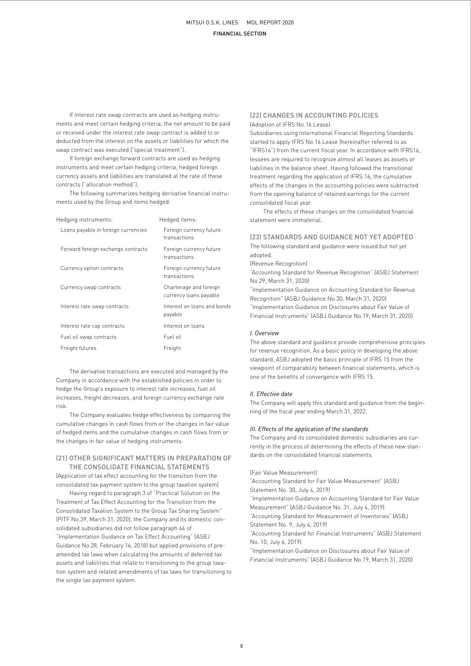If interest rate swap contracts are used as hedging instruments and meet certain hedging criteria, the net amount to be paid or received under the interest rate swap contract is added to or deducted from the interest on the assets or liabilities for which the swap contract was executed ("special treatment").

If foreign exchange forward contracts are used as hedging instruments and meet certain hedging criteria, hedged foreign currency assets and liabilities are translated at the rate of these contracts ("allocation method").

The following summarizes hedging derivative financial instruments used by the Group and items hedged:

| Hedging instruments:                | Hedged items:                                    |
|-------------------------------------|--------------------------------------------------|
| Loans payable in foreign currencies | Foreign currency future<br>transactions          |
| Forward foreign exchange contracts  | Foreign currency future<br>transactions          |
| Currency option contracts           | Foreign currency future<br>transactions          |
| Currency swap contracts             | Charterage and foreign<br>currency loans payable |
| Interest rate swap contracts        | Interest on loans and bonds<br>payable           |
| Interest rate cap contracts         | Interest on loans                                |
| Fuel oil swap contracts             | Fuel oil                                         |
| Freight futures                     | Freight                                          |
|                                     |                                                  |

The derivative transactions are executed and managed by the Company in accordance with the established policies in order to hedge the Group's exposure to interest rate increases, fuel oil increases, freight decreases, and foreign currency exchange rate risk.

The Company evaluates hedge effectiveness by comparing the cumulative changes in cash flows from or the changes in fair value of hedged items and the cumulative changes in cash flows from or the changes in fair value of hedging instruments.

#### (21) OTHER SIGNIFICANT MATTERS IN PREPARATION OF THE CONSOLIDATE FINANCIAL STATEMENTS

(Application of tax effect accounting for the transition from the consolidated tax payment system to the group taxation system)

Having regard to paragraph 3 of "Practical Solution on the Treatment of Tax Effect Accounting for the Transition from the Consolidated Taxation System to the Group Tax Sharing System" (PITF No.39, March 31, 2020), the Company and its domestic consolidated subsidiaries did not follow paragraph 44 of "Implementation Guidance on Tax Effect Accounting" (ASBJ Guidance No.28, February 16, 2018) but applied provisions of preamended tax laws when calculating the amounts of deferred tax assets and liabilities that relate to transitioning to the group taxation system and related amendments of tax laws for transitioning to the single tax payment system.

#### (22) CHANGES IN ACCOUNTING POLICIES (Adoption of IFRS No.16 Lease)

Subsidiaries using International Financial Reporting Standards started to apply IFRS No.16 Lease (hereinafter referred to as "IFRS16") from the current fiscal year. In accordance with IFRS16, lessees are required to recognize almost all leases as assets or liabilities in the balance sheet. Having followed the transitional treatment regarding the application of IFRS 16, the cumulative effects of the changes in the accounting policies were subtracted from the opening balance of retained earnings for the current consolidated fiscal year.

The effects of these changes on the consolidated financial statement were immaterial.

(23) STANDARDS AND GUIDANCE NOT YET ADOPTED The following standard and guidance were issued but not yet adopted.

(Revenue Recognition)

"Accounting Standard for Revenue Recognition" (ASBJ Statement No.29, March 31, 2020)

"Implementation Guidance on Accounting Standard for Revenue Recognition" (ASBJ Guidance No.30, March 31, 2020) "Implementation Guidance on Disclosures about Fair Value of Financial Instruments" (ASBJ Guidance No.19, March 31, 2020)

#### *I. Overview*

The above standard and guidance provide comprehensive principles for revenue recognition. As a basic policy in developing the above standard, ASBJ adopted the basic principle of IFRS 15 from the viewpoint of comparability between financial statements, which is one of the benefits of convergence with IFRS 15.

### *II. Effective date*

The Company will apply this standard and guidance from the beginning of the fiscal year ending March 31, 2022.

#### *III. Effects of the application of the standards*

The Company and its consolidated domestic subsidiaries are currently in the process of determining the effects of these new standards on the consolidated financial statements.

## (Fair Value Measurement)

"Accounting Standard for Fair Value Measurement" (ASBJ Statement No. 30, July 4, 2019) "Implementation Guidance on Accounting Standard for Fair Value Measurement" (ASBJ Guidance No. 31, July 4, 2019) "Accounting Standard for Measurement of Inventories" (ASBJ Statement No. 9, July 4, 2019) "Accounting Standard for Financial Instruments" (ASBJ Statement No. 10, July 4, 2019)

"Implementation Guidance on Disclosures about Fair Value of Financial Instruments" (ASBJ Guidance No.19, March 31, 2020)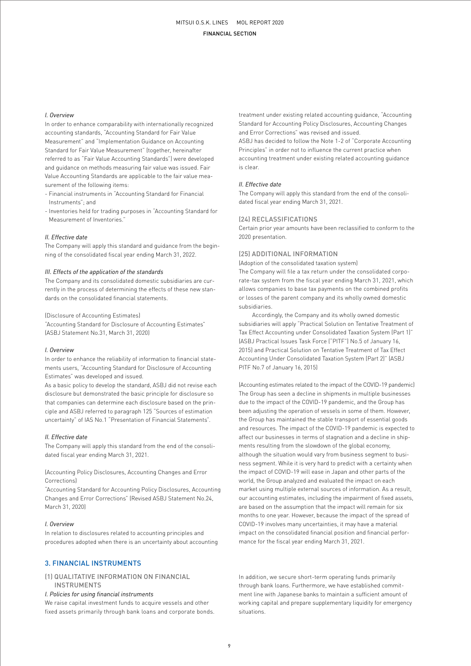#### *I. Overview*

In order to enhance comparability with internationally recognized accounting standards, "Accounting Standard for Fair Value Measurement" and "Implementation Guidance on Accounting Standard for Fair Value Measurement" (together, hereinafter referred to as "Fair Value Accounting Standards") were developed and guidance on methods measuring fair value was issued. Fair Value Accounting Standards are applicable to the fair value measurement of the following items:

- Financial instruments in "Accounting Standard for Financial Instruments"; and
- Inventories held for trading purposes in "Accounting Standard for Measurement of Inventories."

#### *II. Effective date*

The Company will apply this standard and guidance from the beginning of the consolidated fiscal year ending March 31, 2022.

#### *III. Effects of the application of the standards*

The Company and its consolidated domestic subsidiaries are currently in the process of determining the effects of these new standards on the consolidated financial statements.

#### (Disclosure of Accounting Estimates)

"Accounting Standard for Disclosure of Accounting Estimates" (ASBJ Statement No.31, March 31, 2020)

#### *I. Overview*

In order to enhance the reliability of information to financial statements users, "Accounting Standard for Disclosure of Accounting Estimates" was developed and issued.

As a basic policy to develop the standard, ASBJ did not revise each disclosure but demonstrated the basic principle for disclosure so that companies can determine each disclosure based on the principle and ASBJ referred to paragraph 125 "Sources of estimation uncertainty" of IAS No.1 "Presentation of Financial Statements".

#### *II. Effective date*

The Company will apply this standard from the end of the consolidated fiscal year ending March 31, 2021.

(Accounting Policy Disclosures, Accounting Changes and Error Corrections)

"Accounting Standard for Accounting Policy Disclosures, Accounting Changes and Error Corrections" (Revised ASBJ Statement No.24, March 31, 2020)

#### *I. Overview*

In relation to disclosures related to accounting principles and procedures adopted when there is an uncertainty about accounting

## 3. FINANCIAL INSTRUMENTS

## (1) QUALITATIVE INFORMATION ON FINANCIAL INSTRUMENTS

#### *I. Policies for using financial instruments*

We raise capital investment funds to acquire vessels and other fixed assets primarily through bank loans and corporate bonds. treatment under existing related accounting guidance, "Accounting Standard for Accounting Policy Disclosures, Accounting Changes and Error Corrections" was revised and issued.

ASBJ has decided to follow the Note 1-2 of "Corporate Accounting Principles" in order not to influence the current practice when accounting treatment under existing related accounting guidance is clear.

#### *II. Effective date*

The Company will apply this standard from the end of the consolidated fiscal year ending March 31, 2021.

#### (24) RECLASSIFICATIONS

Certain prior year amounts have been reclassified to conform to the 2020 presentation.

#### (25) ADDITIONAL INFORMATION

(Adoption of the consolidated taxation system)

The Company will file a tax return under the consolidated corporate-tax system from the fiscal year ending March 31, 2021, which allows companies to base tax payments on the combined profits or losses of the parent company and its wholly owned domestic subsidiaries.

Accordingly, the Company and its wholly owned domestic subsidiaries will apply "Practical Solution on Tentative Treatment of Tax Effect Accounting under Consolidated Taxation System (Part 1)" (ASBJ Practical Issues Task Force ("PITF") No.5 of January 16, 2015) and Practical Solution on Tentative Treatment of Tax Effect Accounting Under Consolidated Taxation System (Part 2)" (ASBJ PITF No.7 of January 16, 2015)

(Accounting estimates related to the impact of the COVID-19 pandemic) The Group has seen a decline in shipments in multiple businesses due to the impact of the COVID-19 pandemic, and the Group has been adjusting the operation of vessels in some of them. However, the Group has maintained the stable transport of essential goods and resources. The impact of the COVID-19 pandemic is expected to affect our businesses in terms of stagnation and a decline in shipments resulting from the slowdown of the global economy, although the situation would vary from business segment to business segment. While it is very hard to predict with a certainty when the impact of COVID-19 will ease in Japan and other parts of the world, the Group analyzed and evaluated the impact on each market using multiple external sources of information. As a result, our accounting estimates, including the impairment of fixed assets, are based on the assumption that the impact will remain for six months to one year. However, because the impact of the spread of COVID-19 involves many uncertainties, it may have a material impact on the consolidated financial position and financial performance for the fiscal year ending March 31, 2021.

In addition, we secure short-term operating funds primarily through bank loans. Furthermore, we have established commitment line with Japanese banks to maintain a sufficient amount of working capital and prepare supplementary liquidity for emergency situations.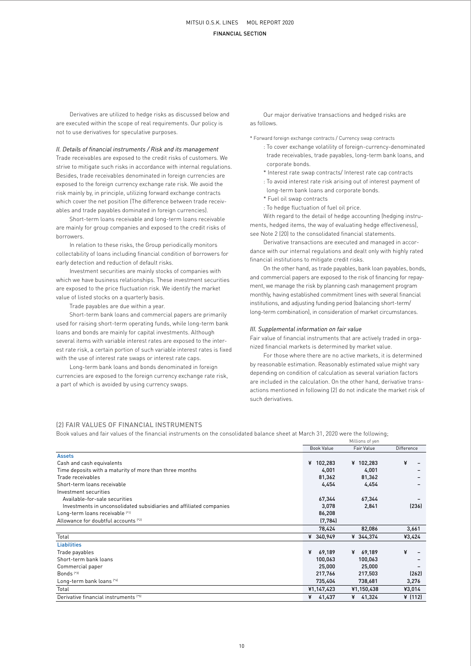Derivatives are utilized to hedge risks as discussed below and are executed within the scope of real requirements. Our policy is not to use derivatives for speculative purposes.

#### *II. Details of financial instruments / Risk and its management*

Trade receivables are exposed to the credit risks of customers. We strive to mitigate such risks in accordance with internal regulations. Besides, trade receivables denominated in foreign currencies are exposed to the foreign currency exchange rate risk. We avoid the risk mainly by, in principle, utilizing forward exchange contracts which cover the net position (The difference between trade receivables and trade payables dominated in foreign currencies).

Short-term loans receivable and long-term loans receivable are mainly for group companies and exposed to the credit risks of borrowers.

In relation to these risks, the Group periodically monitors collectability of loans including financial condition of borrowers for early detection and reduction of default risks.

Investment securities are mainly stocks of companies with which we have business relationships. These investment securities are exposed to the price fluctuation risk. We identify the market value of listed stocks on a quarterly basis.

Trade payables are due within a year.

Short-term bank loans and commercial papers are primarily used for raising short-term operating funds, while long-term bank loans and bonds are mainly for capital investments. Although several items with variable interest rates are exposed to the interest rate risk, a certain portion of such variable interest rates is fixed with the use of interest rate swaps or interest rate caps.

Long-term bank loans and bonds denominated in foreign currencies are exposed to the foreign currency exchange rate risk, a part of which is avoided by using currency swaps.

Our major derivative transactions and hedged risks are as follows.

\* Forward foreign exchange contracts / Currency swap contracts

- : To cover exchange volatility of foreign-currency-denominated trade receivables, trade payables, long-term bank loans, and corporate bonds.
- \* Interest rate swap contracts/ Interest rate cap contracts
- : To avoid interest rate risk arising out of interest payment of long-term bank loans and corporate bonds.
- \* Fuel oil swap contracts
- : To hedge fluctuation of fuel oil price.

With regard to the detail of hedge accounting (hedging instruments, hedged items, the way of evaluating hedge effectiveness), see Note 2 (20) to the consolidated financial statements.

Derivative transactions are executed and managed in accordance with our internal regulations and dealt only with highly rated financial institutions to mitigate credit risks.

On the other hand, as trade payables, bank loan payables, bonds, and commercial papers are exposed to the risk of financing for repayment, we manage the risk by planning cash management program monthly, having established commitment lines with several financial institutions, and adjusting funding period (balancing short-term/ long-term combination), in consideration of market circumstances.

#### *III. Supplemental information on fair value*

Fair value of financial instruments that are actively traded in organized financial markets is determined by market value.

For those where there are no active markets, it is determined by reasonable estimation. Reasonably estimated value might vary depending on condition of calculation as several variation factors are included in the calculation. On the other hand, derivative transactions mentioned in following (2) do not indicate the market risk of such derivatives.

#### (2) FAIR VALUES OF FINANCIAL INSTRUMENTS

Book values and fair values of the financial instruments on the consolidated balance sheet at March 31, 2020 were the following;

|                                                                     | Millions of yen   |             |            |  |  |
|---------------------------------------------------------------------|-------------------|-------------|------------|--|--|
|                                                                     | <b>Book Value</b> | Fair Value  | Difference |  |  |
| <b>Assets</b>                                                       |                   |             |            |  |  |
| Cash and cash equivalents                                           | 102,283<br>¥      | ¥ 102,283   | ¥          |  |  |
| Time deposits with a maturity of more than three months             | 4,001             | 4,001       |            |  |  |
| Trade receivables                                                   | 81,362            | 81,362      |            |  |  |
| Short-term loans receivable                                         | 4,454             | 4,454       |            |  |  |
| Investment securities                                               |                   |             |            |  |  |
| Available-for-sale securities                                       | 67,344            | 67,344      |            |  |  |
| Investments in unconsolidated subsidiaries and affiliated companies | 3,078             | 2,841       | [236]      |  |  |
| Long-term loans receivable [*1]                                     | 86,208            |             |            |  |  |
| Allowance for doubtful accounts (*2)                                | (7, 784)          |             |            |  |  |
|                                                                     | 78,424            | 82,086      | 3,661      |  |  |
| Total                                                               | ¥ 340,949         | ¥ 344.374   | ¥3,424     |  |  |
| <b>Liabilities</b>                                                  |                   |             |            |  |  |
| Trade payables                                                      | ¥<br>69,189       | 69,189<br>¥ | ¥          |  |  |
| Short-term bank loans                                               | 100,063           | 100,063     |            |  |  |
| Commercial paper                                                    | 25,000            | 25,000      |            |  |  |
| Bonds <sup>[*3]</sup>                                               | 217,766           | 217,503     | (262)      |  |  |
| Long-term bank loans [*4]                                           | 735,404           | 738,681     | 3,276      |  |  |
| Total                                                               | ¥1,147,423        | ¥1,150,438  | ¥3,014     |  |  |
| Derivative financial instruments [*5]                               | ¥<br>41,437       | ¥ $41,324$  | $¥$ (112)  |  |  |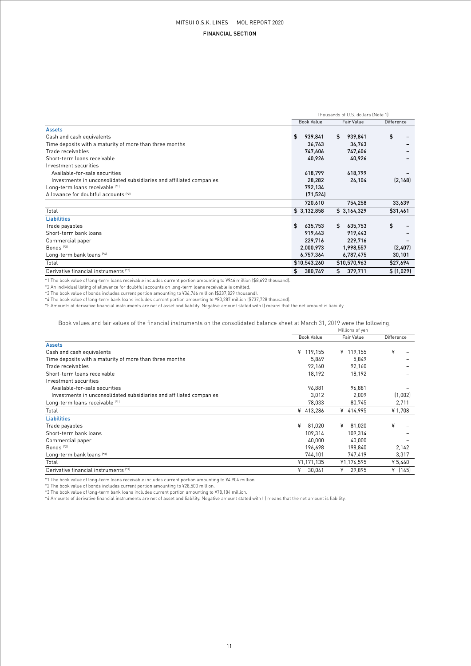## MITSUI O.S.K. LINES MOL REPORT 2020 FINANCIAL SECTION

|                                                                     |                   | Thousands of U.S. dollars (Note 1) |               |            |          |          |
|---------------------------------------------------------------------|-------------------|------------------------------------|---------------|------------|----------|----------|
|                                                                     | <b>Book Value</b> | Fair Value                         |               | Difference |          |          |
| <b>Assets</b>                                                       |                   |                                    |               |            |          |          |
| Cash and cash equivalents                                           | \$                | 939,841                            | 939,841<br>\$ |            | \$       |          |
| Time deposits with a maturity of more than three months             |                   | 36,763                             |               | 36,763     |          |          |
| Trade receivables                                                   |                   | 747,606                            |               | 747,606    |          |          |
| Short-term loans receivable                                         |                   | 40,926                             |               | 40,926     |          |          |
| Investment securities                                               |                   |                                    |               |            |          |          |
| Available-for-sale securities                                       |                   | 618,799                            | 618,799       |            |          |          |
| Investments in unconsolidated subsidiaries and affiliated companies |                   | 28,282                             |               | 26,104     |          | (2, 168) |
| Long-term loans receivable [*1]                                     |                   | 792,134                            |               |            |          |          |
| Allowance for doubtful accounts <a>[*2]</a>                         |                   | (71, 524)                          |               |            |          |          |
|                                                                     |                   | 720,610                            |               | 754,258    |          | 33,639   |
| Total                                                               |                   | \$3,132,858                        | \$3,164,329   |            | \$31,461 |          |
| <b>Liabilities</b>                                                  |                   |                                    |               |            |          |          |
| Trade payables                                                      | \$                | 635,753                            | 635,753<br>\$ |            | \$       |          |
| Short-term bank loans                                               |                   | 919,443                            | 919,443       |            |          |          |
| Commercial paper                                                    |                   | 229,716                            |               | 229,716    |          |          |
| Bonds <sup>[*3]</sup>                                               |                   | 2,000,973                          | 1,998,557     |            |          | (2,407)  |
| Long-term bank loans (*4)                                           |                   | 6,757,364                          | 6,787,475     |            |          | 30,101   |
| Total                                                               |                   | \$10,543,260                       | \$10,570,963  |            | \$27,694 |          |
| Derivative financial instruments [*5]                               | \$                | 380,749                            | 379,711<br>\$ |            |          | \$1,029] |

\*1 The book value of long-term loans receivable includes current portion amounting to ¥946 million (\$8,692 thousand).

\*2 An individual listing of allowance for doubtful accounts on long-term loans receivable is omitted.

\*3 The book value of bonds includes current portion amounting to ¥36,766 million (\$337,829 thousand).

\*4 The book value of long-term bank loans includes current portion amounting to ¥80,287 million (\$737,728 thousand).

\*5 Amounts of derivative financial instruments are net of asset and liability. Negative amount stated with () means that the net amount is liability.

#### Book values and fair values of the financial instruments on the consolidated balance sheet at March 31, 2019 were the following;

|                                                                     | Millions of yen |             |            |  |  |
|---------------------------------------------------------------------|-----------------|-------------|------------|--|--|
|                                                                     | Book Value      | Fair Value  | Difference |  |  |
| <b>Assets</b>                                                       |                 |             |            |  |  |
| Cash and cash equivalents                                           | ¥ 119,155       | ¥ 119,155   | ¥          |  |  |
| Time deposits with a maturity of more than three months             | 5,849           | 5,849       |            |  |  |
| Trade receivables                                                   | 92,160          | 92,160      |            |  |  |
| Short-term loans receivable                                         | 18,192          | 18,192      |            |  |  |
| Investment securities                                               |                 |             |            |  |  |
| Available-for-sale securities                                       | 96,881          | 96,881      |            |  |  |
| Investments in unconsolidated subsidiaries and affiliated companies | 3.012           | 2.009       | (1,002)    |  |  |
| Long-term loans receivable [*1]                                     | 78,033          | 80,745      | 2,711      |  |  |
| Total                                                               | ¥ 413,286       | ¥ 414.995   | ¥ 1,708    |  |  |
| <b>Liabilities</b>                                                  |                 |             |            |  |  |
| Trade payables                                                      | ¥<br>81,020     | 81,020<br>¥ | ¥          |  |  |
| Short-term bank loans                                               | 109,314         | 109,314     |            |  |  |
| Commercial paper                                                    | 40,000          | 40,000      |            |  |  |
| Bonds <sup>[*2]</sup>                                               | 196.698         | 198.840     | 2,142      |  |  |
| Long-term bank loans (*3)                                           | 744,101         | 747,419     | 3,317      |  |  |
| Total                                                               | ¥1,171,135      | ¥1,176,595  | ¥ 5,460    |  |  |
| Derivative financial instruments [*4]                               | 30,041<br>¥     | ¥<br>29,895 | ¥ $(145)$  |  |  |

\*1 The book value of long-term loans receivable includes current portion amounting to ¥4,904 million. \*2 The book value of bonds includes current portion amounting to ¥28,500 million.

\*3 The book value of long-term bank loans includes current portion amounting to ¥78,104 million.

\*4 Amounts of derivative financial instruments are net of asset and liability. Negative amount stated with ( ) means that the net amount is liability.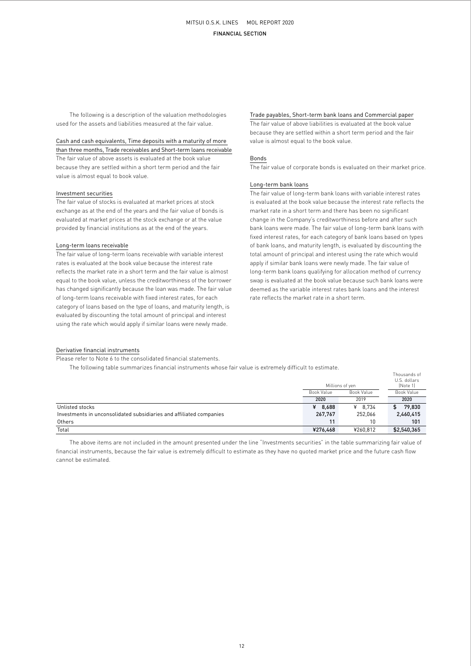## MITSUI O.S.K. LINES MOL REPORT 2020 FINANCIAL SECTION

The following is a description of the valuation methodologies used for the assets and liabilities measured at the fair value.

#### Cash and cash equivalents, Time deposits with a maturity of more

than three months, Trade receivables and Short-term loans receivable The fair value of above assets is evaluated at the book value because they are settled within a short term period and the fair value is almost equal to book value.

#### Investment securities

The fair value of stocks is evaluated at market prices at stock exchange as at the end of the years and the fair value of bonds is evaluated at market prices at the stock exchange or at the value provided by financial institutions as at the end of the years.

#### Long-term loans receivable

The fair value of long-term loans receivable with variable interest rates is evaluated at the book value because the interest rate reflects the market rate in a short term and the fair value is almost equal to the book value, unless the creditworthiness of the borrower has changed significantly because the loan was made. The fair value of long-term loans receivable with fixed interest rates, for each category of loans based on the type of loans, and maturity length, is evaluated by discounting the total amount of principal and interest using the rate which would apply if similar loans were newly made.

Trade payables, Short-term bank loans and Commercial paper The fair value of above liabilities is evaluated at the book value because they are settled within a short term period and the fair value is almost equal to the book value.

#### Bonds

The fair value of corporate bonds is evaluated on their market price.

#### Long-term bank loans

The fair value of long-term bank loans with variable interest rates is evaluated at the book value because the interest rate reflects the market rate in a short term and there has been no significant change in the Company's creditworthiness before and after such bank loans were made. The fair value of long-term bank loans with fixed interest rates, for each category of bank loans based on types of bank loans, and maturity length, is evaluated by discounting the total amount of principal and interest using the rate which would apply if similar bank loans were newly made. The fair value of long-term bank loans qualifying for allocation method of currency swap is evaluated at the book value because such bank loans were deemed as the variable interest rates bank loans and the interest rate reflects the market rate in a short term.

#### Derivative financial instruments

Please refer to Note 6 to the consolidated financial statements.

The following table summarizes financial instruments whose fair value is extremely difficult to estimate.

|                                                                     |            |                 | Thousands of<br>U.S. dollars |
|---------------------------------------------------------------------|------------|-----------------|------------------------------|
|                                                                     |            | Millions of ven | [Note 1]                     |
|                                                                     | Book Value | Book Value      | Book Value                   |
|                                                                     | 2020       | 2019            | 2020                         |
| Unlisted stocks                                                     | ¥ $8,688$  | ¥ 8.734         | 79,830<br>\$                 |
| Investments in unconsolidated subsidiaries and affiliated companies | 267,767    | 252.066         | 2,460,415                    |
| Others                                                              | 11         | 10              | 101                          |
| Total                                                               | ¥276.468   | ¥260.812        | \$2,540,365                  |

The above items are not included in the amount presented under the line "Investments securities" in the table summarizing fair value of financial instruments, because the fair value is extremely difficult to estimate as they have no quoted market price and the future cash flow cannot be estimated.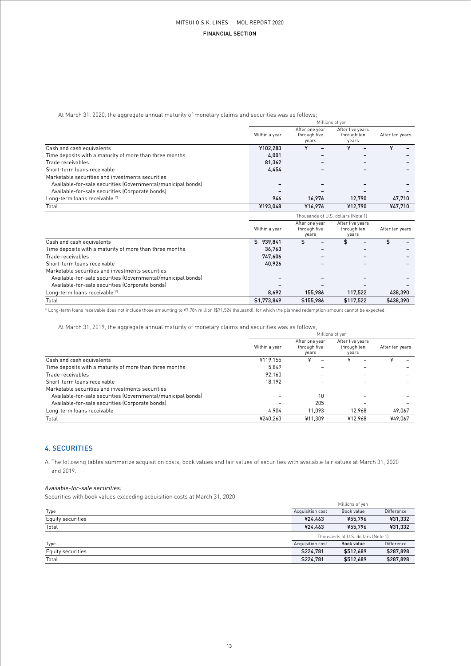At March 31, 2020, the aggregate annual maturity of monetary claims and securities was as follows;

|                                                              | Millions of yen |                                         |                                          |                 |  |
|--------------------------------------------------------------|-----------------|-----------------------------------------|------------------------------------------|-----------------|--|
|                                                              | Within a year   | After one year<br>through five<br>years | After five years<br>through ten<br>years | After ten years |  |
| Cash and cash equivalents                                    | ¥102,283        | ¥                                       | ¥                                        | ¥               |  |
| Time deposits with a maturity of more than three months      | 4,001           |                                         |                                          |                 |  |
| Trade receivables                                            | 81,362          |                                         |                                          |                 |  |
| Short-term loans receivable                                  | 4,454           |                                         |                                          |                 |  |
| Marketable securities and investments securities             |                 |                                         |                                          |                 |  |
| Available-for-sale securities (Governmental/municipal bonds) |                 |                                         |                                          |                 |  |
| Available-for-sale securities (Corporate bonds)              |                 |                                         |                                          |                 |  |
| Long-term loans receivable (*)                               | 946             | 16,976                                  | 12,790                                   | 47,710          |  |
| Total                                                        | ¥193,048        | ¥16,976                                 | ¥12,790                                  | ¥47,710         |  |
|                                                              |                 | Thousands of U.S. dollars (Note 1)      |                                          |                 |  |
|                                                              | Within a year   | After one year<br>through five<br>years | After five years<br>through ten<br>years | After ten years |  |
| Cash and cash equivalents                                    | \$939,841       | \$                                      | \$                                       |                 |  |
| Time deposits with a maturity of more than three months      | 36,763          |                                         |                                          |                 |  |
| Trade receivables                                            | 747,606         |                                         |                                          |                 |  |
| Short-term loans receivable                                  | 40,926          |                                         |                                          |                 |  |
| Marketable securities and investments securities             |                 |                                         |                                          |                 |  |
| Available-for-sale securities (Governmental/municipal bonds) |                 |                                         |                                          |                 |  |
| Available-for-sale securities (Corporate bonds)              |                 |                                         |                                          |                 |  |
| Long-term loans receivable (*)                               | 8,692           | 155,986                                 | 117,522                                  | 438,390         |  |
| Total                                                        | \$1,773,849     | \$155,986                               | \$117,522                                | \$438,390       |  |

\* Long-term loans receivable does not include those amounting to ¥7,784 million (\$71,524 thousand), for which the planned redemption amount cannot be expected.

At March 31, 2019, the aggregate annual maturity of monetary claims and securities was as follows;

|                                                              | Millions of yen |                                         |                                          |                 |
|--------------------------------------------------------------|-----------------|-----------------------------------------|------------------------------------------|-----------------|
|                                                              | Within a year   | After one year<br>through five<br>years | After five years<br>through ten<br>years | After ten years |
| Cash and cash equivalents                                    | ¥119,155        |                                         |                                          |                 |
| Time deposits with a maturity of more than three months      | 5.849           |                                         |                                          |                 |
| Trade receivables                                            | 92.160          |                                         |                                          |                 |
| Short-term loans receivable                                  | 18,192          |                                         |                                          |                 |
| Marketable securities and investments securities             |                 |                                         |                                          |                 |
| Available-for-sale securities (Governmental/municipal bonds) |                 | 10                                      |                                          |                 |
| Available-for-sale securities (Corporate bonds)              |                 | 205                                     |                                          |                 |
| Long-term loans receivable                                   | 4.904           | 11.093                                  | 12.968                                   | 49,067          |
| Total                                                        | ¥240.263        | ¥11.309                                 | ¥12.968                                  | ¥49.067         |

## 4. SECURITIES

A. The following tables summarize acquisition costs, book values and fair values of securities with available fair values at March 31, 2020 and 2019.

#### *Available-for-sale securities:*

Securities with book values exceeding acquisition costs at March 31, 2020

|                   |                  | Millions of yen                    |            |
|-------------------|------------------|------------------------------------|------------|
| Type              | Acquisition cost | Book value                         | Difference |
| Equity securities | ¥24.463          | ¥55.796                            | ¥31,332    |
| Total             | ¥24.463          | ¥55.796                            | ¥31,332    |
|                   |                  | Thousands of U.S. dollars (Note 1) |            |
| Type              | Acquisition cost | Book value                         | Difference |
| Equity securities | \$224.781        | \$512.689                          | \$287,898  |
| Total             | \$224,781        | \$512,689                          | \$287,898  |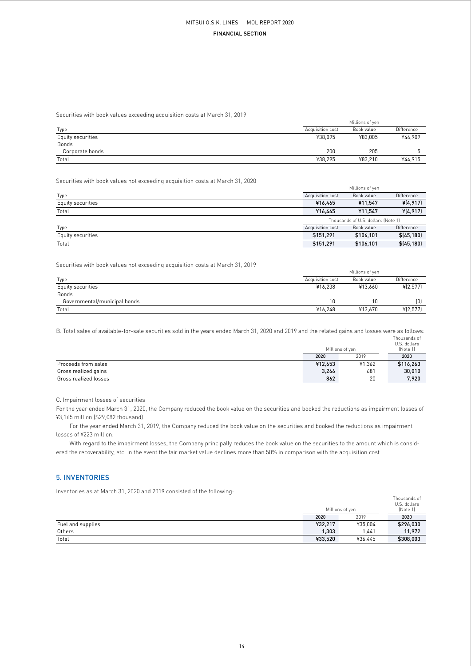Securities with book values exceeding acquisition costs at March 31, 2019

|                   |                  | Millions of yen |            |
|-------------------|------------------|-----------------|------------|
| Type              | Acquisition cost | Book value      | Difference |
| Equity securities | ¥38.095          | ¥83.005         | ¥44.909    |
| Bonds             |                  |                 |            |
| Corporate bonds   | 200              | 205             |            |
| Total             | ¥38,295          | ¥83,210         | ¥44.915    |

Securities with book values not exceeding acquisition costs at March 31, 2020

|                   |                  | Millions of yen                    |             |
|-------------------|------------------|------------------------------------|-------------|
| Type              | Acquisition cost | Book value                         | Difference  |
| Equity securities | ¥16.465          | ¥11.547                            | ¥[4,917]    |
| Total             | ¥16.465          | ¥11.547                            | ¥[4,917]    |
|                   |                  | Thousands of U.S. dollars (Note 1) |             |
| Type              | Acquisition cost | Book value                         | Difference  |
| Equity securities | \$151.291        | \$106.101                          | \$(45, 180) |
| Total             | \$151,291        | \$106,101                          | \$(45, 180) |

Securities with book values not exceeding acquisition costs at March 31, 2019

|                              | Millions of yen  |            |            |
|------------------------------|------------------|------------|------------|
| Type                         | Acquisition cost | Book value | Difference |
| Equity securities            | ¥16.238          | ¥13.660    | ¥[2,577]   |
| <b>Bonds</b>                 |                  |            |            |
| Governmental/municipal bonds | 10               |            | (0)        |
| Total                        | ¥16.248          | ¥13.670    | ¥[2,577]   |

B. Total sales of available-for-sale securities sold in the years ended March 31, 2020 and 2019 and the related gains and losses were as follows: Thousands of U.S. dollars

|                       | Millions of ven |        | 0.0. UU UU U<br>[Note 1] |
|-----------------------|-----------------|--------|--------------------------|
|                       | 2020            | 2019   | 2020                     |
| Proceeds from sales   | ¥12.653         | ¥1.362 | \$116,263                |
| Gross realized gains  | 3,266           | 681    | 30,010                   |
| Gross realized losses | 862             | 20     | 7,920                    |

C. Impairment losses of securities

For the year ended March 31, 2020, the Company reduced the book value on the securities and booked the reductions as impairment losses of ¥3,165 million (\$29,082 thousand).

For the year ended March 31, 2019, the Company reduced the book value on the securities and booked the reductions as impairment losses of ¥223 million.

With regard to the impairment losses, the Company principally reduces the book value on the securities to the amount which is considered the recoverability, etc. in the event the fair market value declines more than 50% in comparison with the acquisition cost.

## 5. INVENTORIES

Inventories as at March 31, 2020 and 2019 consisted of the following:

| $\tilde{}$        |         | Millions of yen | Thousands of<br>U.S. dollars<br>[Note 1] |
|-------------------|---------|-----------------|------------------------------------------|
|                   | 2020    | 2019            | 2020                                     |
| Fuel and supplies | ¥32,217 | ¥35,004         | \$296,030                                |
| Others            | 1,303   | ,441            | 11,972                                   |
| Total             | ¥33,520 | ¥36.445         | \$308,003                                |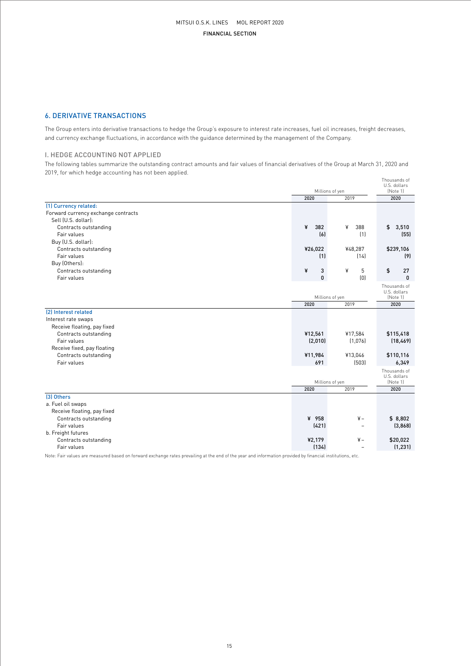## 6. DERIVATIVE TRANSACTIONS

The Group enters into derivative transactions to hedge the Group's exposure to interest rate increases, fuel oil increases, freight decreases, and currency exchange fluctuations, in accordance with the guidance determined by the management of the Company.

## I. HEDGE ACCOUNTING NOT APPLIED

The following tables summarize the outstanding contract amounts and fair values of financial derivatives of the Group at March 31, 2020 and 2019, for which hedge accounting has not been applied. Thousands of

|                                     | Millions of yen |                 | U.S. dollars<br>(Note 1)     |
|-------------------------------------|-----------------|-----------------|------------------------------|
|                                     | 2019<br>2020    |                 | 2020                         |
| (1) Currency related:               |                 |                 |                              |
| Forward currency exchange contracts |                 |                 |                              |
| Sell (U.S. dollar):                 |                 |                 |                              |
| Contracts outstanding               | ¥<br>382        | ¥<br>388        | \$<br>3,510                  |
| Fair values                         | (6)             | (1)             | (55)                         |
| Buy (U.S. dollar):                  |                 |                 |                              |
| Contracts outstanding               | ¥26,022         | ¥48,287         | \$239,106                    |
| Fair values                         | (1)             | (14)            | (9)                          |
| Buy (Others):                       |                 |                 |                              |
| Contracts outstanding               | ¥<br>3          | ¥<br>5          | \$<br>27                     |
| Fair values                         | 0               | [0]             | $\mathbf{0}$                 |
|                                     |                 |                 | Thousands of                 |
|                                     |                 |                 | U.S. dollars                 |
|                                     |                 | Millions of yen | (Note 1)                     |
|                                     | 2020            | 2019            | 2020                         |
| [2] Interest related                |                 |                 |                              |
| Interest rate swaps                 |                 |                 |                              |
| Receive floating, pay fixed         |                 |                 |                              |
| Contracts outstanding               | ¥12,561         | ¥17,584         | \$115,418                    |
| Fair values                         | (2,010)         | (1,076)         | (18, 469)                    |
| Receive fixed, pay floating         |                 |                 |                              |
| Contracts outstanding               | ¥11,984         | ¥13,046         | \$110,116                    |
| Fair values                         | 691             | (503)           | 6,349                        |
|                                     |                 |                 | Thousands of<br>U.S. dollars |
|                                     |                 | Millions of yen | (Note 1)                     |
|                                     | 2020            | 2019            | 2020                         |
| [3] Others                          |                 |                 |                              |
| a. Fuel oil swaps                   |                 |                 |                              |
| Receive floating, pay fixed         |                 |                 |                              |
| Contracts outstanding               | ¥ 958           | $\angle +$      | \$8,802                      |
| Fair values                         | (421)           |                 | (3,868)                      |
| b. Freight futures                  |                 |                 |                              |
| Contracts outstanding               | ¥2,179          | $\angle +$      | \$20,022                     |
| Fair values                         | (134)           |                 | (1, 231)                     |

Note: Fair values are measured based on forward exchange rates prevailing at the end of the year and information provided by financial institutions, etc.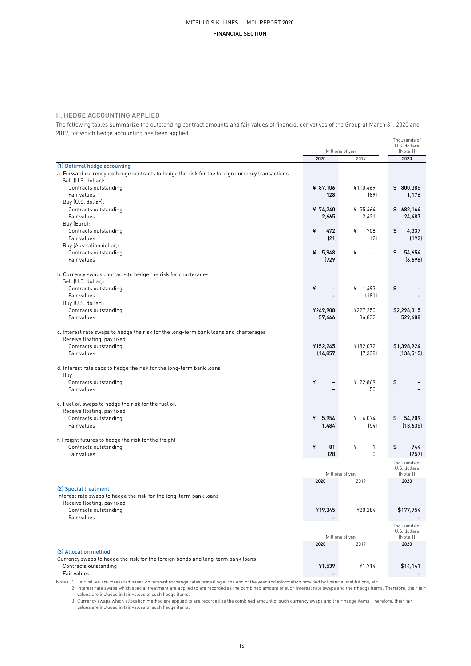#### II. HEDGE ACCOUNTING APPLIED

The following tables summarize the outstanding contract amounts and fair values of financial derivatives of the Group at March 31, 2020 and 2019, for which hedge accounting has been applied.

|                                                                                                |                               |                          | Thousands of                 |
|------------------------------------------------------------------------------------------------|-------------------------------|--------------------------|------------------------------|
|                                                                                                |                               | Millions of yen          | U.S. dollars<br>(Note 1)     |
|                                                                                                | 2020                          | 2019                     | 2020                         |
| (1) Deferral hedge accounting                                                                  |                               |                          |                              |
| a. Forward currency exchange contracts to hedge the risk for the foreign currency transactions |                               |                          |                              |
| Sell (U.S. dollar):                                                                            |                               |                          |                              |
| Contracts outstanding                                                                          | ¥ 87,106                      | ¥110,469                 | \$ 800.385                   |
| Fair values                                                                                    | 128                           | [89]                     | 1,176                        |
| Buy (U.S. dollar):                                                                             |                               |                          |                              |
| Contracts outstanding                                                                          | ¥ 74,240                      | ¥ 55,464                 | \$682,164                    |
| Fair values                                                                                    | 2,665                         | 2,421                    | 24,487                       |
| Buy (Euro):                                                                                    |                               |                          |                              |
| Contracts outstanding                                                                          | ¥<br>472                      | 708<br>¥                 | \$<br>4,337                  |
| Fair values                                                                                    | (21)                          | (2)                      | (192)                        |
| Buy (Australian dollar):                                                                       |                               |                          |                              |
| Contracts outstanding                                                                          | ¥ $5,948$                     | ¥<br>$\qquad \qquad -$   | \$<br>54,654                 |
| Fair values                                                                                    | (729)                         | $\overline{\phantom{a}}$ | (6,698)                      |
| b. Currency swaps contracts to hedge the risk for charterages<br>Sell (U.S. dollar):           |                               |                          |                              |
| Contracts outstanding                                                                          | ¥<br>$\overline{\phantom{0}}$ | ¥ $1,493$                | \$                           |
| Fair values                                                                                    |                               | (181)                    |                              |
| Buy (U.S. dollar):                                                                             |                               |                          |                              |
| Contracts outstanding                                                                          | ¥249,908                      | ¥227,250                 | \$2,296,315                  |
| Fair values                                                                                    | 57,646                        | 36,832                   | 529,688                      |
|                                                                                                |                               |                          |                              |
| c. Interest rate swaps to hedge the risk for the long-term bank loans and charterages          |                               |                          |                              |
| Receive floating, pay fixed                                                                    |                               |                          |                              |
| Contracts outstanding                                                                          | ¥152,245                      | ¥182,072                 | \$1,398,924                  |
| Fair values                                                                                    | (14, 857)                     | (7, 338)                 | (136, 515)                   |
| d. Interest rate caps to hedge the risk for the long-term bank loans                           |                               |                          |                              |
| Buy                                                                                            | ¥                             | ¥ 22,869                 | \$                           |
| Contracts outstanding<br>Fair values                                                           |                               | 50                       |                              |
|                                                                                                |                               |                          |                              |
| e. Fuel oil swaps to hedge the risk for the fuel oil                                           |                               |                          |                              |
| Receive floating, pay fixed                                                                    |                               |                          |                              |
| Contracts outstanding                                                                          | ¥ 5,954                       | ¥ 4,074                  | \$<br>54,709                 |
| Fair values                                                                                    | (1,484)                       | (54)                     | (13,635)                     |
|                                                                                                |                               |                          |                              |
| f. Freight futures to hedge the risk for the freight                                           |                               |                          |                              |
| Contracts outstanding                                                                          | ¥<br>81                       | ¥<br>$\mathbf{1}$        | \$<br>744                    |
| Fair values                                                                                    | (28)                          | 0                        | (257)                        |
|                                                                                                |                               |                          | Thousands of<br>U.S. dollars |
|                                                                                                |                               | Millions of yen          | (Note 1)                     |
|                                                                                                | 2020                          | 2019                     | 2020                         |
| [2] Special treatment                                                                          |                               |                          |                              |
| Interest rate swaps to hedge the risk for the long-term bank loans                             |                               |                          |                              |
| Receive floating, pay fixed                                                                    |                               |                          |                              |
| Contracts outstanding                                                                          | ¥19,345                       | ¥20,284                  | \$177,754                    |
| Fair values                                                                                    |                               |                          |                              |
|                                                                                                |                               |                          | Thousands of<br>U.S. dollars |
|                                                                                                |                               | Millions of yen          | (Note 1)                     |
|                                                                                                | 2020                          | 2019                     | 2020                         |
| [3] Allocation method                                                                          |                               |                          |                              |
| Currency swaps to hedge the risk for the foreign bonds and long-term bank loans                |                               |                          |                              |
| Contracts outstanding                                                                          | ¥1,539                        | ¥1,714                   | \$14,141                     |
| Fair values                                                                                    |                               |                          |                              |

Notes: 1. Fair values are measured based on forward exchange rates prevailing at the end of the year and information provided by financial institutions, etc.

2. Interest rate swaps which special treatment are applied to are recorded as the combined amount of such interest rate swaps and their hedge items. Therefore, their fair values are included in fair values of such hedge items.

3. Currency swaps which allocation method are applied to are recorded as the combined amount of such currency swaps and their hedge items. Therefore, their fair values are included in fair values of such hedge items.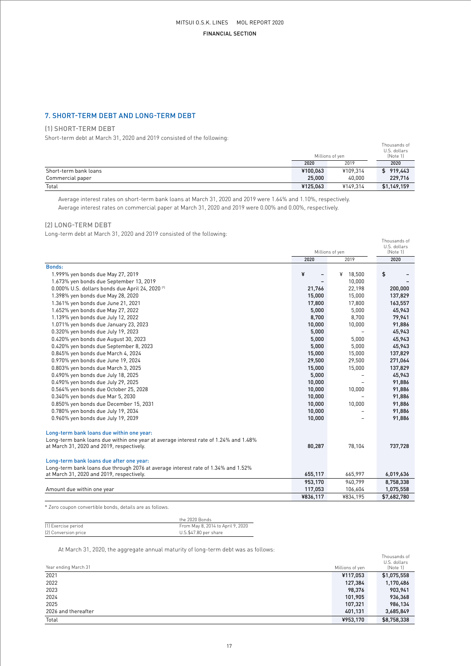## 7. SHORT-TERM DEBT AND LONG-TERM DEBT

#### (1) SHORT-TERM DEBT

Short-term debt at March 31, 2020 and 2019 consisted of the following:

|                       |          |                 | Thousands of |
|-----------------------|----------|-----------------|--------------|
|                       |          |                 | U.S. dollars |
|                       |          | Millions of ven | [Note 1]     |
|                       | 2020     | 2019            | 2020         |
| Short-term bank loans | ¥100.063 | ¥109.314        | \$919,443    |
| Commercial paper      | 25.000   | 40.000          | 229,716      |
| Total                 | ¥125.063 | ¥149.314        | \$1,149,159  |

Average interest rates on short-term bank loans at March 31, 2020 and 2019 were 1.64% and 1.10%, respectively. Average interest rates on commercial paper at March 31, 2020 and 2019 were 0.00% and 0.00%, respectively.

#### (2) LONG-TERM DEBT

Long-term debt at March 31, 2020 and 2019 consisted of the following:

|                                                                                      |          |                 | Thousands of             |
|--------------------------------------------------------------------------------------|----------|-----------------|--------------------------|
|                                                                                      |          | Millions of yen | U.S. dollars<br>(Note 1) |
|                                                                                      | 2020     | 2019            | 2020                     |
| Bonds:                                                                               |          |                 |                          |
| 1.999% yen bonds due May 27, 2019                                                    | ¥        | 18,500<br>¥     | \$                       |
| 1.673% yen bonds due September 13, 2019                                              |          | 10.000          |                          |
| 0.000% U.S. dollars bonds due April 24, 2020 <sup>(*)</sup>                          | 21,766   | 22,198          | 200,000                  |
| 1.398% yen bonds due May 28, 2020                                                    | 15,000   | 15,000          | 137,829                  |
| 1.361% yen bonds due June 21, 2021                                                   | 17,800   | 17,800          | 163,557                  |
| 1.652% yen bonds due May 27, 2022                                                    | 5,000    | 5,000           | 45,943                   |
| 1.139% yen bonds due July 12, 2022                                                   | 8,700    | 8,700           | 79,941                   |
| 1.071% yen bonds due January 23, 2023                                                | 10,000   | 10,000          | 91,886                   |
| 0.320% yen bonds due July 19, 2023                                                   | 5,000    |                 | 45,943                   |
| 0.420% yen bonds due August 30, 2023                                                 | 5,000    | 5,000           | 45,943                   |
| 0.420% yen bonds due September 8, 2023                                               | 5,000    | 5,000           | 45,943                   |
| 0.845% yen bonds due March 4, 2024                                                   | 15,000   | 15,000          | 137,829                  |
| 0.970% yen bonds due June 19, 2024                                                   | 29,500   | 29,500          | 271,064                  |
| 0.803% yen bonds due March 3, 2025                                                   | 15,000   | 15,000          | 137,829                  |
| 0.490% yen bonds due July 18, 2025                                                   | 5,000    |                 | 45,943                   |
| 0.490% yen bonds due July 29, 2025                                                   | 10,000   |                 | 91,886                   |
| 0.564% yen bonds due October 25, 2028                                                | 10,000   | 10,000          | 91,886                   |
| 0.340% yen bonds due Mar 5, 2030                                                     | 10,000   |                 | 91,886                   |
| 0.850% yen bonds due December 15, 2031                                               | 10,000   | 10,000          | 91,886                   |
| 0.780% yen bonds due July 19, 2034                                                   | 10,000   |                 | 91,886                   |
| 0.960% yen bonds due July 19, 2039                                                   | 10,000   |                 | 91,886                   |
| Long-term bank loans due within one year:                                            |          |                 |                          |
| Long-term bank loans due within one year at average interest rate of 1.24% and 1.48% |          |                 |                          |
| at March 31, 2020 and 2019, respectively.                                            | 80,287   | 78,104          | 737,728                  |
| Long-term bank loans due after one year:                                             |          |                 |                          |
| Long-term bank loans due through 2076 at average interest rate of 1.34% and 1.52%    |          |                 |                          |
| at March 31, 2020 and 2019, respectively.                                            | 655,117  | 665,997         | 6,019,636                |
|                                                                                      | 953,170  | 940.799         | 8,758,338                |
| Amount due within one year                                                           | 117,053  | 106,604         | 1,075,558                |
|                                                                                      | ¥836,117 | ¥834,195        | \$7,682,780              |

\* Zero coupon convertible bonds, details are as follows.

|                      | the 2020 Bonds                    |
|----------------------|-----------------------------------|
| [1] Exercise period  | From May 8, 2014 to April 9, 2020 |
| [2] Conversion price | U.S.\$47.80 per share             |

At March 31, 2020, the aggregate annual maturity of long-term debt was as follows:

| Year ending March 31 | Millions of yen | Thousands of<br>U.S. dollars<br>(Note 1) |
|----------------------|-----------------|------------------------------------------|
| 2021                 | ¥117,053        | \$1,075,558                              |
| 2022                 | 127.384         | 1,170,486                                |
| 2023                 | 98,376          | 903,941                                  |
| 2024                 | 101.905         | 936,368                                  |
| 2025                 | 107,321         | 986,134                                  |
| 2026 and thereafter  | 401.131         | 3,685,849                                |
| Total                | ¥953,170        | \$8,758,338                              |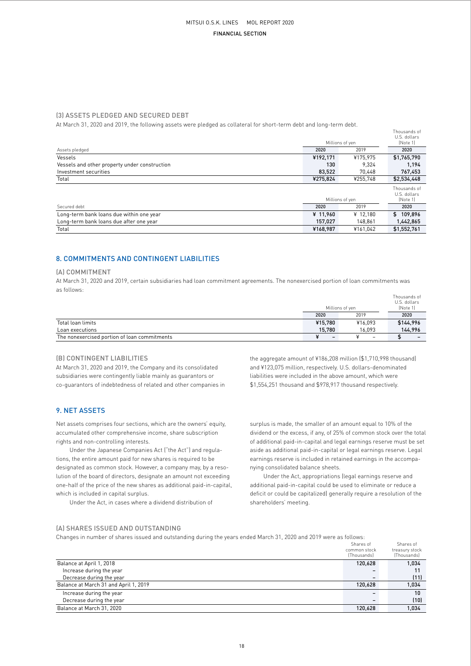#### (3) ASSETS PLEDGED AND SECURED DEBT

At March 31, 2020 and 2019, the following assets were pledged as collateral for short-term debt and long-term debt.

|                                               |          | Millions of yen | Thousands of<br>U.S. dollars<br>(Note 1) |
|-----------------------------------------------|----------|-----------------|------------------------------------------|
| Assets pledged                                | 2020     | 2019            | 2020                                     |
| Vessels                                       | ¥192.171 | ¥175.975        | \$1,765,790                              |
| Vessels and other property under construction | 130      | 9,324           | 1,194                                    |
| Investment securities                         | 83,522   | 70.448          | 767,453                                  |
| Total                                         | ¥275,824 | ¥255.748        | \$2,534,448                              |
|                                               |          |                 | Thousands of<br>U.S. dollars             |
|                                               |          | Millions of yen | [Note 1]                                 |
| Secured debt                                  | 2020     | 2019            | 2020                                     |
| Long-term bank loans due within one year      | ¥ 11.960 | ¥ 12.180        | \$109,896                                |
| Long-term bank loans due after one year       | 157.027  | 148.861         | 1,442,865                                |
| Total                                         | ¥168.987 | ¥161.042        | \$1,552,761                              |

## 8. COMMITMENTS AND CONTINGENT LIABILITIES

#### (A) COMMITMENT

At March 31, 2020 and 2019, certain subsidiaries had loan commitment agreements. The nonexercised portion of loan commitments was as follows:

|                                              |                          | Millions of ven          | Thousands of<br>U.S. dollars<br>[Note 1] |
|----------------------------------------------|--------------------------|--------------------------|------------------------------------------|
|                                              | 2020                     | 2019                     | 2020                                     |
| Total loan limits                            | ¥15.780                  | ¥16.093                  | \$144,996                                |
| Loan executions                              | 15.780                   | 16.093                   | 144,996                                  |
| The nonexercised portion of loan commitments | $\overline{\phantom{0}}$ | $\overline{\phantom{a}}$ | $\overline{\phantom{0}}$                 |

### (B) CONTINGENT LIABILITIES

At March 31, 2020 and 2019, the Company and its consolidated subsidiaries were contingently liable mainly as guarantors or co-guarantors of indebtedness of related and other companies in

## 9. NET ASSETS

Net assets comprises four sections, which are the owners' equity, accumulated other comprehensive income, share subscription rights and non-controlling interests.

Under the Japanese Companies Act ("the Act") and regulations, the entire amount paid for new shares is required to be designated as common stock. However, a company may, by a resolution of the board of directors, designate an amount not exceeding one-half of the price of the new shares as additional paid-in-capital, which is included in capital surplus.

Under the Act, in cases where a dividend distribution of

the aggregate amount of ¥186,208 million (\$1,710,998 thousand) and ¥123,075 million, respectively. U.S. dollars-denominated liabilities were included in the above amount, which were \$1,554,251 thousand and \$978,917 thousand respectively.

surplus is made, the smaller of an amount equal to 10% of the dividend or the excess, if any, of 25% of common stock over the total of additional paid-in-capital and legal earnings reserve must be set aside as additional paid-in-capital or legal earnings reserve. Legal earnings reserve is included in retained earnings in the accompanying consolidated balance sheets.

Under the Act, appropriations (legal earnings reserve and additional paid-in-capital could be used to eliminate or reduce a deficit or could be capitalized) generally require a resolution of the shareholders' meeting.

#### (A) SHARES ISSUED AND OUTSTANDING

Changes in number of shares issued and outstanding during the years ended March 31, 2020 and 2019 were as follows:

|                                       | Shares of                | Shares of      |
|---------------------------------------|--------------------------|----------------|
|                                       | common stock             | treasury stock |
|                                       | (Thousands)              | (Thousands)    |
| Balance at April 1, 2018              | 120,628                  | 1,034          |
| Increase during the year              |                          |                |
| Decrease during the year              | $\overline{\phantom{m}}$ | (11)           |
| Balance at March 31 and April 1, 2019 | 120.628                  | 1,034          |
| Increase during the year              | $\overline{\phantom{0}}$ | 10             |
| Decrease during the year              | $\overline{\phantom{0}}$ | (10)           |
| Balance at March 31, 2020             | 120.628                  | 1,034          |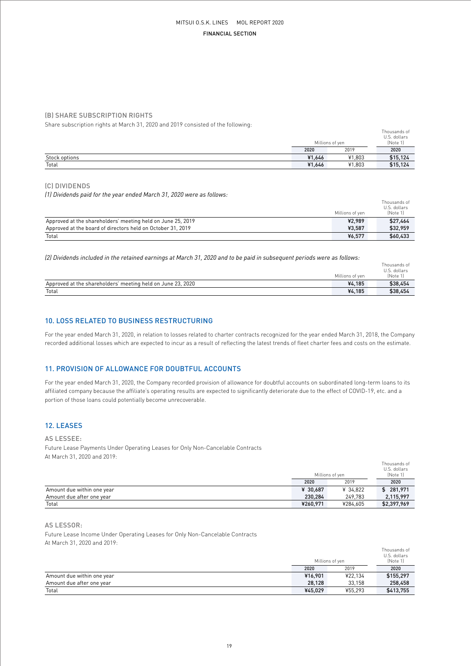#### (B) SHARE SUBSCRIPTION RIGHTS

Share subscription rights at March 31, 2020 and 2019 consisted of the following:

| .             |        | Millions of yen | Thousands of<br>U.S. dollars<br>(Note 1) |
|---------------|--------|-----------------|------------------------------------------|
|               | 2020   | 2019            | 2020                                     |
| Stock options | ¥1.646 | ¥1,803          | \$15,124                                 |
| Total         | ¥1,646 | ¥1,803          | \$15,124                                 |

#### (C) DIVIDENDS

*(1) Dividends paid for the year ended March 31, 2020 were as follows:*

|                                                             |                 | Thousands of<br>U.S. dollars |
|-------------------------------------------------------------|-----------------|------------------------------|
|                                                             | Millions of ven | [Note 1]                     |
| Approved at the shareholders' meeting held on June 25, 2019 | ¥2.989          | \$27.464                     |
| Approved at the board of directors held on October 31, 2019 | ¥3.587          | \$32.959                     |
| Total                                                       | ¥6.577          | \$60.433                     |

*(2) Dividends included in the retained earnings at March 31, 2020 and to be paid in subsequent periods were as follows:*

|                                                             |                 | Thousands of<br>U.S. dollars |
|-------------------------------------------------------------|-----------------|------------------------------|
|                                                             | Millions of ven | [Note 1]                     |
| Approved at the shareholders' meeting held on June 23, 2020 | ¥4.185          | \$38,454                     |
| Total                                                       | ¥4.185          | \$38,454                     |

## 10. LOSS RELATED TO BUSINESS RESTRUCTURING

For the year ended March 31, 2020, in relation to losses related to charter contracts recognized for the year ended March 31, 2018, the Company recorded additional losses which are expected to incur as a result of reflecting the latest trends of fleet charter fees and costs on the estimate.

### 11. PROVISION OF ALLOWANCE FOR DOUBTFUL ACCOUNTS

For the year ended March 31, 2020, the Company recorded provision of allowance for doubtful accounts on subordinated long-term loans to its affiliated company because the affiliate's operating results are expected to significantly deteriorate due to the effect of COVID-19, etc. and a portion of those loans could potentially become unrecoverable.

## 12. LEASES

#### AS LESSEE:

Future Lease Payments Under Operating Leases for Only Non-Cancelable Contracts At March 31, 2020 and 2019:

|                            |          |                 | Thousands of<br>U.S. dollars |
|----------------------------|----------|-----------------|------------------------------|
|                            |          | Millions of ven | (Note 1)                     |
|                            | 2020     | 2019            | 2020                         |
| Amount due within one year | ¥ 30.687 | ¥ 34.822        | \$281,971                    |
| Amount due after one year  | 230.284  | 249.783         | 2,115,997                    |
| Total                      | ¥260.971 | ¥284.605        | \$2,397,969                  |

#### AS LESSOR:

Future Lease Income Under Operating Leases for Only Non-Cancelable Contracts At March 31, 2020 and 2019:

| $1.12.1$ . The set of $1.12.1$ and $2.12.1$ and $2.12.1$ and $2.12.1$ and $2.12.1$ and $2.12.1$ and $2.12.1$ and $2.12.1$ and $2.12.1$ and $2.12.1$ and $2.12.1$ and $2.12.1$ and $2.12.1$ and $2.12.1$ and $2.12.1$ and $2.1$ |         | Millions of yen | Thousands of<br>U.S. dollars<br>(Note 1) |
|--------------------------------------------------------------------------------------------------------------------------------------------------------------------------------------------------------------------------------|---------|-----------------|------------------------------------------|
|                                                                                                                                                                                                                                | 2020    | 2019            | 2020                                     |
| Amount due within one year                                                                                                                                                                                                     | ¥16.901 | ¥22.134         | \$155,297                                |
| Amount due after one year                                                                                                                                                                                                      | 28.128  | 33.158          | 258,458                                  |
| Total                                                                                                                                                                                                                          | ¥45.029 | ¥55.293         | \$413.755                                |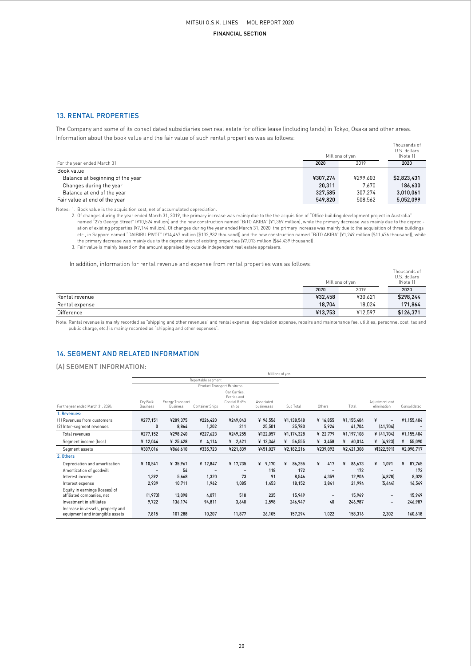## 13. RENTAL PROPERTIES

The Company and some of its consolidated subsidiaries own real estate for office lease (including lands) in Tokyo, Osaka and other areas. Information about the book value and the fair value of such rental properties was as follows:

|                                  | Millions of ven |          | Thousands of<br>U.S. dollars<br>(Note 1) |
|----------------------------------|-----------------|----------|------------------------------------------|
| For the year ended March 31      | 2020            | 2019     | 2020                                     |
| Book value                       |                 |          |                                          |
| Balance at beginning of the year | ¥307.274        | ¥299.603 | \$2,823,431                              |
| Changes during the year          | 20.311          | 7.670    | 186,630                                  |
| Balance at end of the year       | 327.585         | 307.274  | 3,010,061                                |
| Fair value at end of the year    | 549.820         | 508.562  | 5,052,099                                |

Notes: 1. Book value is the acquisition cost, net of accumulated depreciation.

2. Of changes during the year ended March 31, 2019, the primary increase was mainly due to the the acquisition of "Office building development project in Australia"

named "275 George Street" (¥10,524 million) and the new construction named "BiTO AKIBA" (¥1,359 million), while the primary decrease was mainly due to the depreciation of existing properties (¥7,144 million). Of changes during the year ended March 31, 2020, the primary increase was mainly due to the acquisition of three buildings etc., in Sapporo named "DAIBIRU PIVOT" (¥14,467 million (\$132,932 thousand)) and the new construction named "BiTO AKIBA" (¥1,249 million (\$11,476 thousand)), while<br>the primary decrease was mainly due to the depreciation of

3. Fair value is mainly based on the amount appraised by outside independent real estate appraisers.

In addition, information for rental revenue and expense from rental properties was as follows:

|                |         | Millions of yen | Thousands of<br>U.S. dollars<br>(Note 1) |
|----------------|---------|-----------------|------------------------------------------|
|                | 2020    | 2019            | 2020                                     |
| Rental revenue | ¥32.458 | ¥30.621         | \$298,244                                |
| Rental expense | 18.704  | 18,024          | 171,864                                  |
| Difference     | ¥13.753 | ¥12,597         | \$126,371                                |

Note: Rental revenue is mainly recorded as "shipping and other revenues" and rental expense (depreciation expense, repairs and maintenance fee, utilities, personnel cost, tax and public charge, etc.) is mainly recorded as "shipping and other expenses".

## 14. SEGMENT AND RELATED INFORMATION

#### (A) SEGMENT INFORMATION:

|                                                                      |                             | Millions of yen                     |                            |                                                      |                          |             |                              |             |                               |              |  |  |  |
|----------------------------------------------------------------------|-----------------------------|-------------------------------------|----------------------------|------------------------------------------------------|--------------------------|-------------|------------------------------|-------------|-------------------------------|--------------|--|--|--|
|                                                                      |                             |                                     | Reportable segment         |                                                      |                          |             |                              |             |                               |              |  |  |  |
|                                                                      |                             |                                     | Product Transport Business |                                                      |                          |             |                              |             |                               |              |  |  |  |
| For the year ended March 31, 2020:                                   | Dry Bulk<br><b>Business</b> | Energy Transport<br><b>Business</b> | Container Ships            | Car Carries.<br>Ferries and<br>Coastal RoRo<br>ships | Associated<br>businesses | Sub Total   | Others                       | Total       | Adjustment and<br>elimination | Consolidated |  |  |  |
| 1. Revenues:                                                         |                             |                                     |                            |                                                      |                          |             |                              |             |                               |              |  |  |  |
| [1] Revenues from customers                                          | ¥277,151                    | ¥289,375                            | ¥226,420                   | ¥249,043                                             | ¥ 96,556                 | ¥1,138,548  | ¥ 16,855                     | ¥1,155,404  | ¥                             | ¥1,155,404   |  |  |  |
| [2] Inter-segment revenues                                           | 0                           | 8,864                               | 1,202                      | 211                                                  | 25,501                   | 35,780      | 5,924                        | 41,704      | (41,704)                      |              |  |  |  |
| Total revenues                                                       | ¥277,152                    | ¥298,240                            | ¥227,623                   | ¥249,255                                             | ¥122,057                 | ¥1,174,328  | ¥ 22,779                     | ¥1,197,108  | $¥$ $[41,704]$                | ¥1,155,404   |  |  |  |
| Segment income (loss)                                                | ¥ 12,044                    | ¥ 25,428                            | ¥ $4,114$                  | ¥ $2,621$                                            | ¥ 12,346                 | ¥ 56,555    | ¥ $3,458$                    | ¥<br>60,014 | 4(4,923)                      | 55,090<br>¥  |  |  |  |
| Segment assets                                                       | ¥307,016                    | ¥866,610                            | ¥335,723                   | ¥221,839                                             | ¥451,027                 | ¥2,182,216  | ¥239,092                     | ¥2,421,308  | $¥$ [322,591]                 | ¥2,098,717   |  |  |  |
| 2. Others                                                            |                             |                                     |                            |                                                      |                          |             |                              |             |                               |              |  |  |  |
| Depreciation and amortization                                        | ¥ 10,541                    | ¥ 35,961                            | ¥ 12,847                   | ¥ 17,735                                             | 9,170<br>¥               | ¥<br>86,255 | 417<br>¥                     | ¥<br>86,673 | ¥<br>1,091                    | ¥<br>87,765  |  |  |  |
| Amortization of goodwill                                             | $\overline{\phantom{0}}$    | 54                                  |                            | $\overline{\phantom{0}}$                             | 118                      | 172         | $\qquad \qquad$              | 172         |                               | 172          |  |  |  |
| Interest income                                                      | 1,392                       | 5,668                               | 1,320                      | 73                                                   | 91                       | 8,546       | 4,359                        | 12,906      | (4, 878)                      | 8,028        |  |  |  |
| Interest expense                                                     | 2,939                       | 10,711                              | 1,962                      | 1,085                                                | 1,453                    | 18,152      | 3,841                        | 21,994      | (5,444)                       | 16,549       |  |  |  |
| Equity in earnings (losses) of                                       |                             |                                     |                            |                                                      |                          |             |                              |             |                               |              |  |  |  |
| affiliated companies, net                                            | (1.973)                     | 13.098                              | 4,071                      | 518                                                  | 235                      | 15.949      | $\qquad \qquad \blacksquare$ | 15,949      | $\qquad \qquad \blacksquare$  | 15,949       |  |  |  |
| Investment in affiliates                                             | 9,722                       | 136,174                             | 94,811                     | 3,640                                                | 2,598                    | 246,947     | 40                           | 246,987     | $\qquad \qquad \blacksquare$  | 246,987      |  |  |  |
| Increase in vessels, property and<br>equipment and intangible assets | 7,815                       | 101,288                             | 10,207                     | 11.877                                               | 26,105                   | 157,294     | 1.022                        | 158,316     | 2,302                         | 160,618      |  |  |  |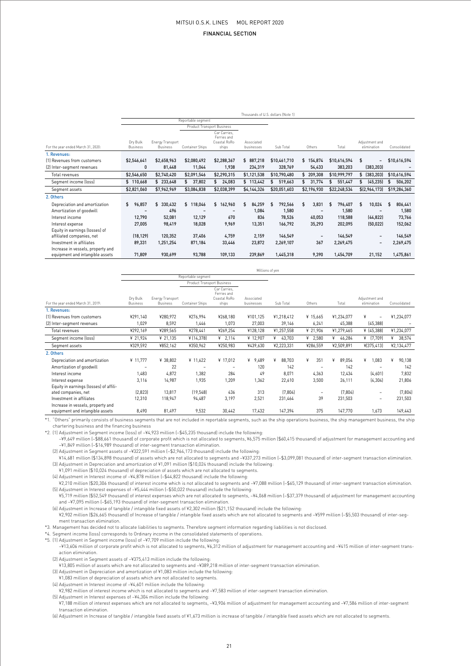|                                                                      | Thousands of U.S. dollars (Note 1) |                                     |                                   |                                                      |                          |               |                          |               |                                |               |  |
|----------------------------------------------------------------------|------------------------------------|-------------------------------------|-----------------------------------|------------------------------------------------------|--------------------------|---------------|--------------------------|---------------|--------------------------------|---------------|--|
|                                                                      |                                    |                                     | Reportable segment                |                                                      |                          |               |                          |               |                                |               |  |
|                                                                      |                                    |                                     | <b>Product Transport Business</b> |                                                      |                          |               |                          |               |                                |               |  |
| For the year ended March 31, 2020:                                   | Dry Bulk<br><b>Business</b>        | Energy Transport<br><b>Business</b> | Container Ships                   | Car Carries.<br>Ferries and<br>Coastal RoRo<br>ships | Associated<br>businesses | Sub Total     | Others                   | Total         | Adjustment and<br>elimination  | Consolidated  |  |
| 1. Revenues:                                                         |                                    |                                     |                                   |                                                      |                          |               |                          |               |                                |               |  |
| (1) Revenues from customers                                          | \$2,546,641                        | \$2,658,963                         | \$2,080,492                       | \$2,288,367                                          | \$887,218                | \$10,461,710  | \$<br>154,874            | \$10,616,594  | \$<br>$\overline{\phantom{0}}$ | \$10,616,594  |  |
| (2) Inter-segment revenues                                           | 0                                  | 81,448                              | 11,044                            | 1,938                                                | 234,319                  | 328,769       | 54,433                   | 383,203       | (383, 203)                     |               |  |
| Total revenues                                                       | \$2,546,650                        | \$2,740,420                         | \$2,091,546                       | \$2,290,315                                          | \$1,121,538              | \$10,790,480  | 209,308<br>\$            | \$10,999,797  | (383, 203)                     | \$10,616,594  |  |
| Segment income (loss)                                                | \$110,668                          | \$233,648                           | \$<br>37,802                      | \$<br>24,083                                         | \$113,442                | 519,663<br>£. | \$<br>31,774             | 551,447<br>\$ | (45, 235)                      | \$<br>506,202 |  |
| Segment assets                                                       | \$2,821,060                        | \$7,962,969                         | \$3,084,838                       | \$2,038,399                                          | \$4,144,326              | \$20,051,603  | \$2,196,930              | \$22,248,534  | \$12,964,173]                  | \$19,284,360  |  |
| 2. Others                                                            |                                    |                                     |                                   |                                                      |                          |               |                          |               |                                |               |  |
| Depreciation and amortization                                        | \$<br>96,857                       | \$<br>330.432                       | \$.<br>118,046                    | \$<br>162,960                                        | \$<br>84,259             | 792,566<br>\$ | \$<br>3,831              | 796,407<br>£. | 10,024                         | \$<br>806,441 |  |
| Amortization of goodwill                                             | $\overline{\phantom{0}}$           | 496                                 | ۰                                 | $\overline{\phantom{0}}$                             | 1,084                    | 1,580         | $\overline{\phantom{0}}$ | 1,580         |                                | 1,580         |  |
| Interest income                                                      | 12,790                             | 52,081                              | 12,129                            | 670                                                  | 836                      | 78,526        | 40,053                   | 118,588       | (44, 822)                      | 73,766        |  |
| Interest expense                                                     | 27,005                             | 98,419                              | 18,028                            | 9,969                                                | 13,351                   | 166,792       | 35,293                   | 202,095       | (50, 022)                      | 152,062       |  |
| Equity in earnings (losses) of                                       |                                    |                                     |                                   |                                                      |                          |               |                          |               |                                |               |  |
| affiliated companies, net                                            | (18, 129)                          | 120,352                             | 37,406                            | 4,759                                                | 2,159                    | 146,549       | $\overline{\phantom{a}}$ | 146,549       | $\overline{\phantom{a}}$       | 146,549       |  |
| Investment in affiliates                                             | 89,331                             | 1,251,254                           | 871,184                           | 33,446                                               | 23,872                   | 2,269,107     | 367                      | 2,269,475     | $\qquad \qquad \blacksquare$   | 2,269,475     |  |
| Increase in vessels, property and<br>equipment and intangible assets | 71,809                             | 930,699                             | 93,788                            | 109,133                                              | 239,869                  | 1,445,318     | 9,390                    | 1,454,709     | 21,152                         | 1,475,861     |  |

|                                                                      |                             |                                     |                                   |                                                      | Millions of yen          |             |          |             |                               |              |
|----------------------------------------------------------------------|-----------------------------|-------------------------------------|-----------------------------------|------------------------------------------------------|--------------------------|-------------|----------|-------------|-------------------------------|--------------|
|                                                                      |                             |                                     | Reportable segment                |                                                      |                          |             |          |             |                               |              |
|                                                                      |                             |                                     | <b>Product Transport Business</b> |                                                      |                          |             |          |             |                               |              |
| For the year ended March 31, 2019:                                   | Dry Bulk<br><b>Business</b> | Energy Transport<br><b>Business</b> | Container Ships                   | Car Carries.<br>Ferries and<br>Coastal RoRo<br>ships | Associated<br>businesses | Sub Total   | Others   | Total       | Adjustment and<br>elimination | Consolidated |
| 1. Revenues:                                                         |                             |                                     |                                   |                                                      |                          |             |          |             |                               |              |
| [1] Revenues from customers                                          | ¥291.140                    | ¥280,972                            | ¥276,994                          | ¥268,180                                             | ¥101,125                 | ¥1,218,412  | ¥ 15,665 | ¥1,234,077  | ¥                             | ¥1,234,077   |
| (2) Inter-segment revenues                                           | 1,029                       | 8,592                               | 1,446                             | 1,073                                                | 27,003                   | 39,146      | 6,241    | 45,388      | (45, 388)                     |              |
| Total revenues                                                       | ¥292,169                    | ¥289,565                            | ¥278,441                          | ¥269,254                                             | ¥128,128                 | ¥1,257,558  | ¥ 21,906 | ¥1,279,465  | $¥$ $(45,388)$                | ¥1,234,077   |
| Segment income (loss)                                                | ¥ 21,924                    | ¥ 21,135                            | ¥ (14,378)                        | 42,114                                               | ¥ 12,907                 | 43,703<br>¥ | ¥ 2,580  | ¥<br>46,284 | ¥ [7,709]                     | 38,574<br>¥  |
| Segment assets                                                       | ¥329,592                    | ¥852,162                            | ¥350,962                          | ¥250,983                                             | ¥439,630                 | ¥2,223,331  | ¥286,559 | ¥2,509,891  | ¥[375.413]                    | ¥2,134,477   |
| 2. Others                                                            |                             |                                     |                                   |                                                      |                          |             |          |             |                               |              |
| Depreciation and amortization                                        | ¥ 11,777                    | ¥ 38,802                            | ¥ 11,622                          | ¥ 17,012                                             | ¥<br>9,489               | ¥<br>88,703 | ¥<br>351 | ¥<br>89,054 | ¥<br>1,083                    | ¥<br>90,138  |
| Amortization of goodwill                                             |                             | 22                                  |                                   |                                                      | 120                      | 142         |          | 142         |                               | 142          |
| Interest income                                                      | 1,483                       | 4,872                               | 1,382                             | 284                                                  | 49                       | 8,071       | 4,363    | 12,434      | (4,601)                       | 7,832        |
| Interest expense                                                     | 3,116                       | 14,987                              | 1,935                             | 1,209                                                | 1,362                    | 22,610      | 3,500    | 26,111      | (4, 304)                      | 21,806       |
| Equity in earnings (losses) of affili-<br>ated companies, net        | (2,823)                     | 13,817                              | (19, 548)                         | 436                                                  | 313                      | (7,804)     |          | (7,804)     | -                             | (7,804)      |
| Investment in affiliates                                             | 12,310                      | 118,947                             | 94,487                            | 3,197                                                | 2,521                    | 231,464     | 39       | 231,503     | $\qquad \qquad -$             | 231,503      |
| Increase in vessels, property and<br>equipment and intangible assets | 8,490                       | 81,497                              | 9,532                             | 30,442                                               | 17,432                   | 147,394     | 375      | 147,770     | 1,673                         | 149,443      |

\*1. "Others" primarily consists of business segments that are not included in reportable segments, such as the ship operations business, the ship management business, the ship chartering business and the financing business

\*2. (1) Adjustment in Segment income (loss) of –¥4,923 million (–\$45,235 thousand) include the following:

–¥9,649 million (–\$88,661 thousand) of corporate profit which is not allocated to segments, ¥6,575 million (\$60,415 thousand) of adjustment for management accounting and

–¥1,849 million (–\$16,989 thousand) of inter-segment transaction elimination. (2) Adjustment in Segment assets of –¥322,591 million (–\$2,964,173 thousand) include the following:

¥14,681 million (\$134,898 thousand) of assets which are not allocated to segments and –¥337,273 million (–\$3,099,081 thousand) of inter-segment transaction elimination. (3) Adjustment in Depreciation and amortization of ¥1,091 million (\$10,024 thousand) include the following:

¥1,091 million (\$10,024 thousand) of depreciation of assets which are not allocated to segments.

(4) Adjustment in Interest income of –¥4,878 million (–\$44,822 thousand) include the following:

¥2,210 million (\$20,306 thousand) of interest income which is not allocated to segments and –¥7,088 million (–\$65,129 thousand) of inter-segment transaction elimination.<br>(5) Adjustment in Interest expenses of –¥5,444 mill

and –¥7,095 million (–\$65,193 thousand) of inter-segment transaction elimination.

(6) Adjustment in Increase of tangible / intangible fixed assets of ¥2,302 million (\$21,152 thousand) include the following:

¥2,902 million (\$26,665 thousand) of Increase of tangible / intangible fixed assets which are not allocated to segments and –¥599 million (–\$5,503 thousand) of inter-segment transaction elimination.

\*3. Management has decided not to allocate liabilities to segments. Therefore segment information regarding liabilities is not disclosed.

\*4. Segment income (loss) corresponds to Ordinary income in the consolidated statements of operations. \*5. (1) Adjustment in Segment income (loss) of –¥7,709 million include the following:

–¥13,606 million of corporate profit which is not allocated to segments, ¥6,312 million of adjustment for management accounting and –¥415 million of inter-segment transaction elimination.

(2) Adjustment in Segment assets of –¥375,413 million include the following:

¥13,805 million of assets which are not allocated to segments and –¥389,218 million of inter-segment transaction elimination.

(3) Adjustment in Depreciation and amortization of ¥1,083 million include the following:

¥1,083 million of depreciation of assets which are not allocated to segments.

(4) Adjustment in Interest income of –¥4,601 million include the following:

¥2,982 million of interest income which is not allocated to segments and –¥7,583 million of inter-segment transaction elimination.

(5) Adjustment in Interest expenses of –¥4,304 million include the following:

¥7,188 million of interest expenses which are not allocated to segments, –¥3,906 million of adjustment for management accounting and –¥7,586 million of inter-segment transaction elimination.

(6) Adjustment in Increase of tangible / intangible fixed assets of ¥1,673 million is increase of tangible / intangible fixed assets which are not allocated to segments.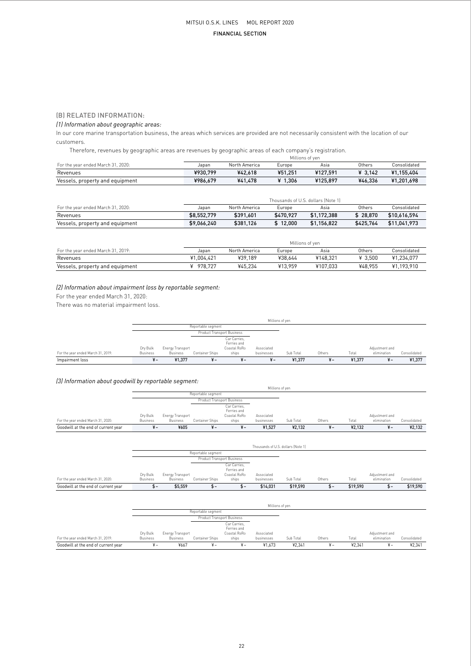## (B) RELATED INFORMATION:

#### *(1) Information about geographic areas:*

In our core marine transportation business, the areas which services are provided are not necessarily consistent with the location of our customers.

Therefore, revenues by geographic areas are revenues by geographic areas of each company's registration.

|                                    | Millions of ven |               |         |          |           |              |  |  |  |  |
|------------------------------------|-----------------|---------------|---------|----------|-----------|--------------|--|--|--|--|
| For the year ended March 31, 2020: | Japan           | North America | Europe  | Asia     | Others    | Consolidated |  |  |  |  |
| Revenues                           | ¥930.799        | ¥42.618       | ¥51.251 | ¥127.591 | ¥ $3.142$ | ¥1.155.404   |  |  |  |  |
| Vessels, property and equipment    | ¥986.679        | ¥41.478       | ¥ 1.306 | ¥125.897 | ¥46.336   | ¥1.201.698   |  |  |  |  |

|                                    | Thousands of U.S. dollars (Note 1) |               |           |             |           |              |  |  |  |
|------------------------------------|------------------------------------|---------------|-----------|-------------|-----------|--------------|--|--|--|
| For the year ended March 31, 2020: | Japan                              | North America | Europe    | Asia        | Others    | Consolidated |  |  |  |
| Revenues                           | \$8.552.779                        | \$391.601     | \$470.927 | \$1.172.388 | \$28,870  | \$10,616,594 |  |  |  |
| Vessels, property and equipment    | \$9,066,240                        | \$381.126     | \$12.000  | \$1.156.822 | \$425.764 | \$11.041.973 |  |  |  |

|                                    | Millions of ven |               |         |          |         |              |  |  |  |
|------------------------------------|-----------------|---------------|---------|----------|---------|--------------|--|--|--|
| For the year ended March 31, 2019: | Japan           | North America | Europe  | Asia     | Others  | Consolidated |  |  |  |
| Revenues                           | ¥1.004.421      | ¥39.189       | ¥38.644 | ¥148.321 | ¥ 3.500 | ¥1.234.077   |  |  |  |
| Vessels, property and equipment    | 978.727         | ¥45.234       | ¥13.959 | ¥107.033 | ¥48.955 | ¥1.193.910   |  |  |  |

#### *(2) Information about impairment loss by reportable segment:*

For the year ended March 31, 2020:

There was no material impairment loss.

|                                    |                 |                  |                            |                             | Millions of ven |           |               |        |                |              |
|------------------------------------|-----------------|------------------|----------------------------|-----------------------------|-----------------|-----------|---------------|--------|----------------|--------------|
|                                    |                 |                  | Reportable segment         |                             |                 |           |               |        |                |              |
|                                    |                 |                  | Product Transport Business |                             |                 |           |               |        |                |              |
|                                    |                 |                  |                            | Car Carries.<br>Ferries and |                 |           |               |        |                |              |
|                                    | Dry Bulk        | Energy Transport |                            | Coastal RoRo                | Associated      |           |               |        | Adjustment and |              |
| For the year ended March 31, 2019: | <b>Business</b> | <b>Business</b>  | Container Ships            | ships                       | businesses      | Sub Total | Others        | Total  | elimination    | Consolidated |
| Impairment loss                    | ≄ –             | ¥1,377           | ¥-                         | ¥-                          | ¥-              | ¥1.377    | $\frac{1}{2}$ | ¥1,377 | ¥-             | ¥1.377       |

## *(3) Information about goodwill by reportable segment:*

| inionination about goodwitt by reportable segment. |                 |                  |                        |                             |                 |           |                |        |                |              |
|----------------------------------------------------|-----------------|------------------|------------------------|-----------------------------|-----------------|-----------|----------------|--------|----------------|--------------|
|                                                    |                 |                  |                        |                             | Millions of ven |           |                |        |                |              |
|                                                    |                 |                  | Reportable segment     |                             |                 |           |                |        |                |              |
|                                                    |                 |                  |                        | Product Transport Business  |                 |           |                |        |                |              |
|                                                    |                 |                  |                        | Car Carries.<br>Ferries and |                 |           |                |        |                |              |
|                                                    | Dry Bulk        | Energy Transport |                        | Coastal RoRo                | Associated      |           |                |        | Adjustment and |              |
| For the year ended March 31, 2020:                 | <b>Business</b> | <b>Business</b>  | <b>Container Ships</b> | ships                       | businesses      | Sub Total | Others         | Total  | elimination    | Consolidated |
| Goodwill at the end of current vear                | ≄ –             | ¥605             |                        | $\mathbf{r}$ –              | ¥1.527          | ¥2.132    | $\mathbf{r}$ – | ¥2.132 | ≄ –            | ¥2.132       |

| Goodwill at the end of current year | $S -$                       | \$5,559                             | ৬ –                        | ৬ –                                                  | \$14.031                           | \$19,590  | ৬ –    | \$19,590 | $\mathbf{D}$                  | \$19,590     |
|-------------------------------------|-----------------------------|-------------------------------------|----------------------------|------------------------------------------------------|------------------------------------|-----------|--------|----------|-------------------------------|--------------|
|                                     |                             |                                     |                            |                                                      |                                    |           |        |          |                               |              |
| For the year ended March 31, 2020:  | Dry Bulk<br><b>Business</b> | Energy Transport<br><b>Business</b> | Container Ships            | Car Carries.<br>Ferries and<br>Coastal RoRo<br>ships | Associated<br>businesses           | Sub Total | Others | Total    | Adjustment and<br>elimination | Consolidated |
|                                     |                             |                                     | Product Transport Business |                                                      |                                    |           |        |          |                               |              |
|                                     | Reportable segment          |                                     |                            |                                                      |                                    |           |        |          |                               |              |
|                                     |                             |                                     |                            |                                                      | Thousands of U.S. dollars (Note 1) |           |        |          |                               |              |

|                                     |                             |                                     |                            |                                                      | Millions of ven          |           |                 |        |                               |              |
|-------------------------------------|-----------------------------|-------------------------------------|----------------------------|------------------------------------------------------|--------------------------|-----------|-----------------|--------|-------------------------------|--------------|
|                                     |                             |                                     | Reportable segment         |                                                      |                          |           |                 |        |                               |              |
| For the year ended March 31, 2019:  |                             |                                     | Product Transport Business |                                                      |                          |           |                 |        |                               |              |
|                                     | Dry Bulk<br><b>Business</b> | Energy Transport<br><b>Business</b> | <b>Container Ships</b>     | Car Carries.<br>Ferries and<br>Coastal RoRo<br>ships | Associated<br>businesses | Sub Total | Others          | Total  | Adjustment and<br>elimination | Consolidated |
| Goodwill at the end of current year | ¥ –                         | ¥667                                | $\frac{4}{1}$ –            | ¥-                                                   | ¥1.673                   | ¥2.341    | $\frac{1}{2}$ - | ¥2.341 | ≄ –                           | ¥2,341       |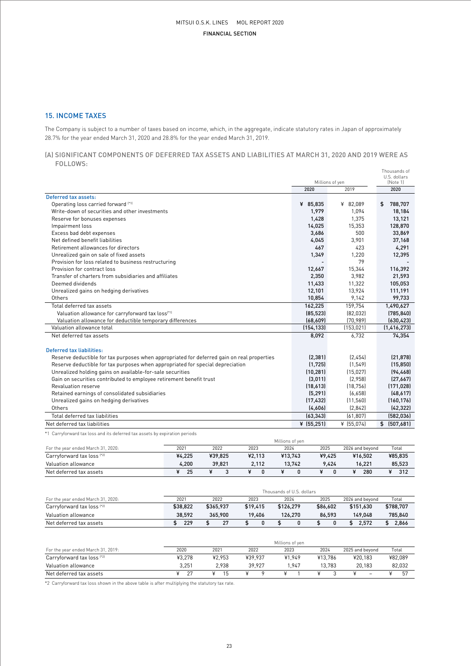### 15. INCOME TAXES

The Company is subject to a number of taxes based on income, which, in the aggregate, indicate statutory rates in Japan of approximately 28.7% for the year ended March 31, 2020 and 28.8% for the year ended March 31, 2019.

#### (A) SIGNIFICANT COMPONENTS OF DEFERRED TAX ASSETS AND LIABILITIES AT MARCH 31, 2020 AND 2019 WERE AS FOLLOWS:

|                                                                                            |                 |            | Thousands of<br>U.S. dollars |
|--------------------------------------------------------------------------------------------|-----------------|------------|------------------------------|
|                                                                                            | Millions of yen |            | [Note 1]                     |
|                                                                                            | 2020            | 2019       | 2020                         |
| Deferred tax assets:                                                                       |                 |            |                              |
| Operating loss carried forward (*1)                                                        | ¥ 85.835        | ¥ 82.089   | 788,707<br>\$                |
| Write-down of securities and other investments                                             | 1,979           | 1,094      | 18,184                       |
| Reserve for bonuses expenses                                                               | 1,428           | 1,375      | 13,121                       |
| Impairment loss                                                                            | 14,025          | 15,353     | 128,870                      |
| Excess bad debt expenses                                                                   | 3,686           | 500        | 33,869                       |
| Net defined benefit liabilities                                                            | 4,045           | 3,901      | 37,168                       |
| Retirement allowances for directors                                                        | 467             | 423        | 4,291                        |
| Unrealized gain on sale of fixed assets                                                    | 1,349           | 1,220      | 12,395                       |
| Provision for loss related to business restructuring                                       |                 | 79         |                              |
| Provision for contract loss                                                                | 12,667          | 15,344     | 116,392                      |
| Transfer of charters from subsidiaries and affiliates                                      | 2,350           | 3,982      | 21,593                       |
| Deemed dividends                                                                           | 11,433          | 11,322     | 105,053                      |
| Unrealized gains on hedging derivatives                                                    | 12,101          | 13,924     | 111,191                      |
| Others                                                                                     | 10,854          | 9,142      | 99,733                       |
| Total deferred tax assets                                                                  | 162,225         | 159,754    | 1,490,627                    |
| Valuation allowance for carryforward tax loss(*1)                                          | (85, 523)       | [82,032]   | (785, 840)                   |
| Valuation allowance for deductible temporary differences                                   | [68.609]        | [70.989]   | (630, 423)                   |
| Valuation allowance total                                                                  | (154, 133)      | (153, 021) | (1,416,273)                  |
| Net deferred tax assets                                                                    | 8,092           | 6,732      | 74,354                       |
| <b>Deferred tax liabilities:</b>                                                           |                 |            |                              |
| Reserve deductible for tax purposes when appropriated for deferred gain on real properties | (2, 381)        | (2,454)    | (21, 878)                    |
| Reserve deductible for tax purposes when appropriated for special depreciation             | (1.725)         | (1.549)    | (15.850)                     |
| Unrealized holding gains on available-for-sale securities                                  | (10, 281)       | (15, 027)  | (94, 468)                    |
| Gain on securities contributed to employee retirement benefit trust                        | (3,011)         | (2,958)    | (27,667)                     |
| Revaluation reserve                                                                        | (18,613)        | (18, 756)  | (171, 028)                   |
| Retained earnings of consolidated subsidiaries                                             | (5, 291)        | (6,658)    | (48, 617)                    |
| Unrealized gains on hedging derivatives                                                    | (17, 432)       | (11, 560)  | (160, 176)                   |
| Others                                                                                     | (4,606)         | (2,842)    | (42, 322)                    |
| Total deferred tax liabilities                                                             | (63, 343)       | (61, 807)  | (582, 036)                   |
| Net deferred tax liabilities                                                               | ¥ $(55, 251)$   | ¥ (55,074) | \$ [507,681]                 |

\*1 Carryforward tax loss and its deferred tax assets by expiration periods

| Carrylor ward tax tops and its deferred tax assets by expiration periods |                 |         |        |         |        |                 |         |
|--------------------------------------------------------------------------|-----------------|---------|--------|---------|--------|-----------------|---------|
|                                                                          | Millions of ven |         |        |         |        |                 |         |
| For the year ended March 31, 2020:                                       | 2021            | 2022    | 2023   | 2024    | 2025   | 2026 and beyond | Total   |
| Carryforward tax loss [*2]                                               | ¥4.225          | ¥39.825 | 42.113 | ¥13.743 | ¥9.425 | ¥16.502         | ¥85,835 |
| Valuation allowance                                                      | 4.200           | 39.821  | 2.112  | 13.742  | 9.424  | 16.221          | 85,523  |
| Net deferred tax assets                                                  | 25              |         |        |         |        | 280             | 312     |

|                                    | Thousands of U.S. dollars |          |  |           |          |        |           |         |          |        |                 |  |           |
|------------------------------------|---------------------------|----------|--|-----------|----------|--------|-----------|---------|----------|--------|-----------------|--|-----------|
| For the year ended March 31, 2020: |                           | 2021     |  | 2022      | 2023     |        |           | 2024    | 2025     |        | 2026 and bevond |  | Total     |
| Carryforward tax loss [*2]         |                           | \$38,822 |  | \$365.937 | \$19.415 |        | \$126.279 |         | \$86.602 |        | \$151.630       |  | \$788.707 |
| Valuation allowance                |                           | 38.592   |  | 365.900   |          | 19.406 |           | 126.270 |          | 86.593 | 149.048         |  | 785,840   |
| Net deferred tax assets            |                           | 229      |  | 27        |          | n      |           |         |          |        | 2.572           |  | 2.866     |

|                                    | Millions of ven |        |         |        |         |                          |         |
|------------------------------------|-----------------|--------|---------|--------|---------|--------------------------|---------|
| For the year ended March 31, 2019: | 2020            | 2021   | 2022    | 2023   | 2024    | 2025 and bevond          | Total   |
| Carryforward tax loss [*2]         | ¥3.278          | ¥2.953 | ¥39.937 | ¥1.949 | ¥13.786 | ¥20.183                  | ¥82.089 |
| Valuation allowance                | 3.251           | 2.938  | 39.927  | .947   | 13.783  | 20.183                   | 82,032  |
| Net deferred tax assets            | 27              | 1 ካ    |         |        |         | $\overline{\phantom{a}}$ | -57     |

\*2 Carryforward tax loss shown in the above table is after multiplying the statutory tax rate.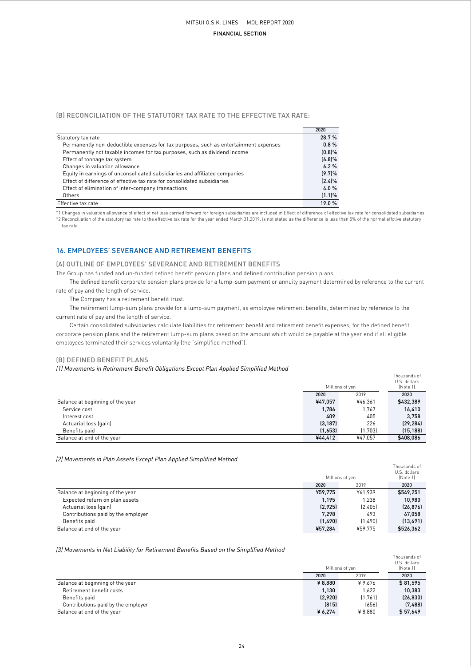#### (B) RECONCILIATION OF THE STATUTORY TAX RATE TO THE EFFECTIVE TAX RATE:

|                                                                                      | 2020      |
|--------------------------------------------------------------------------------------|-----------|
| Statutory tax rate                                                                   | 28.7%     |
| Permanently non-deductible expenses for tax purposes, such as entertainment expenses | 0.8%      |
| Permanently not taxable incomes for tax purposes, such as dividend income            | (0.8%     |
| Effect of tonnage tax system                                                         | (6.8)%    |
| Changes in valuation allowance                                                       | 6.2%      |
| Equity in earnings of unconsolidated subsidiaries and affiliated companies           | (9.7)%    |
| Effect of difference of effective tax rate for consolidated subsidiaries             | (2.4)%    |
| Effect of elimination of inter-company transactions                                  | 4.0%      |
| Others                                                                               | $(1.1)\%$ |
| Effective tax rate                                                                   | 19.0%     |

\*1 Changes in valuation allowance of effect of net loss carried forward for foreign subsidiaries are included in Effect of difference of effective tax rate for consolidated subsidiaries.

\*2 Reconciliation of the statutory tax rate to the effective tax rate for the year ended March 31,2019, is not stated as the difference is less than 5% of the normal effctive statutory tax rate.

## 16. EMPLOYEES' SEVERANCE AND RETIREMENT BENEFITS

(A) OUTLINE OF EMPLOYEES' SEVERANCE AND RETIREMENT BENEFITS

The Group has funded and un-funded defined benefit pension plans and defined contribution pension plans.

The defined benefit corporate pension plans provide for a lump-sum payment or annuity payment determined by reference to the current rate of pay and the length of service.

The Company has a retirement benefit trust.

The retirement lump-sum plans provide for a lump-sum payment, as employee retirement benefits, determined by reference to the current rate of pay and the length of service.

Certain consolidated subsidiaries calculate liabilities for retirement benefit and retirement benefit expenses, for the defined benefit corporate pension plans and the retirement lump-sum plans based on the amount which would be payable at the year end if all eligible employees terminated their services voluntarily (the "simplified method").

#### (B) DEFINED BENEFIT PLANS

*(1) Movements in Retirement Benefit Obligations Except Plan Applied Simplified Method*

|                                  | $\overline{\phantom{0}}$ | . |  | Millions of yen |         | Thousands of<br>U.S. dollars<br>(Note 1) |
|----------------------------------|--------------------------|---|--|-----------------|---------|------------------------------------------|
|                                  |                          |   |  | 2020            | 2019    | 2020                                     |
| Balance at beginning of the year |                          |   |  | ¥47.057         | ¥46.361 | \$432,389                                |
| Service cost                     |                          |   |  | 1,786           | 1.767   | 16,410                                   |
| Interest cost                    |                          |   |  | 409             | 405     | 3.758                                    |
| Actuarial loss (gain)            |                          |   |  | (3, 187)        | 226     | (29, 284)                                |
| Benefits paid                    |                          |   |  | (1,653)         | (1,703) | (15, 188)                                |
| Balance at end of the year       |                          |   |  | ¥44.412         | ¥47.057 | \$408.086                                |

#### *(2) Movements in Plan Assets Except Plan Applied Simplified Method*

|                                    |         | Millions of ven |           |  |
|------------------------------------|---------|-----------------|-----------|--|
|                                    | 2020    | 2019            | 2020      |  |
| Balance at beginning of the year   | ¥59.775 | ¥61.939         | \$549.251 |  |
| Expected return on plan assets     | 1.195   | .238            | 10.980    |  |
| Actuarial loss (gain)              | (2,925) | (2.405)         | (26, 876) |  |
| Contributions paid by the employer | 7.298   | 493             | 67.058    |  |
| Benefits paid                      | (1.490) | (1.490)         | [13.691]  |  |
| Balance at end of the year         | ¥57.284 | ¥59.775         | \$526.362 |  |

#### *(3) Movements in Net Liability for Retirement Benefits Based on the Simplified Method*

|                                    | Millions of ven | i iluusallus ul<br>U.S. dollars<br>[Note 1] |           |
|------------------------------------|-----------------|---------------------------------------------|-----------|
|                                    | 2020            | 2019                                        | 2020      |
| Balance at beginning of the year   | ¥8.880          | ¥9.676                                      | \$81,595  |
| Retirement benefit costs           | 1.130           | .622                                        | 10,383    |
| Benefits paid                      | (2,920)         | (1.761)                                     | (26, 830) |
| Contributions paid by the employer | (815)           | [656]                                       | (7,488)   |
| Balance at end of the year         | ¥ 6.274         | ¥8.880                                      | \$57.649  |

Thousands of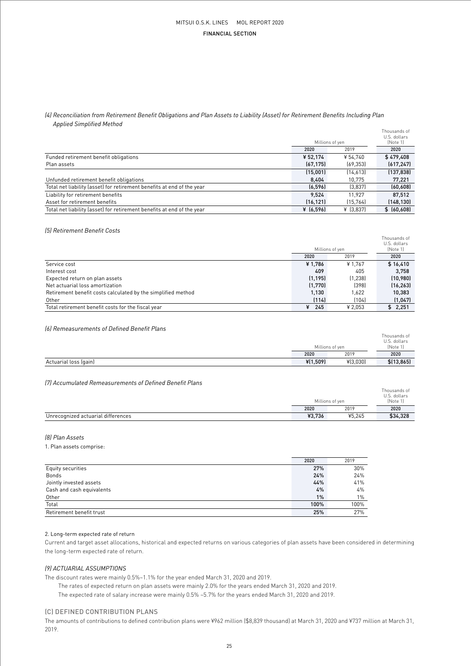## MITSUI O.S.K. LINES MOL REPORT 2020 FINANCIAL SECTION

#### *(4) Reconciliation from Retirement Benefit Obligations and Plan Assets to Liability (Asset) for Retirement Benefits Including Plan Applied Simplified Method*

|                                                                        |                 |             | Thousands of<br>U.S. dollars |
|------------------------------------------------------------------------|-----------------|-------------|------------------------------|
|                                                                        | Millions of ven |             | (Note 1)                     |
|                                                                        | 2020            | 2019        | 2020                         |
| Funded retirement benefit obligations                                  | ¥ 52.174        | ¥ 54.740    | \$479.408                    |
| Plan assets                                                            | (67, 175)       | (69, 353)   | (617, 247)                   |
|                                                                        | (15.001)        | [14.613]    | (137, 838)                   |
| Unfunded retirement benefit obligations                                | 8.404           | 10.775      | 77,221                       |
| Total net liability (asset) for retirement benefits at end of the year | (6, 596)        | (3,837)     | (60, 608)                    |
| Liability for retirement benefits                                      | 9.524           | 11.927      | 87.512                       |
| Asset for retirement benefits                                          | (16.121)        | [15.764]    | (148, 130)                   |
| Total net liability (asset) for retirement benefits at end of the year | ¥ $(6,596)$     | $¥$ [3.837] | $$^{(60,608)}$               |

#### *(5) Retirement Benefit Costs*

|                                                              | Millions of ven | Thousands of<br>U.S. dollars<br>(Note 1) |           |
|--------------------------------------------------------------|-----------------|------------------------------------------|-----------|
|                                                              | 2020            | 2019                                     | 2020      |
| Service cost                                                 | ¥1.786          | ¥ 1.767                                  | \$16.410  |
| Interest cost                                                | 409             | 405                                      | 3.758     |
| Expected return on plan assets                               | (1, 195)        | (1, 238)                                 | (10,980)  |
| Net actuarial loss amortization                              | (1,770)         | [398]                                    | (16, 263) |
| Retirement benefit costs calculated by the simplified method | 1,130           | 1,622                                    | 10,383    |
| Other                                                        | (114)           | (104)                                    | (1,047)   |
| Total retirement benefit costs for the fiscal year           | 245<br>¥        | ¥ 2.053                                  | \$2,251   |

#### *(6) Remeasurements of Defined Benefit Plans*

|                       |          | Millions of ven | Thousands of<br>U.S. dollars<br>(Note 1) |
|-----------------------|----------|-----------------|------------------------------------------|
|                       | 2020     | 2019            | 2020                                     |
| Actuarial loss (gain) | ¥[1,509] | $¥$ $(3,030)$   | \$[13,865]                               |

#### *(7) Accumulated Remeasurements of Defined Benefit Plans*

|                                    |        | Millions of ven | Thousands of<br>U.S. dollars<br>(Note 1) |
|------------------------------------|--------|-----------------|------------------------------------------|
|                                    | 2020   | 2019            | 2020                                     |
| Unrecognized actuarial differences | ¥3.736 | ¥5.245          | \$34,328                                 |

#### *(8) Plan Assets*

1. Plan assets comprise:

|                           | 2020 | 2019  |
|---------------------------|------|-------|
| Equity securities         | 27%  | 30%   |
| <b>Bonds</b>              | 24%  | 24%   |
| Jointly invested assets   | 44%  | 41%   |
| Cash and cash equivalents | 4%   | 4%    |
| Other                     | 1%   | $1\%$ |
| Total                     | 100% | 100%  |
| Retirement benefit trust  | 25%  | 27%   |

#### 2. Long-term expected rate of return

Current and target asset allocations, historical and expected returns on various categories of plan assets have been considered in determining the long-term expected rate of return.

#### *(9) ACTUARIAL ASSUMPTIONS*

The discount rates were mainly 0.5%~1.1% for the year ended March 31, 2020 and 2019.

The rates of expected return on plan assets were mainly 2.0% for the years ended March 31, 2020 and 2019.

The expected rate of salary increase were mainly 0.5% ~5.7% for the years ended March 31, 2020 and 2019.

## (C) DEFINED CONTRIBUTION PLANS

The amounts of contributions to defined contribution plans were ¥962 million (\$8,839 thousand) at March 31, 2020 and ¥737 million at March 31, 2019.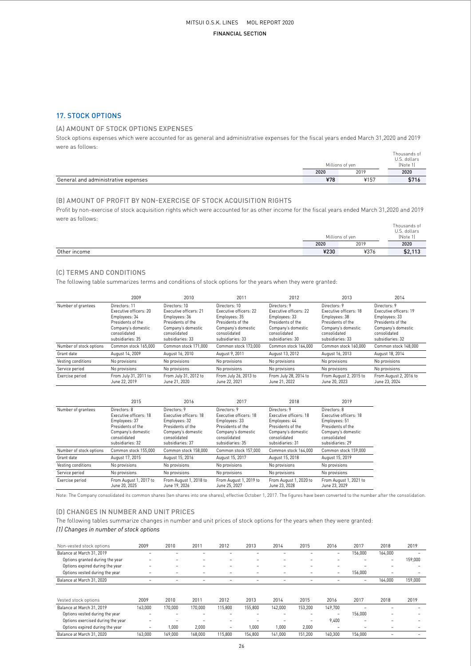## 17. STOCK OPTIONS

## (A) AMOUNT OF STOCK OPTIONS EXPENSES

Stock options expenses which were accounted for as general and administrative expenses for the fiscal years ended March 31,2020 and 2019 were as follows:

|                                     |      | Millions of ven | Thousands of<br>U.S. dollars<br>(Note 1) |
|-------------------------------------|------|-----------------|------------------------------------------|
|                                     | 2020 | 2019            | 2020                                     |
| General and administrative expenses | ¥78  | ¥157            | \$716                                    |

#### (B) AMOUNT OF PROFIT BY NON-EXERCISE OF STOCK ACQUISITION RIGHTS

Profit by non-exercise of stock acquisition rights which were accounted for as other income for the fiscal years ended March 31,2020 and 2019 were as follows:

|              |      | Millions of yen | Thousands of<br>U.S. dollars<br>(Note 1 |
|--------------|------|-----------------|-----------------------------------------|
|              | 2020 | 2019            | 2020                                    |
| Other income | ¥230 | ¥376            | \$2,113                                 |

#### (C) TERMS AND CONDITIONS

The following table summarizes terms and conditions of stock options for the years when they were granted:

|                         | 2009                                                                                                                                    | 2010                                                                                                                                    | 2011                                                                                                                                    | 2012                                                                                                                                   | 2013                                                                                                                                   | 2014                                                                                                                                   |
|-------------------------|-----------------------------------------------------------------------------------------------------------------------------------------|-----------------------------------------------------------------------------------------------------------------------------------------|-----------------------------------------------------------------------------------------------------------------------------------------|----------------------------------------------------------------------------------------------------------------------------------------|----------------------------------------------------------------------------------------------------------------------------------------|----------------------------------------------------------------------------------------------------------------------------------------|
| Number of grantees      | Directors: 11<br>Executive officers: 20<br>Employees: 34<br>Presidents of the<br>Company's domestic<br>consolidated<br>subsidiaries: 35 | Directors: 10<br>Executive officers: 21<br>Employees: 36<br>Presidents of the<br>Company's domestic<br>consolidated<br>subsidiaries: 33 | Directors: 10<br>Executive officers: 22<br>Employees: 35<br>Presidents of the<br>Company's domestic<br>consolidated<br>subsidiaries: 33 | Directors: 9<br>Executive officers: 22<br>Employees: 33<br>Presidents of the<br>Company's domestic<br>consolidated<br>subsidiaries: 30 | Directors: 9<br>Executive officers: 18<br>Employees: 38<br>Presidents of the<br>Company's domestic<br>consolidated<br>subsidiaries: 33 | Directors: 9<br>Executive officers: 19<br>Employees: 33<br>Presidents of the<br>Company's domestic<br>consolidated<br>subsidiaries: 32 |
| Number of stock options | Common stock 165,000                                                                                                                    | Common stock 171,000                                                                                                                    | Common stock 173,000                                                                                                                    | Common stock 164,000                                                                                                                   | Common stock 160,000                                                                                                                   | Common stock 148,000                                                                                                                   |
| Grant date              | August 14, 2009                                                                                                                         | August 16, 2010                                                                                                                         | August 9, 2011                                                                                                                          | August 13, 2012                                                                                                                        | August 16, 2013                                                                                                                        | August 18, 2014                                                                                                                        |
| Vesting conditions      | No provisions                                                                                                                           | No provisions                                                                                                                           | No provisions                                                                                                                           | No provisions                                                                                                                          | No provisions                                                                                                                          | No provisions                                                                                                                          |
| Service period          | No provisions                                                                                                                           | No provisions                                                                                                                           | No provisions                                                                                                                           | No provisions                                                                                                                          | No provisions                                                                                                                          | No provisions                                                                                                                          |
| Exercise period         | From July 31, 2011 to<br>June 22, 2019                                                                                                  | From July 31, 2012 to<br>June 21, 2020                                                                                                  | From July 26, 2013 to<br>June 22, 2021                                                                                                  | From July 28, 2014 to<br>June 21, 2022                                                                                                 | From August 2, 2015 to<br>June 20, 2023                                                                                                | From August 2, 2016 to<br>June 23, 2024                                                                                                |

|                         | 2015                                                                                                                                   | 2016                                                                                                                                   | 2017                                                                                                                                   | 2018                                                                                                                                   | 2019                                                                                                                                   |
|-------------------------|----------------------------------------------------------------------------------------------------------------------------------------|----------------------------------------------------------------------------------------------------------------------------------------|----------------------------------------------------------------------------------------------------------------------------------------|----------------------------------------------------------------------------------------------------------------------------------------|----------------------------------------------------------------------------------------------------------------------------------------|
| Number of grantees      | Directors: 8<br>Executive officers: 18<br>Employees: 37<br>Presidents of the<br>Company's domestic<br>consolidated<br>subsidiaries: 32 | Directors: 9<br>Executive officers: 18<br>Employees: 32<br>Presidents of the<br>Company's domestic<br>consolidated<br>subsidiaries: 37 | Directors: 9<br>Executive officers: 18<br>Employees: 33<br>Presidents of the<br>Company's domestic<br>consolidated<br>subsidiaries: 35 | Directors: 9<br>Executive officers: 18<br>Employees: 44<br>Presidents of the<br>Company's domestic<br>consolidated<br>subsidiaries: 31 | Directors: 8<br>Executive officers: 18<br>Employees: 51<br>Presidents of the<br>Company's domestic<br>consolidated<br>subsidiaries: 29 |
| Number of stock options | Common stock 155,000                                                                                                                   | Common stock 158,000                                                                                                                   | Common stock 157,000                                                                                                                   | Common stock 164,000                                                                                                                   | Common stock 159,000                                                                                                                   |
| Grant date              | August 17, 2015                                                                                                                        | August 15, 2016                                                                                                                        | August 15, 2017                                                                                                                        | August 15, 2018                                                                                                                        | August 15, 2019                                                                                                                        |
| Vesting conditions      | No provisions                                                                                                                          | No provisions                                                                                                                          | No provisions                                                                                                                          | No provisions                                                                                                                          | No provisions                                                                                                                          |
| Service period          | No provisions                                                                                                                          | No provisions                                                                                                                          | No provisions                                                                                                                          | No provisions                                                                                                                          | No provisions                                                                                                                          |
| Exercise period         | From August 1, 2017 to<br>June 20, 2025                                                                                                | From August 1, 2018 to<br>June 19, 2026                                                                                                | From August 1, 2019 to<br>June 25, 2027                                                                                                | From August 1, 2020 to<br>June 23, 2028                                                                                                | From August 1, 2021 to<br>June 23, 2029                                                                                                |

Note: The Company consolidated its common shares (ten shares into one shares), effective October 1, 2017. The figures have been converted to the number after the consolidation.

#### (D) CHANGES IN NUMBER AND UNIT PRICES

The following tables summarize changes in number and unit prices of stock options for the years when they were granted: *(1) Changes in number of stock options*

| Non-vested stock options        | 2009 | 2010                     | 2011 | 2012                     | 2013                     | 2014                     | 2015                     | 2016                     | 2017                     | 2018    | 2019    |
|---------------------------------|------|--------------------------|------|--------------------------|--------------------------|--------------------------|--------------------------|--------------------------|--------------------------|---------|---------|
| Balance at March 31, 2019       |      | -                        |      | -                        |                          |                          |                          |                          | 156.000                  | 164,000 |         |
| Options granted during the year | -    | -                        |      | -                        |                          | $-$                      |                          | -                        | $\overline{\phantom{0}}$ | -       | 159,000 |
| Options expired during the year | -    | -                        |      | -                        |                          | $\overline{\phantom{0}}$ |                          |                          | -                        |         |         |
| Options vested during the year  | -    | -                        | -    | $\overline{\phantom{0}}$ | $\overline{\phantom{0}}$ | $\overline{\phantom{0}}$ |                          | -                        | 156.000                  |         |         |
| Balance at March 31, 2020       | -    | $\overline{\phantom{0}}$ | -    | $\overline{\phantom{0}}$ | -                        | $\overline{\phantom{0}}$ | $\overline{\phantom{0}}$ | $\overline{\phantom{0}}$ | $\overline{\phantom{0}}$ | 164.000 | 159,000 |

| Vested stock options              | 2009    | 2010    | 2011    | 2012    | 2013    | 2014    | 2015    | 2016    | 2017    | 2018 | 2019 |
|-----------------------------------|---------|---------|---------|---------|---------|---------|---------|---------|---------|------|------|
| Balance at March 31, 2019         | 163.000 | 170,000 | 170.000 | 115.800 | 155.800 | 142,000 | 153.200 | 149,700 |         |      |      |
| Options vested during the year    | -       | $-$     |         |         |         |         |         | -       | 156.000 |      |      |
| Options exercised during the year |         | -       |         | $-$     | $-$     |         | -       | 9,400   |         |      |      |
| Options expired during the year   | -       | .000    | 2.000   | -       | .000    | .000    | 2.000   | -       | $-$     |      | -    |
| Balance at March 31, 2020         | 163.000 | 169,000 | 168.000 | 115.800 | 154.800 | 141.000 | 151.200 | 140.300 | 156,000 |      | -    |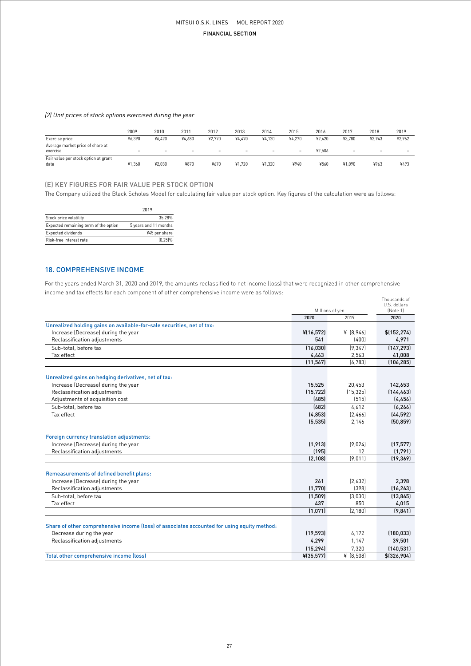## MITSUI O.S.K. LINES MOL REPORT 2020 FINANCIAL SECTION

#### *(2) Unit prices of stock options exercised during the year*

|                                              | 2009   | 2010   | 2011                     | 2012                     | 2013                     | 2014   | 2015                     | 2016   | 2017   | 2018                     | 2019                     |
|----------------------------------------------|--------|--------|--------------------------|--------------------------|--------------------------|--------|--------------------------|--------|--------|--------------------------|--------------------------|
| Exercise price                               | ¥6.390 | ¥6.420 | ¥4.680                   | ¥2.770                   | ¥4.470                   | ¥4.120 | ¥4.270                   | ¥2.420 | ¥3.780 | ¥2.943                   | ¥2.962                   |
| Average market price of share at<br>exercise | -      | $-$    | $\overline{\phantom{0}}$ | $\overline{\phantom{0}}$ | $\overline{\phantom{m}}$ | -      | $\overline{\phantom{0}}$ | ¥2.506 | -      | $\overline{\phantom{0}}$ | $\overline{\phantom{0}}$ |
| Fair value per stock option at grant         |        |        |                          |                          |                          |        |                          |        |        |                          |                          |
| date                                         | ¥1.360 | ¥2.030 | ¥870                     | ¥670                     | ¥1.720                   | ¥1.320 | ¥940                     | ¥560   | ¥1.090 | ¥963                     | ¥493                     |

## (E) KEY FIGURES FOR FAIR VALUE PER STOCK OPTION

The Company utilized the Black Scholes Model for calculating fair value per stock option. Key figures of the calculation were as follows:

|                                       | 2019                  |
|---------------------------------------|-----------------------|
| Stock price volatility                | 35.28%                |
| Expected remaining term of the option | 5 years and 11 months |
| Expected dividends                    | ¥45 per share         |
| Risk-free interest rate               | [0.25]%               |

## 18. COMPREHENSIVE INCOME

For the years ended March 31, 2020 and 2019, the amounts reclassified to net income (loss) that were recognized in other comprehensive income and tax effects for each component of other comprehensive income were as follows:

| income and tax enects for each component or other comprehensive income were as fottows.     |                 |             |                              |
|---------------------------------------------------------------------------------------------|-----------------|-------------|------------------------------|
|                                                                                             |                 |             | Thousands of<br>U.S. dollars |
|                                                                                             | Millions of yen |             | [Note 1]                     |
|                                                                                             | 2020            | 2019        | 2020                         |
| Unrealized holding gains on available-for-sale securities, net of tax:                      |                 |             |                              |
| Increase (Decrease) during the year                                                         | ¥[16,572]       | ¥ $[8.946]$ | \$152,274]                   |
| Reclassification adjustments                                                                | 541             | (400)       | 4,971                        |
| Sub-total, before tax                                                                       | [16.030]        | (9.347)     | [147.293]                    |
| Tax effect                                                                                  | 4,463           | 2.563       | 41.008                       |
|                                                                                             | (11, 567)       | (6, 783)    | (106, 285)                   |
|                                                                                             |                 |             |                              |
| Unrealized gains on hedging derivatives, net of tax:                                        |                 |             |                              |
| Increase (Decrease) during the year                                                         | 15,525          | 20,453      | 142,653                      |
| Reclassification adjustments                                                                | (15, 722)       | (15, 325)   | [144, 463]                   |
| Adjustments of acquisition cost                                                             | (485)           | [515]       | (4, 456)                     |
| Sub-total, before tax                                                                       | (682)           | 4,612       | (6, 266)                     |
| Tax effect                                                                                  | (4.853)         | [2.466]     | (44, 592)                    |
|                                                                                             | (5, 535)        | 2,146       | (50, 859)                    |
|                                                                                             |                 |             |                              |
| Foreign currency translation adjustments:                                                   |                 |             |                              |
| Increase (Decrease) during the year                                                         | (1, 913)        | (9,024)     | (17, 577)                    |
| Reclassification adjustments                                                                | (195)           | 12          | (1,791)                      |
|                                                                                             | [2.108]         | (9.011)     | (19, 369)                    |
| Remeasurements of defined benefit plans:                                                    |                 |             |                              |
| Increase (Decrease) during the year                                                         | 261             | [2,632]     | 2,398                        |
| Reclassification adjustments                                                                | (1,770)         | [398]       | (16, 263)                    |
| Sub-total, before tax                                                                       | (1,509)         | (3,030)     | (13, 865)                    |
| Tax effect                                                                                  | 437             | 850         | 4,015                        |
|                                                                                             | (1,071)         | (2, 180)    | (9,841)                      |
|                                                                                             |                 |             |                              |
| Share of other comprehensive income (loss) of associates accounted for using equity method: |                 |             |                              |
| Decrease during the year                                                                    | (19, 593)       | 6,172       | (180, 033)                   |
| Reclassification adjustments                                                                | 4,299           | 1,147       | 39,501                       |
|                                                                                             | (15, 294)       | 7,320       | (140, 531)                   |
| Total other comprehensive income (loss)                                                     | $¥$ $(35,577)$  | ¥ $[8.508]$ | \$[326,904]                  |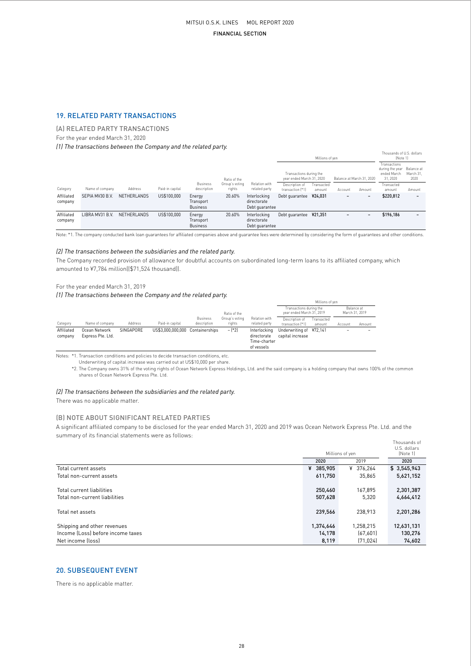## 19. RELATED PARTY TRANSACTIONS

(A) RELATED PARTY TRANSACTIONS

For the year ended March 31, 2020

*(1) The transactions between the Company and the related party.*

|                       | Millions of ven |             |                 |                                        |                          |                                               | Thousands of U.S. dollars<br>[Note 1]                |                      |                           |                          |                                                           |                                 |
|-----------------------|-----------------|-------------|-----------------|----------------------------------------|--------------------------|-----------------------------------------------|------------------------------------------------------|----------------------|---------------------------|--------------------------|-----------------------------------------------------------|---------------------------------|
|                       |                 |             |                 |                                        | Ratio of the             |                                               | Transactions during the<br>vear ended March 31, 2020 |                      | Balance at March 31, 2020 |                          | Transactions<br>during the year<br>ended March<br>31.2020 | Balance at<br>March 31.<br>2020 |
| Category              | Name of company | Address     | Paid-in capital | <b>Business</b><br>description         | Group's voting<br>rights | Relation with<br>related party                | Description of<br>transaction [*1]                   | Transacted<br>amount | Account                   | Amount                   | Transacted<br>amount                                      | Amount                          |
| Affiliated<br>company | SEPIA MV30 B.V. | NETHERLANDS | US\$100,000     | Energy<br>Transport<br><b>Business</b> | 20.60%                   | Interlocking<br>directorate<br>Debt quarantee | Debt quarantee                                       | ¥24.031              | $\overline{\phantom{0}}$  | $\overline{\phantom{0}}$ | \$220,812                                                 | $\overline{\phantom{0}}$        |
| Affiliated<br>company | LIBRA MV31 B.V. | NETHERLANDS | US\$100,000     | Energy<br>Transport<br><b>Business</b> | 20.60%                   | Interlocking<br>directorate<br>Debt quarantee | Debt quarantee ¥21,351                               |                      |                           | ٠                        | \$196,186                                                 |                                 |

Note: \*1. The company conducted bank loan guarantees for affiliated companies above and guarantee fees were determined by considering the form of guarantees and other conditions.

#### *(2) The transactions between the subsidiaries and the related party.*

The Company recorded provision of allowance for doubtful accounts on subordinated long-term loans to its affiliated company, which amounted to ¥7,784 million((\$71,524 thousand).

#### For the year ended March 31, 2019

#### *(1) The transactions between the Company and the related party.*

|                       |                                    |           |                                  |                                |                          |                                                           | Millions of ven                             |                                                      |         |                              |  |
|-----------------------|------------------------------------|-----------|----------------------------------|--------------------------------|--------------------------|-----------------------------------------------------------|---------------------------------------------|------------------------------------------------------|---------|------------------------------|--|
|                       |                                    |           |                                  | Ratio of the                   |                          |                                                           |                                             | Transactions during the<br>vear ended March 31, 2019 |         | Balance at<br>March 31, 2019 |  |
| Category              | Name of company                    | Address   | Paid-in capital                  | <b>Business</b><br>description | Group's voting<br>rights | Relation with<br>related party                            | Description of<br>transaction [*1]          | Transacted<br>amount                                 | Account | Amount                       |  |
| Affiliated<br>company | Ocean Network<br>Express Pte. Ltd. | SINGAPORE | US\$3,000,000,000 Containerships |                                | $-[*2]$                  | Interlocking<br>directorate<br>Time-charter<br>of vessels | Underwriting of ¥72,141<br>capital increase |                                                      |         |                              |  |

Notes: \*1. Transaction conditions and policies to decide transaction conditions, etc.

Underwriting of capital increase was carried out at US\$10,000 per share.

\*2. The Company owns 31% of the voting rights of Ocean Network Express Holdings, Ltd. and the said company is a holding company that owns 100% of the common shares of Ocean Network Express Pte. Ltd.

#### *(2) The transactions between the subsidiaries and the related party.*

There was no applicable matter.

#### (B) NOTE ABOUT SIGNIFICANT RELATED PARTIES

A significant affiliated company to be disclosed for the year ended March 31, 2020 and 2019 was Ocean Network Express Pte. Ltd. and the summary of its financial statements were as follows:

|                                   |           | Millions of yen | Thousands of<br>U.S. dollars<br>(Note 1) |
|-----------------------------------|-----------|-----------------|------------------------------------------|
|                                   | 2020      | 2019            | 2020                                     |
| Total current assets              | ¥ 385,905 | ¥ 376.264       | \$3,545,943                              |
| Total non-current assets          | 611,750   | 35,865          | 5,621,152                                |
|                                   |           |                 |                                          |
| Total current liabilities         | 250.460   | 167.895         | 2,301,387                                |
| Total non-current liabilities     | 507,628   | 5.320           | 4,664,412                                |
|                                   |           |                 |                                          |
| Total net assets                  | 239,566   | 238.913         | 2,201,286                                |
|                                   |           |                 |                                          |
| Shipping and other revenues       | 1,374,646 | 1,258,215       | 12,631,131                               |
| Income (Loss) before income taxes | 14.178    | [67.601]        | 130,276                                  |
| Net income (loss)                 | 8,119     | (71, 024)       | 74,602                                   |

### 20. SUBSEQUENT EVENT

There is no applicable matter.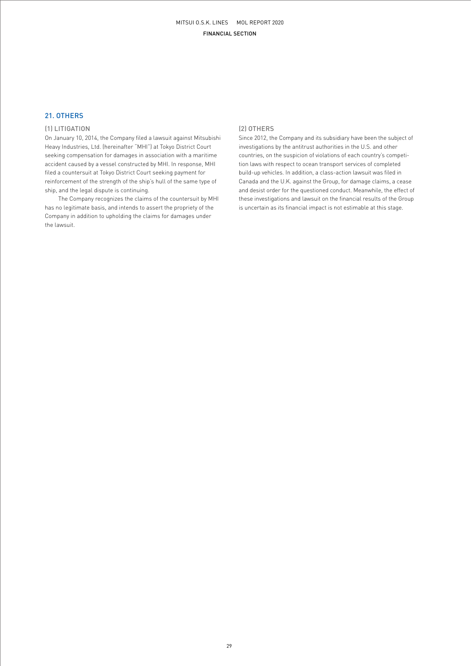## 21. OTHERS

## (1) LITIGATION

On January 10, 2014, the Company filed a lawsuit against Mitsubishi Heavy Industries, Ltd. (hereinafter "MHI") at Tokyo District Court seeking compensation for damages in association with a maritime accident caused by a vessel constructed by MHI. In response, MHI filed a countersuit at Tokyo District Court seeking payment for reinforcement of the strength of the ship's hull of the same type of ship, and the legal dispute is continuing.

The Company recognizes the claims of the countersuit by MHI has no legitimate basis, and intends to assert the propriety of the Company in addition to upholding the claims for damages under the lawsuit.

#### (2) OTHERS

Since 2012, the Company and its subsidiary have been the subject of investigations by the antitrust authorities in the U.S. and other countries, on the suspicion of violations of each country's competition laws with respect to ocean transport services of completed build-up vehicles. In addition, a class-action lawsuit was filed in Canada and the U.K. against the Group, for damage claims, a cease and desist order for the questioned conduct. Meanwhile, the effect of these investigations and lawsuit on the financial results of the Group is uncertain as its financial impact is not estimable at this stage.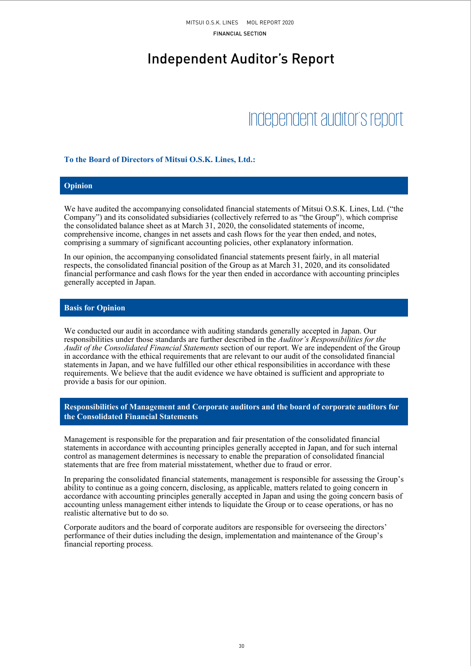MITSUI O.S.K. LINES MOL REPORT 2020 FINANCIAL SECTION

## Independent Auditor's Report

# Independent auditor's report

## **To the Board of Directors of Mitsui O.S.K. Lines, Ltd.:**

## **Opinion**

We have audited the accompanying consolidated financial statements of Mitsui O.S.K. Lines, Ltd. ("the Company") and its consolidated subsidiaries (collectively referred to as "the Group"), which comprise the consolidated balance sheet as at March 31, 2020, the consolidated statements of income, comprehensive income, changes in net assets and cash flows for the year then ended, and notes, comprising a summary of significant accounting policies, other explanatory information.

In our opinion, the accompanying consolidated financial statements present fairly, in all material respects, the consolidated financial position of the Group as at March 31, 2020, and its consolidated financial performance and cash flows for the year then ended in accordance with accounting principles generally accepted in Japan.

## **Basis for Opinion**

We conducted our audit in accordance with auditing standards generally accepted in Japan. Our responsibilities under those standards are further described in the *Auditor's Responsibilities for the Audit of the Consolidated Financial Statements* section of our report. We are independent of the Group in accordance with the ethical requirements that are relevant to our audit of the consolidated financial statements in Japan, and we have fulfilled our other ethical responsibilities in accordance with these requirements. We believe that the audit evidence we have obtained is sufficient and appropriate to provide a basis for our opinion.

## **Responsibilities of Management and Corporate auditors and the board of corporate auditors for the Consolidated Financial Statements**

Management is responsible for the preparation and fair presentation of the consolidated financial statements in accordance with accounting principles generally accepted in Japan, and for such internal control as management determines is necessary to enable the preparation of consolidated financial statements that are free from material misstatement, whether due to fraud or error.

In preparing the consolidated financial statements, management is responsible for assessing the Group's ability to continue as a going concern, disclosing, as applicable, matters related to going concern in accordance with accounting principles generally accepted in Japan and using the going concern basis of accounting unless management either intends to liquidate the Group or to cease operations, or has no realistic alternative but to do so.

Corporate auditors and the board of corporate auditors are responsible for overseeing the directors' performance of their duties including the design, implementation and maintenance of the Group's financial reporting process.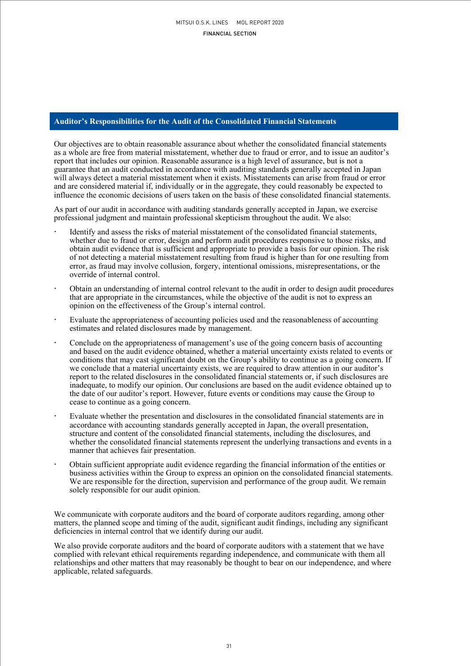## **Auditor's Responsibilities for the Audit of the Consolidated Financial Statements**

Our objectives are to obtain reasonable assurance about whether the consolidated financial statements as a whole are free from material misstatement, whether due to fraud or error, and to issue an auditor's report that includes our opinion. Reasonable assurance is a high level of assurance, but is not a guarantee that an audit conducted in accordance with auditing standards generally accepted in Japan will always detect a material misstatement when it exists. Misstatements can arise from fraud or error and are considered material if, individually or in the aggregate, they could reasonably be expected to influence the economic decisions of users taken on the basis of these consolidated financial statements.

As part of our audit in accordance with auditing standards generally accepted in Japan, we exercise professional judgment and maintain professional skepticism throughout the audit. We also:

- Identify and assess the risks of material misstatement of the consolidated financial statements, whether due to fraud or error, design and perform audit procedures responsive to those risks, and obtain audit evidence that is sufficient and appropriate to provide a basis for our opinion. The risk of not detecting a material misstatement resulting from fraud is higher than for one resulting from error, as fraud may involve collusion, forgery, intentional omissions, misrepresentations, or the override of internal control.
- Obtain an understanding of internal control relevant to the audit in order to design audit procedures that are appropriate in the circumstances, while the objective of the audit is not to express an opinion on the effectiveness of the Group's internal control.
- Evaluate the appropriateness of accounting policies used and the reasonableness of accounting estimates and related disclosures made by management.
- Conclude on the appropriateness of management's use of the going concern basis of accounting and based on the audit evidence obtained, whether a material uncertainty exists related to events or conditions that may cast significant doubt on the Group's ability to continue as a going concern. If we conclude that a material uncertainty exists, we are required to draw attention in our auditor's report to the related disclosures in the consolidated financial statements or, if such disclosures are inadequate, to modify our opinion. Our conclusions are based on the audit evidence obtained up to the date of our auditor's report. However, future events or conditions may cause the Group to cease to continue as a going concern.
- Evaluate whether the presentation and disclosures in the consolidated financial statements are in accordance with accounting standards generally accepted in Japan, the overall presentation, structure and content of the consolidated financial statements, including the disclosures, and whether the consolidated financial statements represent the underlying transactions and events in a manner that achieves fair presentation.
- Obtain sufficient appropriate audit evidence regarding the financial information of the entities or business activities within the Group to express an opinion on the consolidated financial statements. We are responsible for the direction, supervision and performance of the group audit. We remain solely responsible for our audit opinion.

We communicate with corporate auditors and the board of corporate auditors regarding, among other matters, the planned scope and timing of the audit, significant audit findings, including any significant deficiencies in internal control that we identify during our audit.

We also provide corporate auditors and the board of corporate auditors with a statement that we have complied with relevant ethical requirements regarding independence, and communicate with them all relationships and other matters that may reasonably be thought to bear on our independence, and where applicable, related safeguards.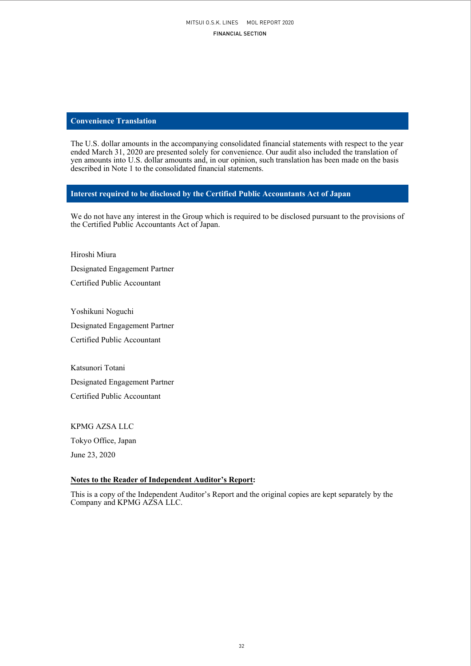## **Convenience Translation**

The U.S. dollar amounts in the accompanying consolidated financial statements with respect to the year ended March 31, 2020 are presented solely for convenience. Our audit also included the translation of yen amounts into U.S. dollar amounts and, in our opinion, such translation has been made on the basis described in Note 1 to the consolidated financial statements.

## **Interest required to be disclosed by the Certified Public Accountants Act of Japan**

We do not have any interest in the Group which is required to be disclosed pursuant to the provisions of the Certified Public Accountants Act of Japan.

Hiroshi Miura

Designated Engagement Partner

Certified Public Accountant

Yoshikuni Noguchi Designated Engagement Partner Certified Public Accountant

Katsunori Totani Designated Engagement Partner Certified Public Accountant

KPMG AZSA LLC Tokyo Office, Japan June 23, 2020

## **Notes to the Reader of Independent Auditor's Report:**

This is a copy of the Independent Auditor's Report and the original copies are kept separately by the Company and KPMG AZSA LLC.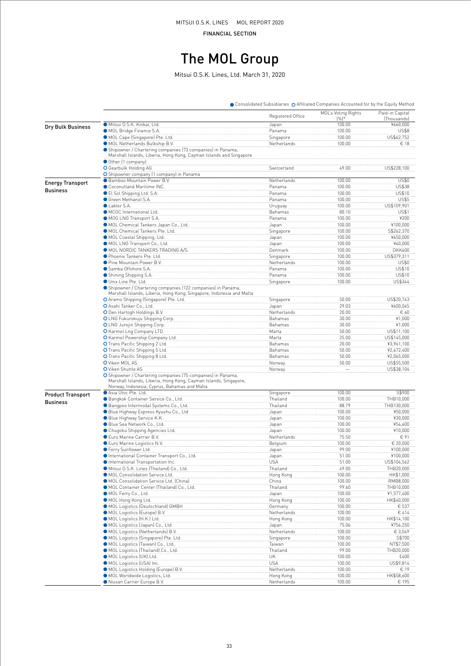FINANCIAL SECTION

## The MOL Group

Mitsui O.S.K. Lines, Ltd. March 31, 2020

| Mitsui O.S.K. Kinkai, Ltd.<br>100.00<br>Japan<br>¥660,000<br>Dry Bulk Business<br>MOL Bridge Finance S.A.<br>100.00<br><b>US\$8</b><br>Panama<br>MOL Cape (Singapore) Pte. Ltd.<br>100.00<br>US\$62,752<br>Singapore<br>MOL Netherlands Bulkship B.V.<br>100.00<br>Netherlands<br>€ 18<br>Shipowner / Chartering companies (73 companies) in Panama,<br>Marshall Islands, Liberia, Hong Kong, Cayman Islands and Singapore<br>Other (1 company)<br>O Gearbulk Holding AG<br>49.00<br>US\$228,100<br>Switzerland<br>O Shipowner company (1 company) in Panama<br>Bamboo Mountain Power B.V.<br>100.00<br><b>US\$0</b><br>Netherlands<br><b>Energy Transport</b><br>Coconutland Maritime INC.<br>Panama<br>100.00<br>US\$38<br><b>Business</b><br>El Sol Shipping Ltd. S.A.<br>Panama<br>100.00<br>US\$10<br>Green Methanol S.A.<br>Panama<br>100.00<br><b>US\$5</b><br>Lakler S.A.<br>Uruguay<br>100.00<br>US\$109,901<br><b>MCGC</b> International Ltd.<br>Bahamas<br>80.10<br><b>US\$1</b><br>MOG LNG Transport S.A.<br>Panama<br>100.00<br>¥200<br>MOL Chemical Tankers Japan Co., Ltd.<br>100.00<br>¥100,000<br>Japan<br>MOL Chemical Tankers Pte. Ltd.<br>100.00<br>S\$262,370<br>Singapore<br>MOL Coastal Shipping, Ltd.<br>100.00<br>Japan<br>¥650,000<br>MOL LNG Transport Co., Ltd.<br>100.00<br>¥40,000<br>Japan<br><b>OMOL NORDIC TANKERS TRADING A/S</b><br>Denmark<br>100.00<br><b>DKK600</b><br>● Phoenix Tankers Pte. Ltd.<br>100.00<br>US\$379,311<br>Singapore<br>Pine Mountain Power B.V.<br>Netherlands<br>100.00<br><b>US\$0</b><br>US\$10<br>Samba Offshore S.A.<br>Panama<br>100.00<br>Shining Shipping S.A.<br>Panama<br>100.00<br>US\$10<br>100.00<br>Unix Line Pte. Ltd.<br>US\$344<br>Singapore<br>Shipowner / Chartering companies (122 companies) in Panama,<br>Marshall Islands, Liberia, Hong Kong, Singapore, Indonesia and Malta<br>O Aramo Shipping (Singapore) Pte. Ltd.<br>50.00<br>US\$20,743<br>Singapore<br>O Asahi Tanker Co., Ltd.<br>29.03<br>¥600,045<br>Japan<br>O Den Hartogh Holdings B.V.<br>Netherlands<br>20.00<br>€ 60<br>O LNG Fukurokuju Shipping Corp.<br>Bahamas<br>30.00<br>¥1,000<br>O LNG Jurojin Shipping Corp.<br>Bahamas<br>30.00<br>¥1,000<br>O Karmol Lng Company LTD<br>Marta<br>50.00<br>US\$11,100<br>O Karmol Powership Company Ltd.<br>Marta<br>25.00<br>US\$145,000<br>O Trans Pacific Shipping 2 Ltd.<br>Bahamas<br>20.00<br>¥3,961,100<br>O Trans Pacific Shipping 5 Ltd.<br>Bahamas<br>50.00<br>¥2,672,400<br>O Trans Pacific Shipping 8 Ltd.<br>Bahamas<br>50.00<br>¥2,065,000<br>O Viken MOL AS<br>50.00<br>US\$55,500<br>Norway<br>O Viken Shuttle AS<br>Norway<br>US\$38,104<br>$\overline{\phantom{0}}$<br>O Shipowner / Chartering companies (75 companies) in Panama,<br>Marshall Islands, Liberia, Hong Kong, Cayman Islands, Singapore,<br>Norway, Indonesia, Cyprus, Bahamas and Malta<br>Asia Utoc Pte. Ltd.<br>100.00<br>S\$900<br>Singapore<br><b>Product Transport</b><br>Bangkok Container Service Co., Ltd.<br>Thailand<br>100.00<br>THB10,000<br><b>Business</b><br>88.79<br>Bangpoo Intermodal Systems Co., Ltd.<br>Thailand<br>THB130,000<br>Blue Highway Express Kyushu Co., Ltd<br>Japan<br>100.00<br>¥50,000<br>Blue Highway Service K.K.<br>Japan<br>100.00<br>¥30,000<br>Blue Sea Network Co., Ltd.<br>100.00<br>¥54,600<br>Japan<br>● Chugoku Shipping Agencies Ltd.<br>100.00<br>¥10,000<br>Japan<br>75.50<br>Euro Marine Carrier B.V.<br>€ 91<br>Netherlands<br>Euro Marine Logistics N.V.<br>100.00<br>€ 20,000<br>Belgium<br>99.00<br>Ferry Sunflower Ltd.<br>¥100,000<br>Japan<br>International Container Transport Co., Ltd.<br>51.00<br>¥100,000<br>Japan<br>International Transportation Inc.<br><b>USA</b><br>51.00<br>US\$104,562<br>Mitsui O.S.K. Lines (Thailand) Co., Ltd.<br>49.00<br>Thailand<br>THB20,000<br>MOL Consolidation Service Ltd.<br>Hong Kong<br>100.00<br>HK\$1,000<br>MOL Consolidation Service Ltd. (China)<br>China<br>100.00<br>RMB8,000<br>MOL Container Center (Thailand) Co., Ltd.<br>99.60<br>Thailand<br>THB10,000<br>MOL Ferry Co., Ltd.<br>Japan<br>100.00<br>¥1,577,400<br>MOL Hong Kong Ltd.<br>Hong Kong<br>100.00<br>HK\$40,000<br>MOL Logistics (Deutschland) GMBH<br>100.00<br>Germany<br>€ 537<br>• MOL Logistics (Europe) B.V.<br>100.00<br>Netherlands<br>€ 414<br>MOL Logistics (H.K.) Ltd.<br>Hong Kong<br>100.00<br>HK\$14,100<br>75.06<br>MOL Logistics (Japan) Co., Ltd.<br>Japan<br>¥756,250<br>• MOL Logistics (Netherlands) B.V.<br>Netherlands<br>100.00<br>€ 3,049<br>• MOL Logistics (Singapore) Pte. Ltd.<br>100.00<br>S\$700<br>Singapore<br>MOL Logistics (Taiwan) Co., Ltd.<br>Taiwan<br>100.00<br>NT\$7,500<br>99.00<br>MOL Logistics (Thailand) Co., Ltd.<br>Thailand<br>THB20,000<br>• MOL Logistics (UK) Ltd.<br>UK<br>100.00<br>£400<br>US\$9,814<br>• MOL Logistics (USA) Inc.<br><b>USA</b><br>100.00<br>• MOL Logistics Holding (Europe) B.V.<br>Netherlands<br>100.00<br>€ 19<br>· MOL Worldwide Logistics, Ltd.<br>Hong Kong<br>100.00<br>HK\$58,600<br>100.00<br>Nissan Carrier Europe B.V.<br>Netherlands<br>€ 195 |  |  | Registered Office | ● Consolidated Subsidiaries ○ Affiliated Companies Accounted for by the Equity Method<br>MOL's Voting Rights | Paid-in Capital |  |  |
|---------------------------------------------------------------------------------------------------------------------------------------------------------------------------------------------------------------------------------------------------------------------------------------------------------------------------------------------------------------------------------------------------------------------------------------------------------------------------------------------------------------------------------------------------------------------------------------------------------------------------------------------------------------------------------------------------------------------------------------------------------------------------------------------------------------------------------------------------------------------------------------------------------------------------------------------------------------------------------------------------------------------------------------------------------------------------------------------------------------------------------------------------------------------------------------------------------------------------------------------------------------------------------------------------------------------------------------------------------------------------------------------------------------------------------------------------------------------------------------------------------------------------------------------------------------------------------------------------------------------------------------------------------------------------------------------------------------------------------------------------------------------------------------------------------------------------------------------------------------------------------------------------------------------------------------------------------------------------------------------------------------------------------------------------------------------------------------------------------------------------------------------------------------------------------------------------------------------------------------------------------------------------------------------------------------------------------------------------------------------------------------------------------------------------------------------------------------------------------------------------------------------------------------------------------------------------------------------------------------------------------------------------------------------------------------------------------------------------------------------------------------------------------------------------------------------------------------------------------------------------------------------------------------------------------------------------------------------------------------------------------------------------------------------------------------------------------------------------------------------------------------------------------------------------------------------------------------------------------------------------------------------------------------------------------------------------------------------------------------------------------------------------------------------------------------------------------------------------------------------------------------------------------------------------------------------------------------------------------------------------------------------------------------------------------------------------------------------------------------------------------------------------------------------------------------------------------------------------------------------------------------------------------------------------------------------------------------------------------------------------------------------------------------------------------------------------------------------------------------------------------------------------------------------------------------------------------------------------------------------------------------------------------------------------------------------------------------------------------------------------------------------------------------------------------------------------------------------------------------------------------------------------------------------------------------------------------------------------------------------------------------------------------------------------------------------------------------------------------------------------------------------------------------------------------------------------------------------------------------------------------------------------------------------------------------------------------------------------------------------------------------------------------------------------------------------------------------------|--|--|-------------------|--------------------------------------------------------------------------------------------------------------|-----------------|--|--|
|                                                                                                                                                                                                                                                                                                                                                                                                                                                                                                                                                                                                                                                                                                                                                                                                                                                                                                                                                                                                                                                                                                                                                                                                                                                                                                                                                                                                                                                                                                                                                                                                                                                                                                                                                                                                                                                                                                                                                                                                                                                                                                                                                                                                                                                                                                                                                                                                                                                                                                                                                                                                                                                                                                                                                                                                                                                                                                                                                                                                                                                                                                                                                                                                                                                                                                                                                                                                                                                                                                                                                                                                                                                                                                                                                                                                                                                                                                                                                                                                                                                                                                                                                                                                                                                                                                                                                                                                                                                                                                                                                                                                                                                                                                                                                                                                                                                                                                                                                                                                                                                                                             |  |  |                   | $(%)^*$                                                                                                      | (Thousands)     |  |  |
|                                                                                                                                                                                                                                                                                                                                                                                                                                                                                                                                                                                                                                                                                                                                                                                                                                                                                                                                                                                                                                                                                                                                                                                                                                                                                                                                                                                                                                                                                                                                                                                                                                                                                                                                                                                                                                                                                                                                                                                                                                                                                                                                                                                                                                                                                                                                                                                                                                                                                                                                                                                                                                                                                                                                                                                                                                                                                                                                                                                                                                                                                                                                                                                                                                                                                                                                                                                                                                                                                                                                                                                                                                                                                                                                                                                                                                                                                                                                                                                                                                                                                                                                                                                                                                                                                                                                                                                                                                                                                                                                                                                                                                                                                                                                                                                                                                                                                                                                                                                                                                                                                             |  |  |                   |                                                                                                              |                 |  |  |
|                                                                                                                                                                                                                                                                                                                                                                                                                                                                                                                                                                                                                                                                                                                                                                                                                                                                                                                                                                                                                                                                                                                                                                                                                                                                                                                                                                                                                                                                                                                                                                                                                                                                                                                                                                                                                                                                                                                                                                                                                                                                                                                                                                                                                                                                                                                                                                                                                                                                                                                                                                                                                                                                                                                                                                                                                                                                                                                                                                                                                                                                                                                                                                                                                                                                                                                                                                                                                                                                                                                                                                                                                                                                                                                                                                                                                                                                                                                                                                                                                                                                                                                                                                                                                                                                                                                                                                                                                                                                                                                                                                                                                                                                                                                                                                                                                                                                                                                                                                                                                                                                                             |  |  |                   |                                                                                                              |                 |  |  |
|                                                                                                                                                                                                                                                                                                                                                                                                                                                                                                                                                                                                                                                                                                                                                                                                                                                                                                                                                                                                                                                                                                                                                                                                                                                                                                                                                                                                                                                                                                                                                                                                                                                                                                                                                                                                                                                                                                                                                                                                                                                                                                                                                                                                                                                                                                                                                                                                                                                                                                                                                                                                                                                                                                                                                                                                                                                                                                                                                                                                                                                                                                                                                                                                                                                                                                                                                                                                                                                                                                                                                                                                                                                                                                                                                                                                                                                                                                                                                                                                                                                                                                                                                                                                                                                                                                                                                                                                                                                                                                                                                                                                                                                                                                                                                                                                                                                                                                                                                                                                                                                                                             |  |  |                   |                                                                                                              |                 |  |  |
|                                                                                                                                                                                                                                                                                                                                                                                                                                                                                                                                                                                                                                                                                                                                                                                                                                                                                                                                                                                                                                                                                                                                                                                                                                                                                                                                                                                                                                                                                                                                                                                                                                                                                                                                                                                                                                                                                                                                                                                                                                                                                                                                                                                                                                                                                                                                                                                                                                                                                                                                                                                                                                                                                                                                                                                                                                                                                                                                                                                                                                                                                                                                                                                                                                                                                                                                                                                                                                                                                                                                                                                                                                                                                                                                                                                                                                                                                                                                                                                                                                                                                                                                                                                                                                                                                                                                                                                                                                                                                                                                                                                                                                                                                                                                                                                                                                                                                                                                                                                                                                                                                             |  |  |                   |                                                                                                              |                 |  |  |
|                                                                                                                                                                                                                                                                                                                                                                                                                                                                                                                                                                                                                                                                                                                                                                                                                                                                                                                                                                                                                                                                                                                                                                                                                                                                                                                                                                                                                                                                                                                                                                                                                                                                                                                                                                                                                                                                                                                                                                                                                                                                                                                                                                                                                                                                                                                                                                                                                                                                                                                                                                                                                                                                                                                                                                                                                                                                                                                                                                                                                                                                                                                                                                                                                                                                                                                                                                                                                                                                                                                                                                                                                                                                                                                                                                                                                                                                                                                                                                                                                                                                                                                                                                                                                                                                                                                                                                                                                                                                                                                                                                                                                                                                                                                                                                                                                                                                                                                                                                                                                                                                                             |  |  |                   |                                                                                                              |                 |  |  |
|                                                                                                                                                                                                                                                                                                                                                                                                                                                                                                                                                                                                                                                                                                                                                                                                                                                                                                                                                                                                                                                                                                                                                                                                                                                                                                                                                                                                                                                                                                                                                                                                                                                                                                                                                                                                                                                                                                                                                                                                                                                                                                                                                                                                                                                                                                                                                                                                                                                                                                                                                                                                                                                                                                                                                                                                                                                                                                                                                                                                                                                                                                                                                                                                                                                                                                                                                                                                                                                                                                                                                                                                                                                                                                                                                                                                                                                                                                                                                                                                                                                                                                                                                                                                                                                                                                                                                                                                                                                                                                                                                                                                                                                                                                                                                                                                                                                                                                                                                                                                                                                                                             |  |  |                   |                                                                                                              |                 |  |  |
|                                                                                                                                                                                                                                                                                                                                                                                                                                                                                                                                                                                                                                                                                                                                                                                                                                                                                                                                                                                                                                                                                                                                                                                                                                                                                                                                                                                                                                                                                                                                                                                                                                                                                                                                                                                                                                                                                                                                                                                                                                                                                                                                                                                                                                                                                                                                                                                                                                                                                                                                                                                                                                                                                                                                                                                                                                                                                                                                                                                                                                                                                                                                                                                                                                                                                                                                                                                                                                                                                                                                                                                                                                                                                                                                                                                                                                                                                                                                                                                                                                                                                                                                                                                                                                                                                                                                                                                                                                                                                                                                                                                                                                                                                                                                                                                                                                                                                                                                                                                                                                                                                             |  |  |                   |                                                                                                              |                 |  |  |
|                                                                                                                                                                                                                                                                                                                                                                                                                                                                                                                                                                                                                                                                                                                                                                                                                                                                                                                                                                                                                                                                                                                                                                                                                                                                                                                                                                                                                                                                                                                                                                                                                                                                                                                                                                                                                                                                                                                                                                                                                                                                                                                                                                                                                                                                                                                                                                                                                                                                                                                                                                                                                                                                                                                                                                                                                                                                                                                                                                                                                                                                                                                                                                                                                                                                                                                                                                                                                                                                                                                                                                                                                                                                                                                                                                                                                                                                                                                                                                                                                                                                                                                                                                                                                                                                                                                                                                                                                                                                                                                                                                                                                                                                                                                                                                                                                                                                                                                                                                                                                                                                                             |  |  |                   |                                                                                                              |                 |  |  |
|                                                                                                                                                                                                                                                                                                                                                                                                                                                                                                                                                                                                                                                                                                                                                                                                                                                                                                                                                                                                                                                                                                                                                                                                                                                                                                                                                                                                                                                                                                                                                                                                                                                                                                                                                                                                                                                                                                                                                                                                                                                                                                                                                                                                                                                                                                                                                                                                                                                                                                                                                                                                                                                                                                                                                                                                                                                                                                                                                                                                                                                                                                                                                                                                                                                                                                                                                                                                                                                                                                                                                                                                                                                                                                                                                                                                                                                                                                                                                                                                                                                                                                                                                                                                                                                                                                                                                                                                                                                                                                                                                                                                                                                                                                                                                                                                                                                                                                                                                                                                                                                                                             |  |  |                   |                                                                                                              |                 |  |  |
|                                                                                                                                                                                                                                                                                                                                                                                                                                                                                                                                                                                                                                                                                                                                                                                                                                                                                                                                                                                                                                                                                                                                                                                                                                                                                                                                                                                                                                                                                                                                                                                                                                                                                                                                                                                                                                                                                                                                                                                                                                                                                                                                                                                                                                                                                                                                                                                                                                                                                                                                                                                                                                                                                                                                                                                                                                                                                                                                                                                                                                                                                                                                                                                                                                                                                                                                                                                                                                                                                                                                                                                                                                                                                                                                                                                                                                                                                                                                                                                                                                                                                                                                                                                                                                                                                                                                                                                                                                                                                                                                                                                                                                                                                                                                                                                                                                                                                                                                                                                                                                                                                             |  |  |                   |                                                                                                              |                 |  |  |
|                                                                                                                                                                                                                                                                                                                                                                                                                                                                                                                                                                                                                                                                                                                                                                                                                                                                                                                                                                                                                                                                                                                                                                                                                                                                                                                                                                                                                                                                                                                                                                                                                                                                                                                                                                                                                                                                                                                                                                                                                                                                                                                                                                                                                                                                                                                                                                                                                                                                                                                                                                                                                                                                                                                                                                                                                                                                                                                                                                                                                                                                                                                                                                                                                                                                                                                                                                                                                                                                                                                                                                                                                                                                                                                                                                                                                                                                                                                                                                                                                                                                                                                                                                                                                                                                                                                                                                                                                                                                                                                                                                                                                                                                                                                                                                                                                                                                                                                                                                                                                                                                                             |  |  |                   |                                                                                                              |                 |  |  |
|                                                                                                                                                                                                                                                                                                                                                                                                                                                                                                                                                                                                                                                                                                                                                                                                                                                                                                                                                                                                                                                                                                                                                                                                                                                                                                                                                                                                                                                                                                                                                                                                                                                                                                                                                                                                                                                                                                                                                                                                                                                                                                                                                                                                                                                                                                                                                                                                                                                                                                                                                                                                                                                                                                                                                                                                                                                                                                                                                                                                                                                                                                                                                                                                                                                                                                                                                                                                                                                                                                                                                                                                                                                                                                                                                                                                                                                                                                                                                                                                                                                                                                                                                                                                                                                                                                                                                                                                                                                                                                                                                                                                                                                                                                                                                                                                                                                                                                                                                                                                                                                                                             |  |  |                   |                                                                                                              |                 |  |  |
|                                                                                                                                                                                                                                                                                                                                                                                                                                                                                                                                                                                                                                                                                                                                                                                                                                                                                                                                                                                                                                                                                                                                                                                                                                                                                                                                                                                                                                                                                                                                                                                                                                                                                                                                                                                                                                                                                                                                                                                                                                                                                                                                                                                                                                                                                                                                                                                                                                                                                                                                                                                                                                                                                                                                                                                                                                                                                                                                                                                                                                                                                                                                                                                                                                                                                                                                                                                                                                                                                                                                                                                                                                                                                                                                                                                                                                                                                                                                                                                                                                                                                                                                                                                                                                                                                                                                                                                                                                                                                                                                                                                                                                                                                                                                                                                                                                                                                                                                                                                                                                                                                             |  |  |                   |                                                                                                              |                 |  |  |
|                                                                                                                                                                                                                                                                                                                                                                                                                                                                                                                                                                                                                                                                                                                                                                                                                                                                                                                                                                                                                                                                                                                                                                                                                                                                                                                                                                                                                                                                                                                                                                                                                                                                                                                                                                                                                                                                                                                                                                                                                                                                                                                                                                                                                                                                                                                                                                                                                                                                                                                                                                                                                                                                                                                                                                                                                                                                                                                                                                                                                                                                                                                                                                                                                                                                                                                                                                                                                                                                                                                                                                                                                                                                                                                                                                                                                                                                                                                                                                                                                                                                                                                                                                                                                                                                                                                                                                                                                                                                                                                                                                                                                                                                                                                                                                                                                                                                                                                                                                                                                                                                                             |  |  |                   |                                                                                                              |                 |  |  |
|                                                                                                                                                                                                                                                                                                                                                                                                                                                                                                                                                                                                                                                                                                                                                                                                                                                                                                                                                                                                                                                                                                                                                                                                                                                                                                                                                                                                                                                                                                                                                                                                                                                                                                                                                                                                                                                                                                                                                                                                                                                                                                                                                                                                                                                                                                                                                                                                                                                                                                                                                                                                                                                                                                                                                                                                                                                                                                                                                                                                                                                                                                                                                                                                                                                                                                                                                                                                                                                                                                                                                                                                                                                                                                                                                                                                                                                                                                                                                                                                                                                                                                                                                                                                                                                                                                                                                                                                                                                                                                                                                                                                                                                                                                                                                                                                                                                                                                                                                                                                                                                                                             |  |  |                   |                                                                                                              |                 |  |  |
|                                                                                                                                                                                                                                                                                                                                                                                                                                                                                                                                                                                                                                                                                                                                                                                                                                                                                                                                                                                                                                                                                                                                                                                                                                                                                                                                                                                                                                                                                                                                                                                                                                                                                                                                                                                                                                                                                                                                                                                                                                                                                                                                                                                                                                                                                                                                                                                                                                                                                                                                                                                                                                                                                                                                                                                                                                                                                                                                                                                                                                                                                                                                                                                                                                                                                                                                                                                                                                                                                                                                                                                                                                                                                                                                                                                                                                                                                                                                                                                                                                                                                                                                                                                                                                                                                                                                                                                                                                                                                                                                                                                                                                                                                                                                                                                                                                                                                                                                                                                                                                                                                             |  |  |                   |                                                                                                              |                 |  |  |
|                                                                                                                                                                                                                                                                                                                                                                                                                                                                                                                                                                                                                                                                                                                                                                                                                                                                                                                                                                                                                                                                                                                                                                                                                                                                                                                                                                                                                                                                                                                                                                                                                                                                                                                                                                                                                                                                                                                                                                                                                                                                                                                                                                                                                                                                                                                                                                                                                                                                                                                                                                                                                                                                                                                                                                                                                                                                                                                                                                                                                                                                                                                                                                                                                                                                                                                                                                                                                                                                                                                                                                                                                                                                                                                                                                                                                                                                                                                                                                                                                                                                                                                                                                                                                                                                                                                                                                                                                                                                                                                                                                                                                                                                                                                                                                                                                                                                                                                                                                                                                                                                                             |  |  |                   |                                                                                                              |                 |  |  |
|                                                                                                                                                                                                                                                                                                                                                                                                                                                                                                                                                                                                                                                                                                                                                                                                                                                                                                                                                                                                                                                                                                                                                                                                                                                                                                                                                                                                                                                                                                                                                                                                                                                                                                                                                                                                                                                                                                                                                                                                                                                                                                                                                                                                                                                                                                                                                                                                                                                                                                                                                                                                                                                                                                                                                                                                                                                                                                                                                                                                                                                                                                                                                                                                                                                                                                                                                                                                                                                                                                                                                                                                                                                                                                                                                                                                                                                                                                                                                                                                                                                                                                                                                                                                                                                                                                                                                                                                                                                                                                                                                                                                                                                                                                                                                                                                                                                                                                                                                                                                                                                                                             |  |  |                   |                                                                                                              |                 |  |  |
|                                                                                                                                                                                                                                                                                                                                                                                                                                                                                                                                                                                                                                                                                                                                                                                                                                                                                                                                                                                                                                                                                                                                                                                                                                                                                                                                                                                                                                                                                                                                                                                                                                                                                                                                                                                                                                                                                                                                                                                                                                                                                                                                                                                                                                                                                                                                                                                                                                                                                                                                                                                                                                                                                                                                                                                                                                                                                                                                                                                                                                                                                                                                                                                                                                                                                                                                                                                                                                                                                                                                                                                                                                                                                                                                                                                                                                                                                                                                                                                                                                                                                                                                                                                                                                                                                                                                                                                                                                                                                                                                                                                                                                                                                                                                                                                                                                                                                                                                                                                                                                                                                             |  |  |                   |                                                                                                              |                 |  |  |
|                                                                                                                                                                                                                                                                                                                                                                                                                                                                                                                                                                                                                                                                                                                                                                                                                                                                                                                                                                                                                                                                                                                                                                                                                                                                                                                                                                                                                                                                                                                                                                                                                                                                                                                                                                                                                                                                                                                                                                                                                                                                                                                                                                                                                                                                                                                                                                                                                                                                                                                                                                                                                                                                                                                                                                                                                                                                                                                                                                                                                                                                                                                                                                                                                                                                                                                                                                                                                                                                                                                                                                                                                                                                                                                                                                                                                                                                                                                                                                                                                                                                                                                                                                                                                                                                                                                                                                                                                                                                                                                                                                                                                                                                                                                                                                                                                                                                                                                                                                                                                                                                                             |  |  |                   |                                                                                                              |                 |  |  |
|                                                                                                                                                                                                                                                                                                                                                                                                                                                                                                                                                                                                                                                                                                                                                                                                                                                                                                                                                                                                                                                                                                                                                                                                                                                                                                                                                                                                                                                                                                                                                                                                                                                                                                                                                                                                                                                                                                                                                                                                                                                                                                                                                                                                                                                                                                                                                                                                                                                                                                                                                                                                                                                                                                                                                                                                                                                                                                                                                                                                                                                                                                                                                                                                                                                                                                                                                                                                                                                                                                                                                                                                                                                                                                                                                                                                                                                                                                                                                                                                                                                                                                                                                                                                                                                                                                                                                                                                                                                                                                                                                                                                                                                                                                                                                                                                                                                                                                                                                                                                                                                                                             |  |  |                   |                                                                                                              |                 |  |  |
|                                                                                                                                                                                                                                                                                                                                                                                                                                                                                                                                                                                                                                                                                                                                                                                                                                                                                                                                                                                                                                                                                                                                                                                                                                                                                                                                                                                                                                                                                                                                                                                                                                                                                                                                                                                                                                                                                                                                                                                                                                                                                                                                                                                                                                                                                                                                                                                                                                                                                                                                                                                                                                                                                                                                                                                                                                                                                                                                                                                                                                                                                                                                                                                                                                                                                                                                                                                                                                                                                                                                                                                                                                                                                                                                                                                                                                                                                                                                                                                                                                                                                                                                                                                                                                                                                                                                                                                                                                                                                                                                                                                                                                                                                                                                                                                                                                                                                                                                                                                                                                                                                             |  |  |                   |                                                                                                              |                 |  |  |
|                                                                                                                                                                                                                                                                                                                                                                                                                                                                                                                                                                                                                                                                                                                                                                                                                                                                                                                                                                                                                                                                                                                                                                                                                                                                                                                                                                                                                                                                                                                                                                                                                                                                                                                                                                                                                                                                                                                                                                                                                                                                                                                                                                                                                                                                                                                                                                                                                                                                                                                                                                                                                                                                                                                                                                                                                                                                                                                                                                                                                                                                                                                                                                                                                                                                                                                                                                                                                                                                                                                                                                                                                                                                                                                                                                                                                                                                                                                                                                                                                                                                                                                                                                                                                                                                                                                                                                                                                                                                                                                                                                                                                                                                                                                                                                                                                                                                                                                                                                                                                                                                                             |  |  |                   |                                                                                                              |                 |  |  |
|                                                                                                                                                                                                                                                                                                                                                                                                                                                                                                                                                                                                                                                                                                                                                                                                                                                                                                                                                                                                                                                                                                                                                                                                                                                                                                                                                                                                                                                                                                                                                                                                                                                                                                                                                                                                                                                                                                                                                                                                                                                                                                                                                                                                                                                                                                                                                                                                                                                                                                                                                                                                                                                                                                                                                                                                                                                                                                                                                                                                                                                                                                                                                                                                                                                                                                                                                                                                                                                                                                                                                                                                                                                                                                                                                                                                                                                                                                                                                                                                                                                                                                                                                                                                                                                                                                                                                                                                                                                                                                                                                                                                                                                                                                                                                                                                                                                                                                                                                                                                                                                                                             |  |  |                   |                                                                                                              |                 |  |  |
|                                                                                                                                                                                                                                                                                                                                                                                                                                                                                                                                                                                                                                                                                                                                                                                                                                                                                                                                                                                                                                                                                                                                                                                                                                                                                                                                                                                                                                                                                                                                                                                                                                                                                                                                                                                                                                                                                                                                                                                                                                                                                                                                                                                                                                                                                                                                                                                                                                                                                                                                                                                                                                                                                                                                                                                                                                                                                                                                                                                                                                                                                                                                                                                                                                                                                                                                                                                                                                                                                                                                                                                                                                                                                                                                                                                                                                                                                                                                                                                                                                                                                                                                                                                                                                                                                                                                                                                                                                                                                                                                                                                                                                                                                                                                                                                                                                                                                                                                                                                                                                                                                             |  |  |                   |                                                                                                              |                 |  |  |
|                                                                                                                                                                                                                                                                                                                                                                                                                                                                                                                                                                                                                                                                                                                                                                                                                                                                                                                                                                                                                                                                                                                                                                                                                                                                                                                                                                                                                                                                                                                                                                                                                                                                                                                                                                                                                                                                                                                                                                                                                                                                                                                                                                                                                                                                                                                                                                                                                                                                                                                                                                                                                                                                                                                                                                                                                                                                                                                                                                                                                                                                                                                                                                                                                                                                                                                                                                                                                                                                                                                                                                                                                                                                                                                                                                                                                                                                                                                                                                                                                                                                                                                                                                                                                                                                                                                                                                                                                                                                                                                                                                                                                                                                                                                                                                                                                                                                                                                                                                                                                                                                                             |  |  |                   |                                                                                                              |                 |  |  |
|                                                                                                                                                                                                                                                                                                                                                                                                                                                                                                                                                                                                                                                                                                                                                                                                                                                                                                                                                                                                                                                                                                                                                                                                                                                                                                                                                                                                                                                                                                                                                                                                                                                                                                                                                                                                                                                                                                                                                                                                                                                                                                                                                                                                                                                                                                                                                                                                                                                                                                                                                                                                                                                                                                                                                                                                                                                                                                                                                                                                                                                                                                                                                                                                                                                                                                                                                                                                                                                                                                                                                                                                                                                                                                                                                                                                                                                                                                                                                                                                                                                                                                                                                                                                                                                                                                                                                                                                                                                                                                                                                                                                                                                                                                                                                                                                                                                                                                                                                                                                                                                                                             |  |  |                   |                                                                                                              |                 |  |  |
|                                                                                                                                                                                                                                                                                                                                                                                                                                                                                                                                                                                                                                                                                                                                                                                                                                                                                                                                                                                                                                                                                                                                                                                                                                                                                                                                                                                                                                                                                                                                                                                                                                                                                                                                                                                                                                                                                                                                                                                                                                                                                                                                                                                                                                                                                                                                                                                                                                                                                                                                                                                                                                                                                                                                                                                                                                                                                                                                                                                                                                                                                                                                                                                                                                                                                                                                                                                                                                                                                                                                                                                                                                                                                                                                                                                                                                                                                                                                                                                                                                                                                                                                                                                                                                                                                                                                                                                                                                                                                                                                                                                                                                                                                                                                                                                                                                                                                                                                                                                                                                                                                             |  |  |                   |                                                                                                              |                 |  |  |
|                                                                                                                                                                                                                                                                                                                                                                                                                                                                                                                                                                                                                                                                                                                                                                                                                                                                                                                                                                                                                                                                                                                                                                                                                                                                                                                                                                                                                                                                                                                                                                                                                                                                                                                                                                                                                                                                                                                                                                                                                                                                                                                                                                                                                                                                                                                                                                                                                                                                                                                                                                                                                                                                                                                                                                                                                                                                                                                                                                                                                                                                                                                                                                                                                                                                                                                                                                                                                                                                                                                                                                                                                                                                                                                                                                                                                                                                                                                                                                                                                                                                                                                                                                                                                                                                                                                                                                                                                                                                                                                                                                                                                                                                                                                                                                                                                                                                                                                                                                                                                                                                                             |  |  |                   |                                                                                                              |                 |  |  |
|                                                                                                                                                                                                                                                                                                                                                                                                                                                                                                                                                                                                                                                                                                                                                                                                                                                                                                                                                                                                                                                                                                                                                                                                                                                                                                                                                                                                                                                                                                                                                                                                                                                                                                                                                                                                                                                                                                                                                                                                                                                                                                                                                                                                                                                                                                                                                                                                                                                                                                                                                                                                                                                                                                                                                                                                                                                                                                                                                                                                                                                                                                                                                                                                                                                                                                                                                                                                                                                                                                                                                                                                                                                                                                                                                                                                                                                                                                                                                                                                                                                                                                                                                                                                                                                                                                                                                                                                                                                                                                                                                                                                                                                                                                                                                                                                                                                                                                                                                                                                                                                                                             |  |  |                   |                                                                                                              |                 |  |  |
|                                                                                                                                                                                                                                                                                                                                                                                                                                                                                                                                                                                                                                                                                                                                                                                                                                                                                                                                                                                                                                                                                                                                                                                                                                                                                                                                                                                                                                                                                                                                                                                                                                                                                                                                                                                                                                                                                                                                                                                                                                                                                                                                                                                                                                                                                                                                                                                                                                                                                                                                                                                                                                                                                                                                                                                                                                                                                                                                                                                                                                                                                                                                                                                                                                                                                                                                                                                                                                                                                                                                                                                                                                                                                                                                                                                                                                                                                                                                                                                                                                                                                                                                                                                                                                                                                                                                                                                                                                                                                                                                                                                                                                                                                                                                                                                                                                                                                                                                                                                                                                                                                             |  |  |                   |                                                                                                              |                 |  |  |
|                                                                                                                                                                                                                                                                                                                                                                                                                                                                                                                                                                                                                                                                                                                                                                                                                                                                                                                                                                                                                                                                                                                                                                                                                                                                                                                                                                                                                                                                                                                                                                                                                                                                                                                                                                                                                                                                                                                                                                                                                                                                                                                                                                                                                                                                                                                                                                                                                                                                                                                                                                                                                                                                                                                                                                                                                                                                                                                                                                                                                                                                                                                                                                                                                                                                                                                                                                                                                                                                                                                                                                                                                                                                                                                                                                                                                                                                                                                                                                                                                                                                                                                                                                                                                                                                                                                                                                                                                                                                                                                                                                                                                                                                                                                                                                                                                                                                                                                                                                                                                                                                                             |  |  |                   |                                                                                                              |                 |  |  |
|                                                                                                                                                                                                                                                                                                                                                                                                                                                                                                                                                                                                                                                                                                                                                                                                                                                                                                                                                                                                                                                                                                                                                                                                                                                                                                                                                                                                                                                                                                                                                                                                                                                                                                                                                                                                                                                                                                                                                                                                                                                                                                                                                                                                                                                                                                                                                                                                                                                                                                                                                                                                                                                                                                                                                                                                                                                                                                                                                                                                                                                                                                                                                                                                                                                                                                                                                                                                                                                                                                                                                                                                                                                                                                                                                                                                                                                                                                                                                                                                                                                                                                                                                                                                                                                                                                                                                                                                                                                                                                                                                                                                                                                                                                                                                                                                                                                                                                                                                                                                                                                                                             |  |  |                   |                                                                                                              |                 |  |  |
|                                                                                                                                                                                                                                                                                                                                                                                                                                                                                                                                                                                                                                                                                                                                                                                                                                                                                                                                                                                                                                                                                                                                                                                                                                                                                                                                                                                                                                                                                                                                                                                                                                                                                                                                                                                                                                                                                                                                                                                                                                                                                                                                                                                                                                                                                                                                                                                                                                                                                                                                                                                                                                                                                                                                                                                                                                                                                                                                                                                                                                                                                                                                                                                                                                                                                                                                                                                                                                                                                                                                                                                                                                                                                                                                                                                                                                                                                                                                                                                                                                                                                                                                                                                                                                                                                                                                                                                                                                                                                                                                                                                                                                                                                                                                                                                                                                                                                                                                                                                                                                                                                             |  |  |                   |                                                                                                              |                 |  |  |
|                                                                                                                                                                                                                                                                                                                                                                                                                                                                                                                                                                                                                                                                                                                                                                                                                                                                                                                                                                                                                                                                                                                                                                                                                                                                                                                                                                                                                                                                                                                                                                                                                                                                                                                                                                                                                                                                                                                                                                                                                                                                                                                                                                                                                                                                                                                                                                                                                                                                                                                                                                                                                                                                                                                                                                                                                                                                                                                                                                                                                                                                                                                                                                                                                                                                                                                                                                                                                                                                                                                                                                                                                                                                                                                                                                                                                                                                                                                                                                                                                                                                                                                                                                                                                                                                                                                                                                                                                                                                                                                                                                                                                                                                                                                                                                                                                                                                                                                                                                                                                                                                                             |  |  |                   |                                                                                                              |                 |  |  |
|                                                                                                                                                                                                                                                                                                                                                                                                                                                                                                                                                                                                                                                                                                                                                                                                                                                                                                                                                                                                                                                                                                                                                                                                                                                                                                                                                                                                                                                                                                                                                                                                                                                                                                                                                                                                                                                                                                                                                                                                                                                                                                                                                                                                                                                                                                                                                                                                                                                                                                                                                                                                                                                                                                                                                                                                                                                                                                                                                                                                                                                                                                                                                                                                                                                                                                                                                                                                                                                                                                                                                                                                                                                                                                                                                                                                                                                                                                                                                                                                                                                                                                                                                                                                                                                                                                                                                                                                                                                                                                                                                                                                                                                                                                                                                                                                                                                                                                                                                                                                                                                                                             |  |  |                   |                                                                                                              |                 |  |  |
|                                                                                                                                                                                                                                                                                                                                                                                                                                                                                                                                                                                                                                                                                                                                                                                                                                                                                                                                                                                                                                                                                                                                                                                                                                                                                                                                                                                                                                                                                                                                                                                                                                                                                                                                                                                                                                                                                                                                                                                                                                                                                                                                                                                                                                                                                                                                                                                                                                                                                                                                                                                                                                                                                                                                                                                                                                                                                                                                                                                                                                                                                                                                                                                                                                                                                                                                                                                                                                                                                                                                                                                                                                                                                                                                                                                                                                                                                                                                                                                                                                                                                                                                                                                                                                                                                                                                                                                                                                                                                                                                                                                                                                                                                                                                                                                                                                                                                                                                                                                                                                                                                             |  |  |                   |                                                                                                              |                 |  |  |
|                                                                                                                                                                                                                                                                                                                                                                                                                                                                                                                                                                                                                                                                                                                                                                                                                                                                                                                                                                                                                                                                                                                                                                                                                                                                                                                                                                                                                                                                                                                                                                                                                                                                                                                                                                                                                                                                                                                                                                                                                                                                                                                                                                                                                                                                                                                                                                                                                                                                                                                                                                                                                                                                                                                                                                                                                                                                                                                                                                                                                                                                                                                                                                                                                                                                                                                                                                                                                                                                                                                                                                                                                                                                                                                                                                                                                                                                                                                                                                                                                                                                                                                                                                                                                                                                                                                                                                                                                                                                                                                                                                                                                                                                                                                                                                                                                                                                                                                                                                                                                                                                                             |  |  |                   |                                                                                                              |                 |  |  |
|                                                                                                                                                                                                                                                                                                                                                                                                                                                                                                                                                                                                                                                                                                                                                                                                                                                                                                                                                                                                                                                                                                                                                                                                                                                                                                                                                                                                                                                                                                                                                                                                                                                                                                                                                                                                                                                                                                                                                                                                                                                                                                                                                                                                                                                                                                                                                                                                                                                                                                                                                                                                                                                                                                                                                                                                                                                                                                                                                                                                                                                                                                                                                                                                                                                                                                                                                                                                                                                                                                                                                                                                                                                                                                                                                                                                                                                                                                                                                                                                                                                                                                                                                                                                                                                                                                                                                                                                                                                                                                                                                                                                                                                                                                                                                                                                                                                                                                                                                                                                                                                                                             |  |  |                   |                                                                                                              |                 |  |  |
|                                                                                                                                                                                                                                                                                                                                                                                                                                                                                                                                                                                                                                                                                                                                                                                                                                                                                                                                                                                                                                                                                                                                                                                                                                                                                                                                                                                                                                                                                                                                                                                                                                                                                                                                                                                                                                                                                                                                                                                                                                                                                                                                                                                                                                                                                                                                                                                                                                                                                                                                                                                                                                                                                                                                                                                                                                                                                                                                                                                                                                                                                                                                                                                                                                                                                                                                                                                                                                                                                                                                                                                                                                                                                                                                                                                                                                                                                                                                                                                                                                                                                                                                                                                                                                                                                                                                                                                                                                                                                                                                                                                                                                                                                                                                                                                                                                                                                                                                                                                                                                                                                             |  |  |                   |                                                                                                              |                 |  |  |
|                                                                                                                                                                                                                                                                                                                                                                                                                                                                                                                                                                                                                                                                                                                                                                                                                                                                                                                                                                                                                                                                                                                                                                                                                                                                                                                                                                                                                                                                                                                                                                                                                                                                                                                                                                                                                                                                                                                                                                                                                                                                                                                                                                                                                                                                                                                                                                                                                                                                                                                                                                                                                                                                                                                                                                                                                                                                                                                                                                                                                                                                                                                                                                                                                                                                                                                                                                                                                                                                                                                                                                                                                                                                                                                                                                                                                                                                                                                                                                                                                                                                                                                                                                                                                                                                                                                                                                                                                                                                                                                                                                                                                                                                                                                                                                                                                                                                                                                                                                                                                                                                                             |  |  |                   |                                                                                                              |                 |  |  |
|                                                                                                                                                                                                                                                                                                                                                                                                                                                                                                                                                                                                                                                                                                                                                                                                                                                                                                                                                                                                                                                                                                                                                                                                                                                                                                                                                                                                                                                                                                                                                                                                                                                                                                                                                                                                                                                                                                                                                                                                                                                                                                                                                                                                                                                                                                                                                                                                                                                                                                                                                                                                                                                                                                                                                                                                                                                                                                                                                                                                                                                                                                                                                                                                                                                                                                                                                                                                                                                                                                                                                                                                                                                                                                                                                                                                                                                                                                                                                                                                                                                                                                                                                                                                                                                                                                                                                                                                                                                                                                                                                                                                                                                                                                                                                                                                                                                                                                                                                                                                                                                                                             |  |  |                   |                                                                                                              |                 |  |  |
|                                                                                                                                                                                                                                                                                                                                                                                                                                                                                                                                                                                                                                                                                                                                                                                                                                                                                                                                                                                                                                                                                                                                                                                                                                                                                                                                                                                                                                                                                                                                                                                                                                                                                                                                                                                                                                                                                                                                                                                                                                                                                                                                                                                                                                                                                                                                                                                                                                                                                                                                                                                                                                                                                                                                                                                                                                                                                                                                                                                                                                                                                                                                                                                                                                                                                                                                                                                                                                                                                                                                                                                                                                                                                                                                                                                                                                                                                                                                                                                                                                                                                                                                                                                                                                                                                                                                                                                                                                                                                                                                                                                                                                                                                                                                                                                                                                                                                                                                                                                                                                                                                             |  |  |                   |                                                                                                              |                 |  |  |
|                                                                                                                                                                                                                                                                                                                                                                                                                                                                                                                                                                                                                                                                                                                                                                                                                                                                                                                                                                                                                                                                                                                                                                                                                                                                                                                                                                                                                                                                                                                                                                                                                                                                                                                                                                                                                                                                                                                                                                                                                                                                                                                                                                                                                                                                                                                                                                                                                                                                                                                                                                                                                                                                                                                                                                                                                                                                                                                                                                                                                                                                                                                                                                                                                                                                                                                                                                                                                                                                                                                                                                                                                                                                                                                                                                                                                                                                                                                                                                                                                                                                                                                                                                                                                                                                                                                                                                                                                                                                                                                                                                                                                                                                                                                                                                                                                                                                                                                                                                                                                                                                                             |  |  |                   |                                                                                                              |                 |  |  |
|                                                                                                                                                                                                                                                                                                                                                                                                                                                                                                                                                                                                                                                                                                                                                                                                                                                                                                                                                                                                                                                                                                                                                                                                                                                                                                                                                                                                                                                                                                                                                                                                                                                                                                                                                                                                                                                                                                                                                                                                                                                                                                                                                                                                                                                                                                                                                                                                                                                                                                                                                                                                                                                                                                                                                                                                                                                                                                                                                                                                                                                                                                                                                                                                                                                                                                                                                                                                                                                                                                                                                                                                                                                                                                                                                                                                                                                                                                                                                                                                                                                                                                                                                                                                                                                                                                                                                                                                                                                                                                                                                                                                                                                                                                                                                                                                                                                                                                                                                                                                                                                                                             |  |  |                   |                                                                                                              |                 |  |  |
|                                                                                                                                                                                                                                                                                                                                                                                                                                                                                                                                                                                                                                                                                                                                                                                                                                                                                                                                                                                                                                                                                                                                                                                                                                                                                                                                                                                                                                                                                                                                                                                                                                                                                                                                                                                                                                                                                                                                                                                                                                                                                                                                                                                                                                                                                                                                                                                                                                                                                                                                                                                                                                                                                                                                                                                                                                                                                                                                                                                                                                                                                                                                                                                                                                                                                                                                                                                                                                                                                                                                                                                                                                                                                                                                                                                                                                                                                                                                                                                                                                                                                                                                                                                                                                                                                                                                                                                                                                                                                                                                                                                                                                                                                                                                                                                                                                                                                                                                                                                                                                                                                             |  |  |                   |                                                                                                              |                 |  |  |
|                                                                                                                                                                                                                                                                                                                                                                                                                                                                                                                                                                                                                                                                                                                                                                                                                                                                                                                                                                                                                                                                                                                                                                                                                                                                                                                                                                                                                                                                                                                                                                                                                                                                                                                                                                                                                                                                                                                                                                                                                                                                                                                                                                                                                                                                                                                                                                                                                                                                                                                                                                                                                                                                                                                                                                                                                                                                                                                                                                                                                                                                                                                                                                                                                                                                                                                                                                                                                                                                                                                                                                                                                                                                                                                                                                                                                                                                                                                                                                                                                                                                                                                                                                                                                                                                                                                                                                                                                                                                                                                                                                                                                                                                                                                                                                                                                                                                                                                                                                                                                                                                                             |  |  |                   |                                                                                                              |                 |  |  |
|                                                                                                                                                                                                                                                                                                                                                                                                                                                                                                                                                                                                                                                                                                                                                                                                                                                                                                                                                                                                                                                                                                                                                                                                                                                                                                                                                                                                                                                                                                                                                                                                                                                                                                                                                                                                                                                                                                                                                                                                                                                                                                                                                                                                                                                                                                                                                                                                                                                                                                                                                                                                                                                                                                                                                                                                                                                                                                                                                                                                                                                                                                                                                                                                                                                                                                                                                                                                                                                                                                                                                                                                                                                                                                                                                                                                                                                                                                                                                                                                                                                                                                                                                                                                                                                                                                                                                                                                                                                                                                                                                                                                                                                                                                                                                                                                                                                                                                                                                                                                                                                                                             |  |  |                   |                                                                                                              |                 |  |  |
|                                                                                                                                                                                                                                                                                                                                                                                                                                                                                                                                                                                                                                                                                                                                                                                                                                                                                                                                                                                                                                                                                                                                                                                                                                                                                                                                                                                                                                                                                                                                                                                                                                                                                                                                                                                                                                                                                                                                                                                                                                                                                                                                                                                                                                                                                                                                                                                                                                                                                                                                                                                                                                                                                                                                                                                                                                                                                                                                                                                                                                                                                                                                                                                                                                                                                                                                                                                                                                                                                                                                                                                                                                                                                                                                                                                                                                                                                                                                                                                                                                                                                                                                                                                                                                                                                                                                                                                                                                                                                                                                                                                                                                                                                                                                                                                                                                                                                                                                                                                                                                                                                             |  |  |                   |                                                                                                              |                 |  |  |
|                                                                                                                                                                                                                                                                                                                                                                                                                                                                                                                                                                                                                                                                                                                                                                                                                                                                                                                                                                                                                                                                                                                                                                                                                                                                                                                                                                                                                                                                                                                                                                                                                                                                                                                                                                                                                                                                                                                                                                                                                                                                                                                                                                                                                                                                                                                                                                                                                                                                                                                                                                                                                                                                                                                                                                                                                                                                                                                                                                                                                                                                                                                                                                                                                                                                                                                                                                                                                                                                                                                                                                                                                                                                                                                                                                                                                                                                                                                                                                                                                                                                                                                                                                                                                                                                                                                                                                                                                                                                                                                                                                                                                                                                                                                                                                                                                                                                                                                                                                                                                                                                                             |  |  |                   |                                                                                                              |                 |  |  |
|                                                                                                                                                                                                                                                                                                                                                                                                                                                                                                                                                                                                                                                                                                                                                                                                                                                                                                                                                                                                                                                                                                                                                                                                                                                                                                                                                                                                                                                                                                                                                                                                                                                                                                                                                                                                                                                                                                                                                                                                                                                                                                                                                                                                                                                                                                                                                                                                                                                                                                                                                                                                                                                                                                                                                                                                                                                                                                                                                                                                                                                                                                                                                                                                                                                                                                                                                                                                                                                                                                                                                                                                                                                                                                                                                                                                                                                                                                                                                                                                                                                                                                                                                                                                                                                                                                                                                                                                                                                                                                                                                                                                                                                                                                                                                                                                                                                                                                                                                                                                                                                                                             |  |  |                   |                                                                                                              |                 |  |  |
|                                                                                                                                                                                                                                                                                                                                                                                                                                                                                                                                                                                                                                                                                                                                                                                                                                                                                                                                                                                                                                                                                                                                                                                                                                                                                                                                                                                                                                                                                                                                                                                                                                                                                                                                                                                                                                                                                                                                                                                                                                                                                                                                                                                                                                                                                                                                                                                                                                                                                                                                                                                                                                                                                                                                                                                                                                                                                                                                                                                                                                                                                                                                                                                                                                                                                                                                                                                                                                                                                                                                                                                                                                                                                                                                                                                                                                                                                                                                                                                                                                                                                                                                                                                                                                                                                                                                                                                                                                                                                                                                                                                                                                                                                                                                                                                                                                                                                                                                                                                                                                                                                             |  |  |                   |                                                                                                              |                 |  |  |
|                                                                                                                                                                                                                                                                                                                                                                                                                                                                                                                                                                                                                                                                                                                                                                                                                                                                                                                                                                                                                                                                                                                                                                                                                                                                                                                                                                                                                                                                                                                                                                                                                                                                                                                                                                                                                                                                                                                                                                                                                                                                                                                                                                                                                                                                                                                                                                                                                                                                                                                                                                                                                                                                                                                                                                                                                                                                                                                                                                                                                                                                                                                                                                                                                                                                                                                                                                                                                                                                                                                                                                                                                                                                                                                                                                                                                                                                                                                                                                                                                                                                                                                                                                                                                                                                                                                                                                                                                                                                                                                                                                                                                                                                                                                                                                                                                                                                                                                                                                                                                                                                                             |  |  |                   |                                                                                                              |                 |  |  |
|                                                                                                                                                                                                                                                                                                                                                                                                                                                                                                                                                                                                                                                                                                                                                                                                                                                                                                                                                                                                                                                                                                                                                                                                                                                                                                                                                                                                                                                                                                                                                                                                                                                                                                                                                                                                                                                                                                                                                                                                                                                                                                                                                                                                                                                                                                                                                                                                                                                                                                                                                                                                                                                                                                                                                                                                                                                                                                                                                                                                                                                                                                                                                                                                                                                                                                                                                                                                                                                                                                                                                                                                                                                                                                                                                                                                                                                                                                                                                                                                                                                                                                                                                                                                                                                                                                                                                                                                                                                                                                                                                                                                                                                                                                                                                                                                                                                                                                                                                                                                                                                                                             |  |  |                   |                                                                                                              |                 |  |  |
|                                                                                                                                                                                                                                                                                                                                                                                                                                                                                                                                                                                                                                                                                                                                                                                                                                                                                                                                                                                                                                                                                                                                                                                                                                                                                                                                                                                                                                                                                                                                                                                                                                                                                                                                                                                                                                                                                                                                                                                                                                                                                                                                                                                                                                                                                                                                                                                                                                                                                                                                                                                                                                                                                                                                                                                                                                                                                                                                                                                                                                                                                                                                                                                                                                                                                                                                                                                                                                                                                                                                                                                                                                                                                                                                                                                                                                                                                                                                                                                                                                                                                                                                                                                                                                                                                                                                                                                                                                                                                                                                                                                                                                                                                                                                                                                                                                                                                                                                                                                                                                                                                             |  |  |                   |                                                                                                              |                 |  |  |
|                                                                                                                                                                                                                                                                                                                                                                                                                                                                                                                                                                                                                                                                                                                                                                                                                                                                                                                                                                                                                                                                                                                                                                                                                                                                                                                                                                                                                                                                                                                                                                                                                                                                                                                                                                                                                                                                                                                                                                                                                                                                                                                                                                                                                                                                                                                                                                                                                                                                                                                                                                                                                                                                                                                                                                                                                                                                                                                                                                                                                                                                                                                                                                                                                                                                                                                                                                                                                                                                                                                                                                                                                                                                                                                                                                                                                                                                                                                                                                                                                                                                                                                                                                                                                                                                                                                                                                                                                                                                                                                                                                                                                                                                                                                                                                                                                                                                                                                                                                                                                                                                                             |  |  |                   |                                                                                                              |                 |  |  |
|                                                                                                                                                                                                                                                                                                                                                                                                                                                                                                                                                                                                                                                                                                                                                                                                                                                                                                                                                                                                                                                                                                                                                                                                                                                                                                                                                                                                                                                                                                                                                                                                                                                                                                                                                                                                                                                                                                                                                                                                                                                                                                                                                                                                                                                                                                                                                                                                                                                                                                                                                                                                                                                                                                                                                                                                                                                                                                                                                                                                                                                                                                                                                                                                                                                                                                                                                                                                                                                                                                                                                                                                                                                                                                                                                                                                                                                                                                                                                                                                                                                                                                                                                                                                                                                                                                                                                                                                                                                                                                                                                                                                                                                                                                                                                                                                                                                                                                                                                                                                                                                                                             |  |  |                   |                                                                                                              |                 |  |  |
|                                                                                                                                                                                                                                                                                                                                                                                                                                                                                                                                                                                                                                                                                                                                                                                                                                                                                                                                                                                                                                                                                                                                                                                                                                                                                                                                                                                                                                                                                                                                                                                                                                                                                                                                                                                                                                                                                                                                                                                                                                                                                                                                                                                                                                                                                                                                                                                                                                                                                                                                                                                                                                                                                                                                                                                                                                                                                                                                                                                                                                                                                                                                                                                                                                                                                                                                                                                                                                                                                                                                                                                                                                                                                                                                                                                                                                                                                                                                                                                                                                                                                                                                                                                                                                                                                                                                                                                                                                                                                                                                                                                                                                                                                                                                                                                                                                                                                                                                                                                                                                                                                             |  |  |                   |                                                                                                              |                 |  |  |
|                                                                                                                                                                                                                                                                                                                                                                                                                                                                                                                                                                                                                                                                                                                                                                                                                                                                                                                                                                                                                                                                                                                                                                                                                                                                                                                                                                                                                                                                                                                                                                                                                                                                                                                                                                                                                                                                                                                                                                                                                                                                                                                                                                                                                                                                                                                                                                                                                                                                                                                                                                                                                                                                                                                                                                                                                                                                                                                                                                                                                                                                                                                                                                                                                                                                                                                                                                                                                                                                                                                                                                                                                                                                                                                                                                                                                                                                                                                                                                                                                                                                                                                                                                                                                                                                                                                                                                                                                                                                                                                                                                                                                                                                                                                                                                                                                                                                                                                                                                                                                                                                                             |  |  |                   |                                                                                                              |                 |  |  |
|                                                                                                                                                                                                                                                                                                                                                                                                                                                                                                                                                                                                                                                                                                                                                                                                                                                                                                                                                                                                                                                                                                                                                                                                                                                                                                                                                                                                                                                                                                                                                                                                                                                                                                                                                                                                                                                                                                                                                                                                                                                                                                                                                                                                                                                                                                                                                                                                                                                                                                                                                                                                                                                                                                                                                                                                                                                                                                                                                                                                                                                                                                                                                                                                                                                                                                                                                                                                                                                                                                                                                                                                                                                                                                                                                                                                                                                                                                                                                                                                                                                                                                                                                                                                                                                                                                                                                                                                                                                                                                                                                                                                                                                                                                                                                                                                                                                                                                                                                                                                                                                                                             |  |  |                   |                                                                                                              |                 |  |  |
|                                                                                                                                                                                                                                                                                                                                                                                                                                                                                                                                                                                                                                                                                                                                                                                                                                                                                                                                                                                                                                                                                                                                                                                                                                                                                                                                                                                                                                                                                                                                                                                                                                                                                                                                                                                                                                                                                                                                                                                                                                                                                                                                                                                                                                                                                                                                                                                                                                                                                                                                                                                                                                                                                                                                                                                                                                                                                                                                                                                                                                                                                                                                                                                                                                                                                                                                                                                                                                                                                                                                                                                                                                                                                                                                                                                                                                                                                                                                                                                                                                                                                                                                                                                                                                                                                                                                                                                                                                                                                                                                                                                                                                                                                                                                                                                                                                                                                                                                                                                                                                                                                             |  |  |                   |                                                                                                              |                 |  |  |
|                                                                                                                                                                                                                                                                                                                                                                                                                                                                                                                                                                                                                                                                                                                                                                                                                                                                                                                                                                                                                                                                                                                                                                                                                                                                                                                                                                                                                                                                                                                                                                                                                                                                                                                                                                                                                                                                                                                                                                                                                                                                                                                                                                                                                                                                                                                                                                                                                                                                                                                                                                                                                                                                                                                                                                                                                                                                                                                                                                                                                                                                                                                                                                                                                                                                                                                                                                                                                                                                                                                                                                                                                                                                                                                                                                                                                                                                                                                                                                                                                                                                                                                                                                                                                                                                                                                                                                                                                                                                                                                                                                                                                                                                                                                                                                                                                                                                                                                                                                                                                                                                                             |  |  |                   |                                                                                                              |                 |  |  |
|                                                                                                                                                                                                                                                                                                                                                                                                                                                                                                                                                                                                                                                                                                                                                                                                                                                                                                                                                                                                                                                                                                                                                                                                                                                                                                                                                                                                                                                                                                                                                                                                                                                                                                                                                                                                                                                                                                                                                                                                                                                                                                                                                                                                                                                                                                                                                                                                                                                                                                                                                                                                                                                                                                                                                                                                                                                                                                                                                                                                                                                                                                                                                                                                                                                                                                                                                                                                                                                                                                                                                                                                                                                                                                                                                                                                                                                                                                                                                                                                                                                                                                                                                                                                                                                                                                                                                                                                                                                                                                                                                                                                                                                                                                                                                                                                                                                                                                                                                                                                                                                                                             |  |  |                   |                                                                                                              |                 |  |  |
|                                                                                                                                                                                                                                                                                                                                                                                                                                                                                                                                                                                                                                                                                                                                                                                                                                                                                                                                                                                                                                                                                                                                                                                                                                                                                                                                                                                                                                                                                                                                                                                                                                                                                                                                                                                                                                                                                                                                                                                                                                                                                                                                                                                                                                                                                                                                                                                                                                                                                                                                                                                                                                                                                                                                                                                                                                                                                                                                                                                                                                                                                                                                                                                                                                                                                                                                                                                                                                                                                                                                                                                                                                                                                                                                                                                                                                                                                                                                                                                                                                                                                                                                                                                                                                                                                                                                                                                                                                                                                                                                                                                                                                                                                                                                                                                                                                                                                                                                                                                                                                                                                             |  |  |                   |                                                                                                              |                 |  |  |
|                                                                                                                                                                                                                                                                                                                                                                                                                                                                                                                                                                                                                                                                                                                                                                                                                                                                                                                                                                                                                                                                                                                                                                                                                                                                                                                                                                                                                                                                                                                                                                                                                                                                                                                                                                                                                                                                                                                                                                                                                                                                                                                                                                                                                                                                                                                                                                                                                                                                                                                                                                                                                                                                                                                                                                                                                                                                                                                                                                                                                                                                                                                                                                                                                                                                                                                                                                                                                                                                                                                                                                                                                                                                                                                                                                                                                                                                                                                                                                                                                                                                                                                                                                                                                                                                                                                                                                                                                                                                                                                                                                                                                                                                                                                                                                                                                                                                                                                                                                                                                                                                                             |  |  |                   |                                                                                                              |                 |  |  |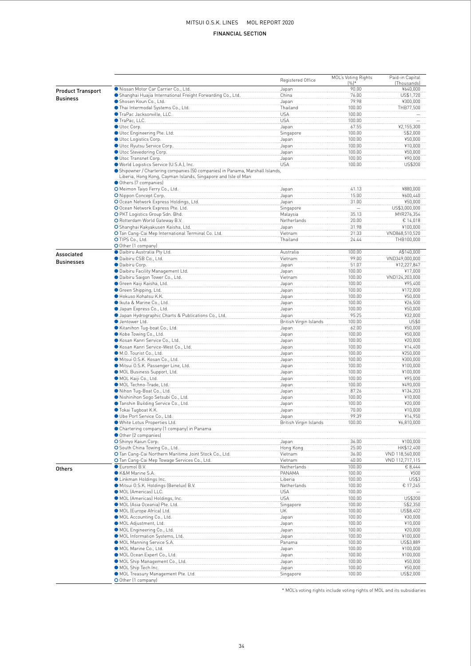## MITSUI O.S.K. LINES MOL REPORT 2020

## FINANCIAL SECTION

|                          |                                                                                                                          | Registered Office       | MOL's Voting Rights<br>$(%)^*$    | Paid-in Capital<br>(Thousands) |
|--------------------------|--------------------------------------------------------------------------------------------------------------------------|-------------------------|-----------------------------------|--------------------------------|
| <b>Product Transport</b> | Nissan Motor Car Carrier Co., Ltd.                                                                                       | Japan                   | 90.00                             | ¥640,000                       |
| <b>Business</b>          | Shanghai Huajia International Freight Forwarding Co., Ltd.                                                               | China                   | 76.00                             | US\$1,720                      |
|                          | Shosen Koun Co., Ltd.                                                                                                    | Japan                   | 79.98                             | ¥300,000                       |
|                          | ● Thai Intermodal Systems Co., Ltd.                                                                                      | Thailand                | 100.00                            | THB77,500                      |
|                          | ● TraPac Jacksonville, LLC.<br>● TraPac, LLC.                                                                            | USA<br><b>USA</b>       | 100.00<br>100.00                  |                                |
|                          | Utoc Corp.                                                                                                               | Japan                   | 67.55                             | ¥2,155,300                     |
|                          | Utoc Engineering Pte. Ltd.                                                                                               | Singapore               | 100.00                            | S\$2,000                       |
|                          | Utoc Logistics Corp.                                                                                                     | Japan                   | 100.00                            | ¥50,000                        |
|                          | Utoc Ryutsu Service Corp.                                                                                                | Japan                   | 100.00                            | ¥10,000                        |
|                          | Utoc Stevedoring Corp.                                                                                                   | Japan                   | 100.00                            | ¥50,000                        |
|                          | Utoc Transnet Corp.                                                                                                      | Japan                   | 100.00                            | ¥90,000                        |
|                          | ● World Logistics Service (U.S.A.), Inc.<br>Shipowner / Chartering companies (50 companies) in Panama, Marshall Islands, | <b>USA</b>              | 100.00                            | US\$200                        |
|                          | Liberia, Hong Kong, Cayman Islands, Singapore and Isle of Man                                                            |                         |                                   |                                |
|                          | Others (7 companies)                                                                                                     |                         |                                   |                                |
|                          | O Meimon Taiyo Ferry Co., Ltd.                                                                                           | Japan                   | 41.13                             | ¥880,000                       |
|                          | O Nippon Concept Corp.                                                                                                   | Japan                   | 15.00                             | ¥600,440                       |
|                          | O Ocean Network Express Holdings, Ltd.                                                                                   | Japan                   | 31.00                             | ¥50,000                        |
|                          | O Ocean Network Express Pte. Ltd.                                                                                        | Singapore               | $\overline{\phantom{m}}$<br>35.13 | US\$3,000,000                  |
|                          | O PKT Logistics Group Sdn. Bhd.<br>O Rotterdam World Gateway B.V.                                                        | Malaysia<br>Netherlands | 20.00                             | MYR276,354<br>€ 14,018         |
|                          | O Shanghai Kakyakusen Kaisha, Ltd.                                                                                       | Japan                   | 31.98                             | ¥100,000                       |
|                          | O Tan Cang-Cai Mep International Terminal Co. Ltd.                                                                       | Vietnam                 | 21.33                             | VND868,510,520                 |
|                          | O TIPS Co., Ltd.                                                                                                         | Thailand                | 24.44                             | THB100,000                     |
|                          | O Other (1 company)                                                                                                      |                         |                                   |                                |
| Associated               | <b>O</b> Daibiru Australia Pty Ltd.                                                                                      | Australia               | 100.00                            | A\$140,000                     |
| <b>Businesses</b>        | Daibiru CSB Co., Ltd.                                                                                                    | Vietnam                 | 99.00                             | VND349,000,000                 |
|                          | <b>O</b> Daibiru Corp.                                                                                                   | Japan                   | 51.07                             | ¥12,227,847                    |
|                          | ● Daibiru Facility Management Ltd.<br>Daibiru Saigon Tower Co., Ltd.                                                     | Japan<br>Vietnam        | 100.00<br>100.00                  | ¥17,000<br>VND124,203,000      |
|                          | Green Kaiji Kaisha, Ltd.                                                                                                 | Japan                   | 100.00                            | ¥95,400                        |
|                          | Green Shipping, Ltd.                                                                                                     | Japan                   | 100.00                            | ¥172,000                       |
|                          | Hokuso Kohatsu K.K.                                                                                                      | Japan                   | 100.00                            | ¥50,000                        |
|                          | Ikuta & Marine Co., Ltd.                                                                                                 | Japan                   | 100.00                            | ¥26,500                        |
|                          | Japan Express Co., Ltd.                                                                                                  | Japan                   | 100.00                            | ¥50,000                        |
|                          | Japan Hydrographic Charts & Publications Co., Ltd.                                                                       | Japan                   | 95.25                             | ¥32,000                        |
|                          | <b>O</b> Jentower Ltd.                                                                                                   | British Virgin Islands  | 100.00                            | <b>US\$0</b>                   |
|                          | Kitanihon Tug-boat Co., Ltd.                                                                                             | Japan                   | 62.00<br>100.00                   | ¥50,000                        |
|                          | Kobe Towing Co., Ltd.<br>Kosan Kanri Service Co., Ltd.                                                                   | Japan<br>Japan          | 100.00                            | ¥50,000<br>¥20,000             |
|                          | Kosan Kanri Service-West Co., Ltd.                                                                                       | Japan                   | 100.00                            | ¥14,400                        |
|                          | M.O. Tourist Co., Ltd.                                                                                                   | Japan                   | 100.00                            | ¥250,000                       |
|                          | Mitsui O.S.K. Kosan Co., Ltd.                                                                                            | Japan                   | 100.00                            | ¥300,000                       |
|                          | Mitsui O.S.K. Passenger Line, Ltd.                                                                                       | Japan                   | 100.00                            | ¥100,000                       |
|                          | • MOL Business Support, Ltd.                                                                                             | Japan                   | 100.00                            | ¥100,000                       |
|                          | MOL Kaiji Co., Ltd.                                                                                                      | Japan                   | 100.00                            | ¥95,000                        |
|                          | MOL Techno-Trade, Ltd.<br>Nihon Tug-Boat Co., Ltd.                                                                       | Japan<br>Japan          | 100.00<br>87.26                   | ¥490,000<br>¥134,203           |
|                          | Nishinihon Sogo Setsubi Co., Ltd.                                                                                        | Japan                   | 100.00                            | ¥10,000                        |
|                          | ● Tanshin Building Service Co., Ltd.                                                                                     | Japan                   | 100.00                            | ¥20,000                        |
|                          | ● Tokai Tugboat K.K.                                                                                                     | Japan                   | 70.00                             | ¥10,000                        |
|                          | Ube Port Service Co., Ltd.                                                                                               | Japan                   | 99.39                             | ¥14,950                        |
|                          | White Lotus Properties Ltd.                                                                                              | British Virgin Islands  | 100.00                            | ¥6.810.000                     |
|                          | Chartering company (1 company) in Panama                                                                                 |                         |                                   |                                |
|                          | Other (2 companies)                                                                                                      |                         |                                   |                                |
|                          | O Shinyo Kaiun Corp.<br>O South China Towing Co., Ltd.                                                                   | Japan<br>Hong Kong      | 36.00<br>25.00                    | ¥100,000<br>HK\$12,400         |
|                          | O Tan Cang-Cai Northern Maritime Joint Stock Co., Ltd.                                                                   | Vietnam                 | 36.00                             | VND 118,560,000                |
|                          | O Tan Canq-Cai Mep Towage Services Co., Ltd.                                                                             | Vietnam                 | 40.00                             | VND 112,717,115                |
|                          | Euromol B.V.                                                                                                             | Netherlands             | 100.00                            | € 8,444                        |
| Others                   | K&M Marine S.A.                                                                                                          | PANAMA                  | 100.00                            | ¥500                           |
|                          | Linkman Holdings Inc.                                                                                                    | Liberia                 | 100.00                            | <b>US\$3</b>                   |
|                          | Mitsui O.S.K. Holdings (Benelux) B.V.                                                                                    | Netherlands             | 100.00                            | € 17,245                       |
|                          | <b>MOL</b> [Americas] LLC.                                                                                               | <b>USA</b>              | 100.00                            |                                |
|                          | • MOL (Americas) Holdings, Inc.<br>• MOL (Asia Oceania) Pte. Ltd.                                                        | <b>USA</b><br>Singapore | 100.00<br>100.00                  | US\$200<br>S\$2,350            |
|                          | MOL (Europe Africa) Ltd.                                                                                                 | UK                      | 100.00                            | US\$8,402                      |
|                          | MOL Accounting Co., Ltd.                                                                                                 | Japan                   | 100.00                            | ¥30,000                        |
|                          | • MOL Adjustment, Ltd.                                                                                                   | Japan                   | 100.00                            | ¥10,000                        |
|                          | MOL Engineering Co., Ltd.                                                                                                | Japan                   | 100.00                            | ¥20,000                        |
|                          | • MOL Information Systems, Ltd.                                                                                          | Japan                   | 100.00                            | ¥100,000                       |
|                          | • MOL Manning Service S.A.                                                                                               | Panama                  | 100.00                            | US\$3,889                      |
|                          | MOL Marine Co., Ltd.                                                                                                     | Japan                   | 100.00                            | ¥100,000                       |
|                          | MOL Ocean Expert Co., Ltd.                                                                                               | Japan                   | 100.00                            | ¥100,000                       |
|                          | MOL Ship Management Co., Ltd.<br>MOL Ship Tech Inc.                                                                      | Japan<br>Japan          | 100.00<br>100.00                  | ¥50,000<br>¥50,000             |
|                          | MOL Treasury Management Pte. Ltd.                                                                                        | Singapore               | 100.00                            | US\$2,000                      |
|                          | O Other (1 company)                                                                                                      |                         |                                   |                                |

\* MOL's voting rights include voting rights of MOL and its subsidiaries